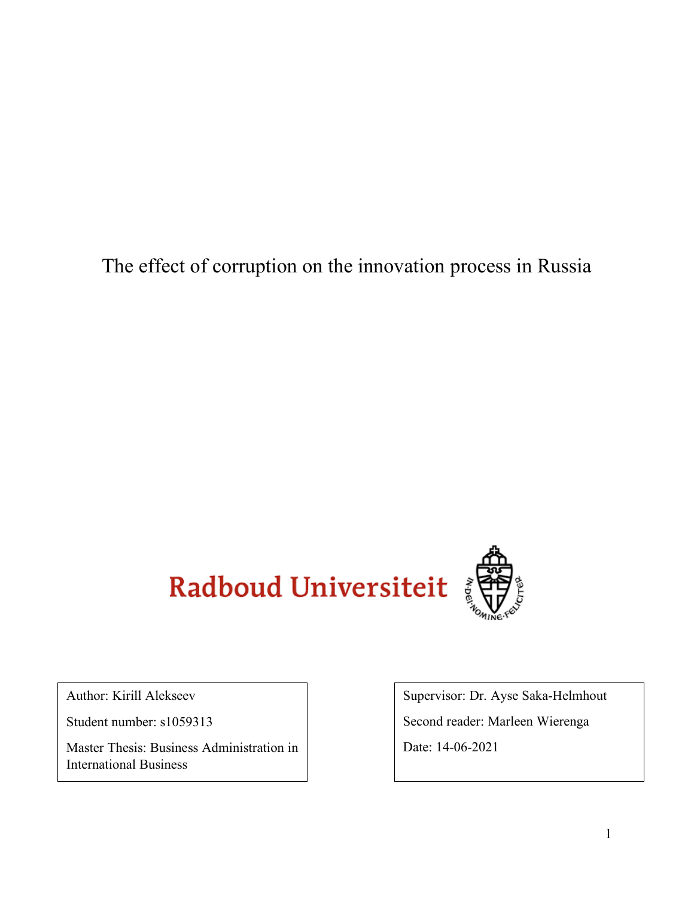The effect of corruption on the innovation process in Russia



Author: Kirill Alekseev

Student number: s1059313

Master Thesis: Business Administration in International Business

Supervisor: Dr. Ayse Saka-Helmhout

Second reader: Marleen Wierenga

Date: 14-06-2021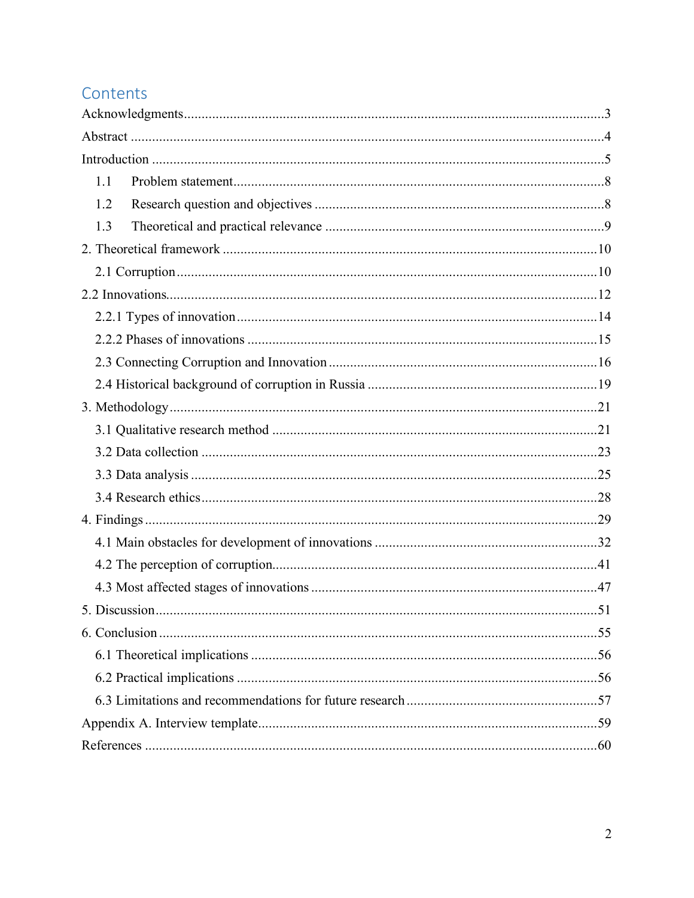# Contents

| 1.1 |  |
|-----|--|
| 1.2 |  |
| 1.3 |  |
|     |  |
|     |  |
|     |  |
|     |  |
|     |  |
|     |  |
|     |  |
|     |  |
|     |  |
|     |  |
|     |  |
|     |  |
|     |  |
|     |  |
|     |  |
|     |  |
|     |  |
|     |  |
|     |  |
|     |  |
|     |  |
|     |  |
|     |  |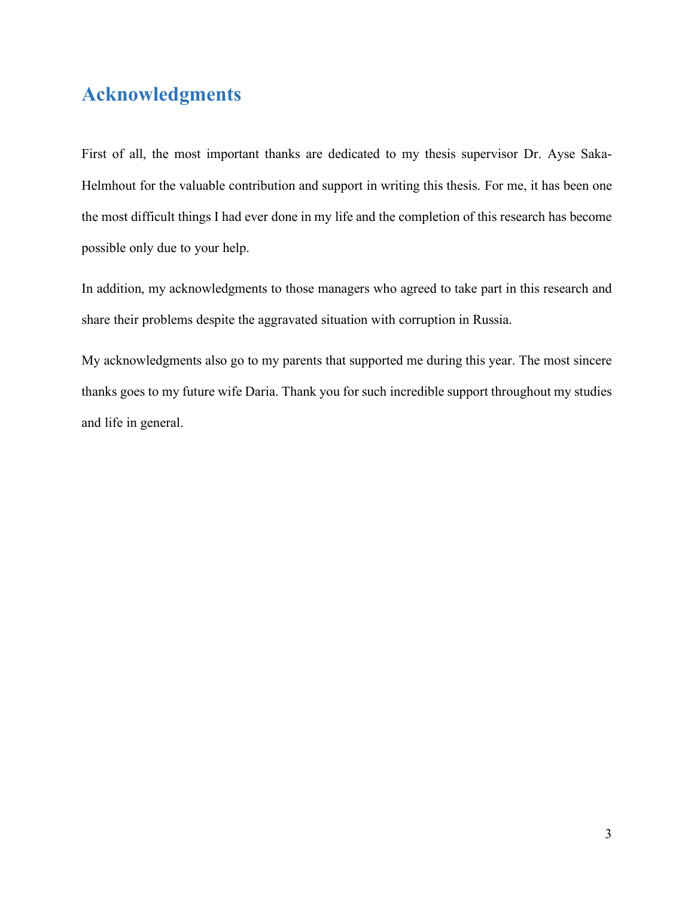# <span id="page-2-0"></span>**Acknowledgments**

First of all, the most important thanks are dedicated to my thesis supervisor Dr. Ayse Saka-Helmhout for the valuable contribution and support in writing this thesis. For me, it has been one the most difficult things I had ever done in my life and the completion of this research has become possible only due to your help.

In addition, my acknowledgments to those managers who agreed to take part in this research and share their problems despite the aggravated situation with corruption in Russia.

My acknowledgments also go to my parents that supported me during this year. The most sincere thanks goes to my future wife Daria. Thank you for such incredible support throughout my studies and life in general.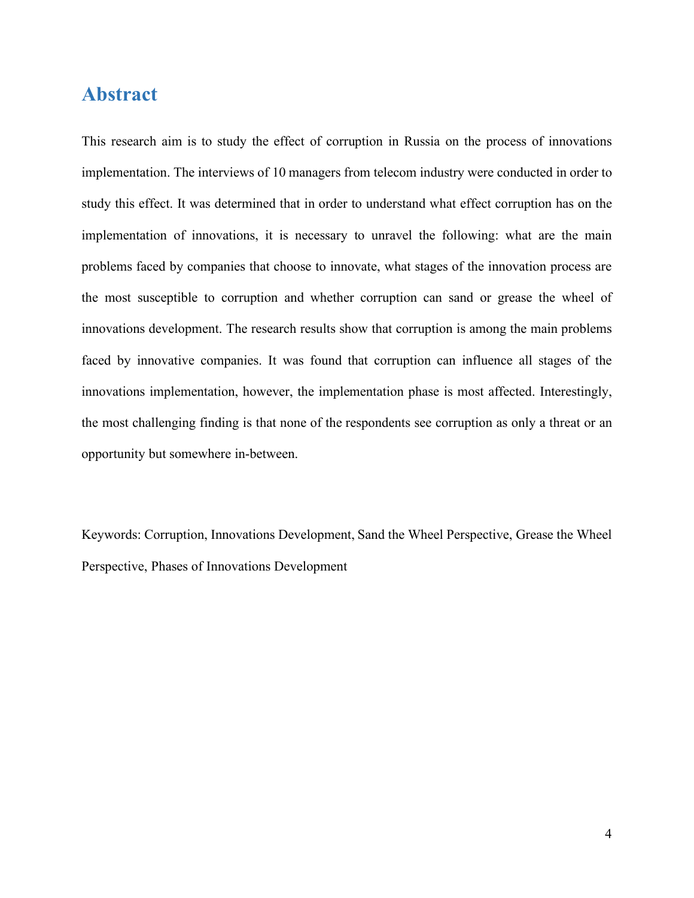## <span id="page-3-0"></span>**Abstract**

This research aim is to study the effect of corruption in Russia on the process of innovations implementation. The interviews of 10 managers from telecom industry were conducted in order to study this effect. It was determined that in order to understand what effect corruption has on the implementation of innovations, it is necessary to unravel the following: what are the main problems faced by companies that choose to innovate, what stages of the innovation process are the most susceptible to corruption and whether corruption can sand or grease the wheel of innovations development. The research results show that corruption is among the main problems faced by innovative companies. It was found that corruption can influence all stages of the innovations implementation, however, the implementation phase is most affected. Interestingly, the most challenging finding is that none of the respondents see corruption as only a threat or an opportunity but somewhere in-between.

Keywords: Corruption, Innovations Development, Sand the Wheel Perspective, Grease the Wheel Perspective, Phases of Innovations Development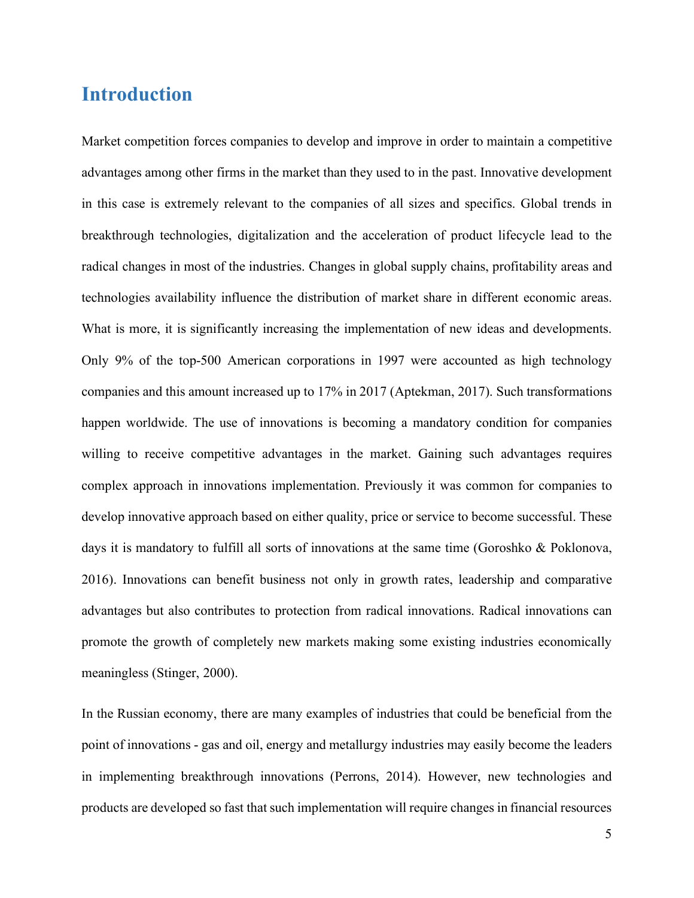## <span id="page-4-0"></span>**Introduction**

Market competition forces companies to develop and improve in order to maintain a competitive advantages among other firms in the market than they used to in the past. Innovative development in this case is extremely relevant to the companies of all sizes and specifics. Global trends in breakthrough technologies, digitalization and the acceleration of product lifecycle lead to the radical changes in most of the industries. Changes in global supply chains, profitability areas and technologies availability influence the distribution of market share in different economic areas. What is more, it is significantly increasing the implementation of new ideas and developments. Only 9% of the top-500 American corporations in 1997 were accounted as high technology companies and this amount increased up to 17% in 2017 (Aptekman, 2017). Such transformations happen worldwide. The use of innovations is becoming a mandatory condition for companies willing to receive competitive advantages in the market. Gaining such advantages requires complex approach in innovations implementation. Previously it was common for companies to develop innovative approach based on either quality, price or service to become successful. These days it is mandatory to fulfill all sorts of innovations at the same time (Goroshko & Poklonova, 2016). Innovations can benefit business not only in growth rates, leadership and comparative advantages but also contributes to protection from radical innovations. Radical innovations can promote the growth of completely new markets making some existing industries economically meaningless (Stinger, 2000).

In the Russian economy, there are many examples of industries that could be beneficial from the point of innovations - gas and oil, energy and metallurgy industries may easily become the leaders in implementing breakthrough innovations (Perrons, 2014). However, new technologies and products are developed so fast that such implementation will require changes in financial resources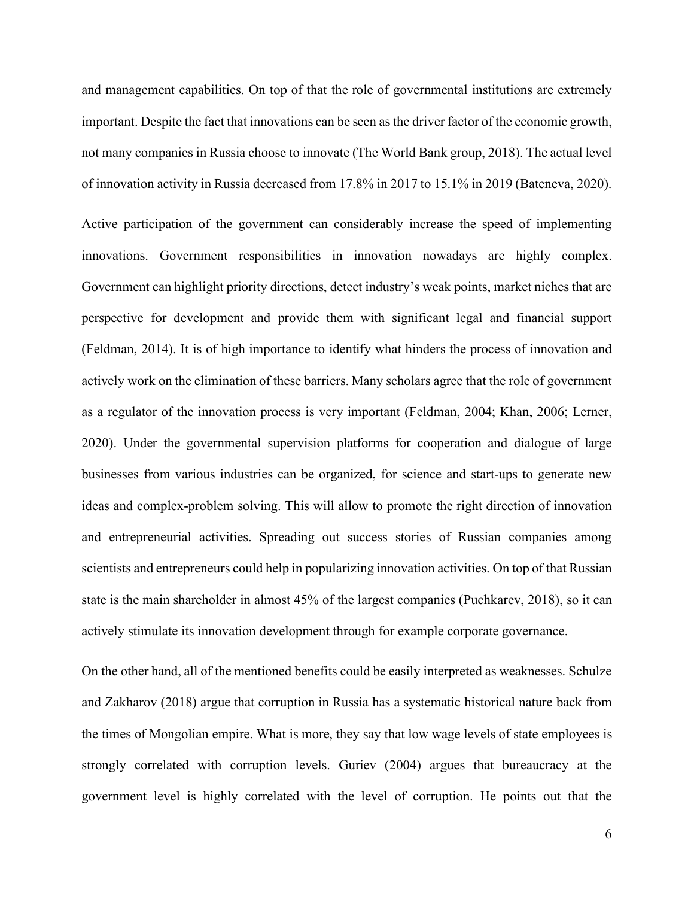and management capabilities. On top of that the role of governmental institutions are extremely important. Despite the fact that innovations can be seen as the driver factor of the economic growth, not many companies in Russia choose to innovate (The World Bank group, 2018). The actual level of innovation activity in Russia decreased from 17.8% in 2017 to 15.1% in 2019 (Bateneva, 2020).

Active participation of the government can considerably increase the speed of implementing innovations. Government responsibilities in innovation nowadays are highly complex. Government can highlight priority directions, detect industry's weak points, market niches that are perspective for development and provide them with significant legal and financial support (Feldman, 2014). It is of high importance to identify what hinders the process of innovation and actively work on the elimination of these barriers. Many scholars agree that the role of government as a regulator of the innovation process is very important (Feldman, 2004; Khan, 2006; Lerner, 2020). Under the governmental supervision platforms for cooperation and dialogue of large businesses from various industries can be organized, for science and start-ups to generate new ideas and complex-problem solving. This will allow to promote the right direction of innovation and entrepreneurial activities. Spreading out success stories of Russian companies among scientists and entrepreneurs could help in popularizing innovation activities. On top of that Russian state is the main shareholder in almost 45% of the largest companies (Puchkarev, 2018), so it can actively stimulate its innovation development through for example corporate governance.

On the other hand, all of the mentioned benefits could be easily interpreted as weaknesses. Schulze and Zakharov (2018) argue that corruption in Russia has a systematic historical nature back from the times of Mongolian empire. What is more, they say that low wage levels of state employees is strongly correlated with corruption levels. Guriev (2004) argues that bureaucracy at the government level is highly correlated with the level of corruption. He points out that the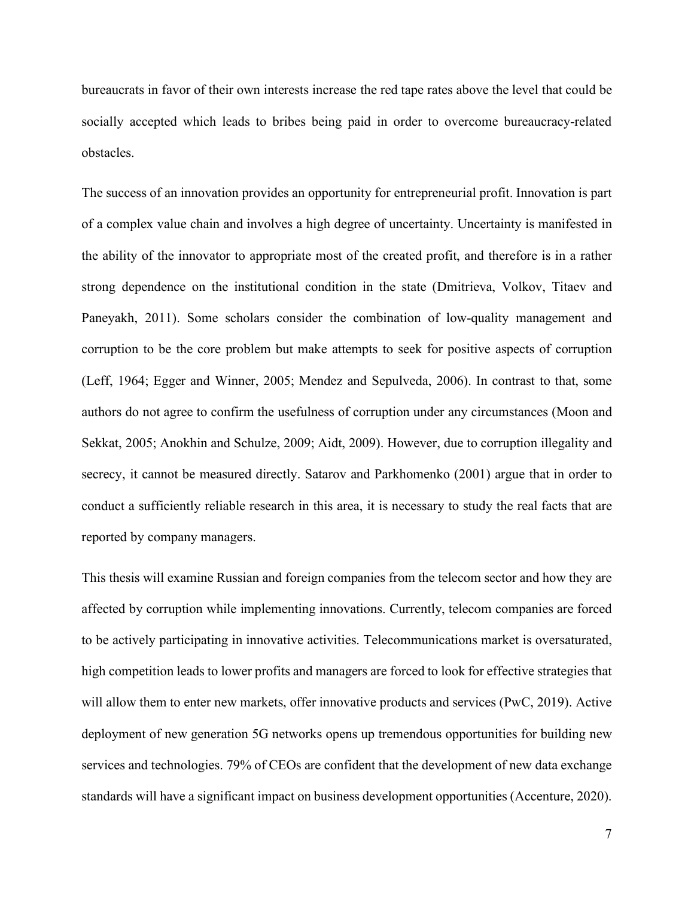bureaucrats in favor of their own interests increase the red tape rates above the level that could be socially accepted which leads to bribes being paid in order to overcome bureaucracy-related obstacles.

The success of an innovation provides an opportunity for entrepreneurial profit. Innovation is part of a complex value chain and involves a high degree of uncertainty. Uncertainty is manifested in the ability of the innovator to appropriate most of the created profit, and therefore is in a rather strong dependence on the institutional condition in the state (Dmitrieva, Volkov, Titaev and Paneyakh, 2011). Some scholars consider the combination of low-quality management and corruption to be the core problem but make attempts to seek for positive aspects of corruption (Leff, 1964; Egger and Winner, 2005; Mendez and Sepulveda, 2006). In contrast to that, some authors do not agree to confirm the usefulness of corruption under any circumstances (Moon and Sekkat, 2005; Anokhin and Schulze, 2009; Aidt, 2009). However, due to corruption illegality and secrecy, it cannot be measured directly. Satarov and Parkhomenko (2001) argue that in order to conduct a sufficiently reliable research in this area, it is necessary to study the real facts that are reported by company managers.

This thesis will examine Russian and foreign companies from the telecom sector and how they are affected by corruption while implementing innovations. Currently, telecom companies are forced to be actively participating in innovative activities. Telecommunications market is oversaturated, high competition leads to lower profits and managers are forced to look for effective strategies that will allow them to enter new markets, offer innovative products and services (PwC, 2019). Active deployment of new generation 5G networks opens up tremendous opportunities for building new services and technologies. 79% of CEOs are confident that the development of new data exchange standards will have a significant impact on business development opportunities (Accenture, 2020).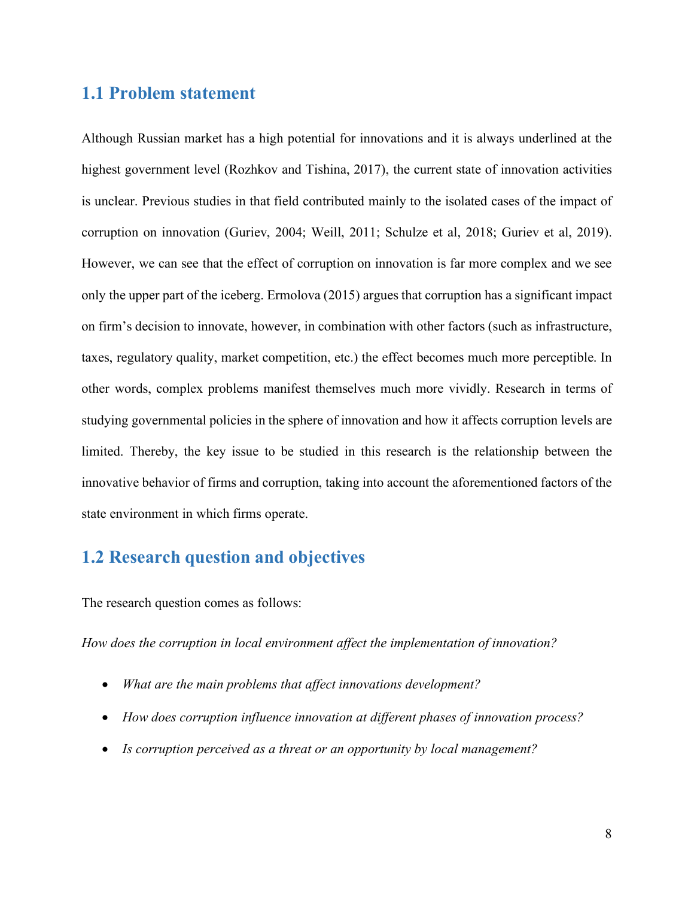## <span id="page-7-0"></span>**1.1 Problem statement**

Although Russian market has a high potential for innovations and it is always underlined at the highest government level (Rozhkov and Tishina, 2017), the current state of innovation activities is unclear. Previous studies in that field contributed mainly to the isolated cases of the impact of corruption on innovation (Guriev, 2004; Weill, 2011; Schulze et al, 2018; Guriev et al, 2019). However, we can see that the effect of corruption on innovation is far more complex and we see only the upper part of the iceberg. Ermolova (2015) argues that corruption has a significant impact on firm's decision to innovate, however, in combination with other factors (such as infrastructure, taxes, regulatory quality, market competition, etc.) the effect becomes much more perceptible. In other words, complex problems manifest themselves much more vividly. Research in terms of studying governmental policies in the sphere of innovation and how it affects corruption levels are limited. Thereby, the key issue to be studied in this research is the relationship between the innovative behavior of firms and corruption, taking into account the aforementioned factors of the state environment in which firms operate.

## <span id="page-7-1"></span>**1.2 Research question and objectives**

The research question comes as follows:

*How does the corruption in local environment affect the implementation of innovation?*

- *What are the main problems that affect innovations development?*
- *How does corruption influence innovation at different phases of innovation process?*
- *Is corruption perceived as a threat or an opportunity by local management?*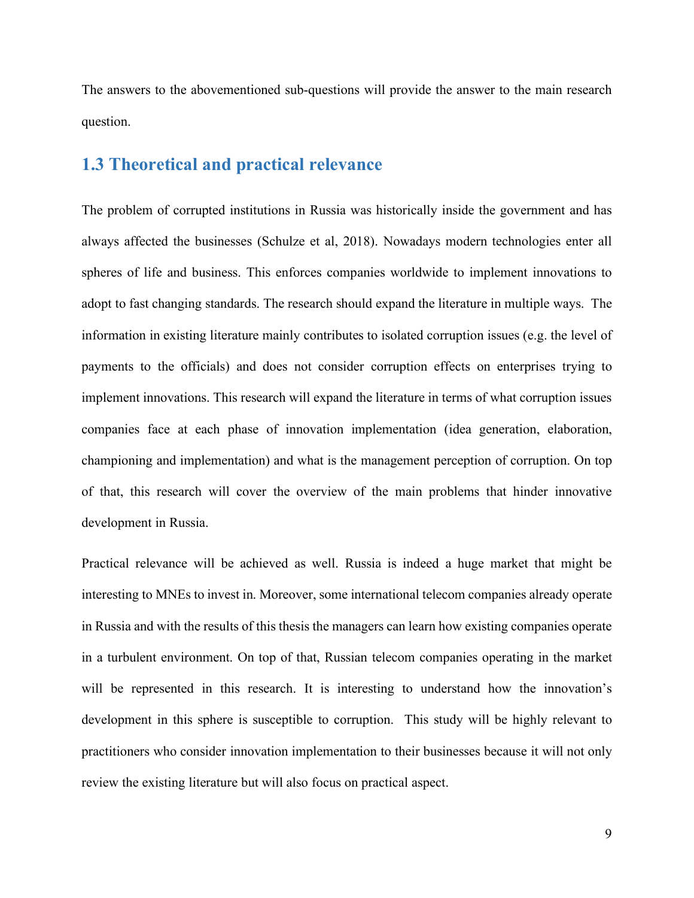The answers to the abovementioned sub-questions will provide the answer to the main research question.

## <span id="page-8-0"></span>**1.3 Theoretical and practical relevance**

The problem of corrupted institutions in Russia was historically inside the government and has always affected the businesses (Schulze et al, 2018). Nowadays modern technologies enter all spheres of life and business. This enforces companies worldwide to implement innovations to adopt to fast changing standards. The research should expand the literature in multiple ways. The information in existing literature mainly contributes to isolated corruption issues (e.g. the level of payments to the officials) and does not consider corruption effects on enterprises trying to implement innovations. This research will expand the literature in terms of what corruption issues companies face at each phase of innovation implementation (idea generation, elaboration, championing and implementation) and what is the management perception of corruption. On top of that, this research will cover the overview of the main problems that hinder innovative development in Russia.

Practical relevance will be achieved as well. Russia is indeed a huge market that might be interesting to MNEs to invest in. Moreover, some international telecom companies already operate in Russia and with the results of this thesis the managers can learn how existing companies operate in a turbulent environment. On top of that, Russian telecom companies operating in the market will be represented in this research. It is interesting to understand how the innovation's development in this sphere is susceptible to corruption. This study will be highly relevant to practitioners who consider innovation implementation to their businesses because it will not only review the existing literature but will also focus on practical aspect.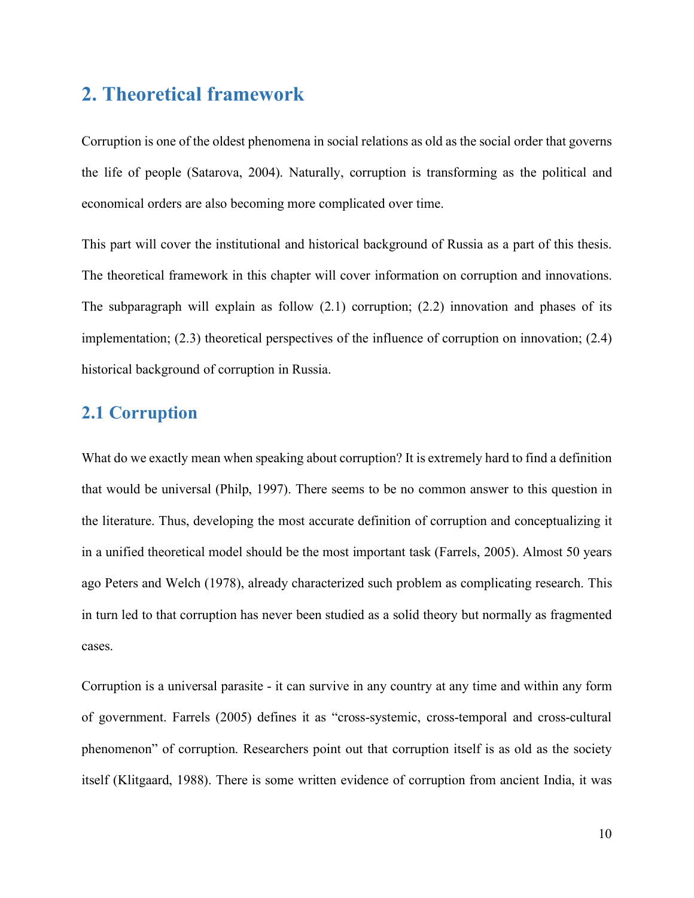# <span id="page-9-0"></span>**2. Theoretical framework**

Corruption is one of the oldest phenomena in social relations as old as the social order that governs the life of people (Satarova, 2004). Naturally, corruption is transforming as the political and economical orders are also becoming more complicated over time.

This part will cover the institutional and historical background of Russia as a part of this thesis. The theoretical framework in this chapter will cover information on corruption and innovations. The subparagraph will explain as follow  $(2.1)$  corruption;  $(2.2)$  innovation and phases of its implementation; (2.3) theoretical perspectives of the influence of corruption on innovation; (2.4) historical background of corruption in Russia.

## <span id="page-9-1"></span>**2.1 Corruption**

What do we exactly mean when speaking about corruption? It is extremely hard to find a definition that would be universal (Philp, 1997). There seems to be no common answer to this question in the literature. Thus, developing the most accurate definition of corruption and conceptualizing it in a unified theoretical model should be the most important task (Farrels, 2005). Almost 50 years ago Peters and Welch (1978), already characterized such problem as complicating research. This in turn led to that corruption has never been studied as a solid theory but normally as fragmented cases.

Corruption is a universal parasite - it can survive in any country at any time and within any form of government. Farrels (2005) defines it as "cross-systemic, cross-temporal and cross-cultural phenomenon" of corruption. Researchers point out that corruption itself is as old as the society itself (Klitgaard, 1988). There is some written evidence of corruption from ancient India, it was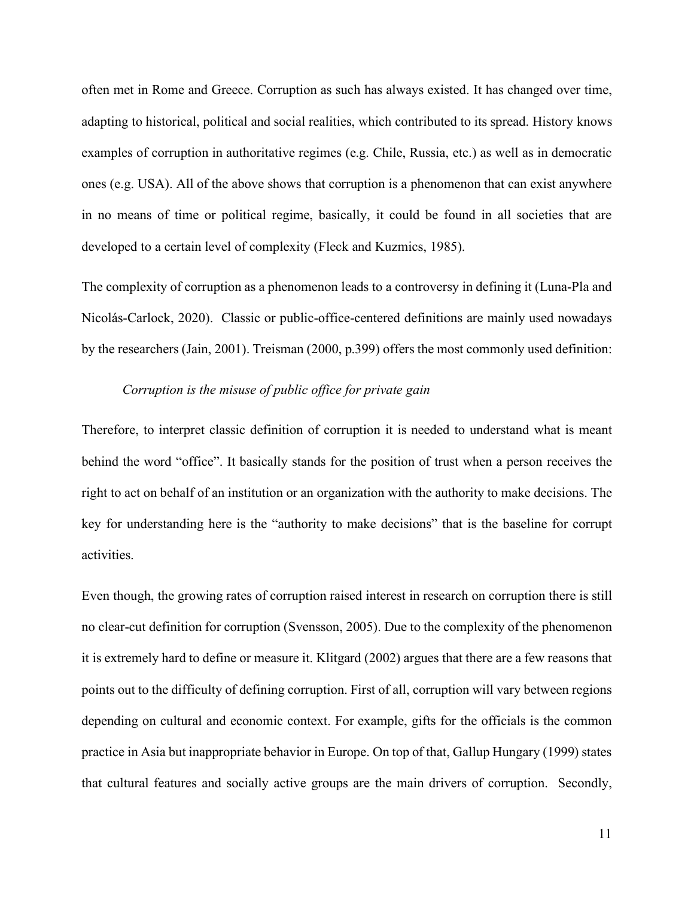often met in Rome and Greece. Corruption as such has always existed. It has changed over time, adapting to historical, political and social realities, which contributed to its spread. History knows examples of corruption in authoritative regimes (e.g. Chile, Russia, etc.) as well as in democratic ones (e.g. USA). All of the above shows that corruption is a phenomenon that can exist anywhere in no means of time or political regime, basically, it could be found in all societies that are developed to a certain level of complexity (Fleck and Kuzmics, 1985).

The complexity of corruption as a phenomenon leads to a controversy in defining it (Luna-Pla and Nicolás-Carlock, 2020). Classic or public-office-centered definitions are mainly used nowadays by the researchers (Jain, 2001). Treisman (2000, p.399) offers the most commonly used definition:

#### *Corruption is the misuse of public office for private gain*

Therefore, to interpret classic definition of corruption it is needed to understand what is meant behind the word "office". It basically stands for the position of trust when a person receives the right to act on behalf of an institution or an organization with the authority to make decisions. The key for understanding here is the "authority to make decisions" that is the baseline for corrupt activities.

Even though, the growing rates of corruption raised interest in research on corruption there is still no clear-cut definition for corruption (Svensson, 2005). Due to the complexity of the phenomenon it is extremely hard to define or measure it. Klitgard (2002) argues that there are a few reasons that points out to the difficulty of defining corruption. First of all, corruption will vary between regions depending on cultural and economic context. For example, gifts for the officials is the common practice in Asia but inappropriate behavior in Europe. On top of that, Gallup Hungary (1999) states that cultural features and socially active groups are the main drivers of corruption. Secondly,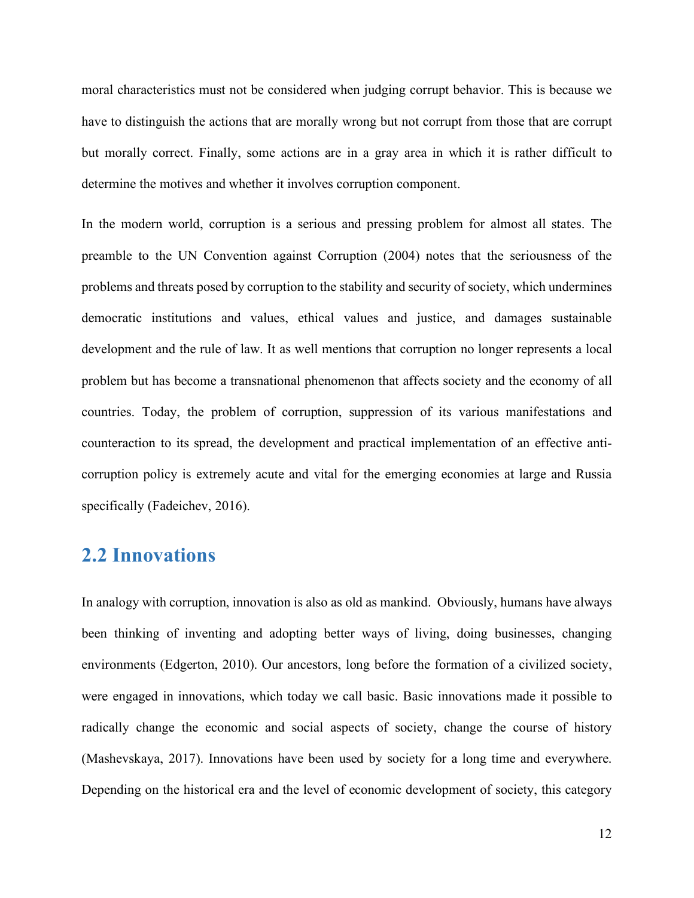moral characteristics must not be considered when judging corrupt behavior. This is because we have to distinguish the actions that are morally wrong but not corrupt from those that are corrupt but morally correct. Finally, some actions are in a gray area in which it is rather difficult to determine the motives and whether it involves corruption component.

In the modern world, corruption is a serious and pressing problem for almost all states. The preamble to the UN Convention against Corruption (2004) notes that the seriousness of the problems and threats posed by corruption to the stability and security of society, which undermines democratic institutions and values, ethical values and justice, and damages sustainable development and the rule of law. It as well mentions that corruption no longer represents a local problem but has become a transnational phenomenon that affects society and the economy of all countries. Today, the problem of corruption, suppression of its various manifestations and counteraction to its spread, the development and practical implementation of an effective anticorruption policy is extremely acute and vital for the emerging economies at large and Russia specifically (Fadeichev, 2016).

# <span id="page-11-0"></span>**2.2 Innovations**

In analogy with corruption, innovation is also as old as mankind. Obviously, humans have always been thinking of inventing and adopting better ways of living, doing businesses, changing environments (Edgerton, 2010). Our ancestors, long before the formation of a civilized society, were engaged in innovations, which today we call basic. Basic innovations made it possible to radically change the economic and social aspects of society, change the course of history (Mashevskaya, 2017). Innovations have been used by society for a long time and everywhere. Depending on the historical era and the level of economic development of society, this category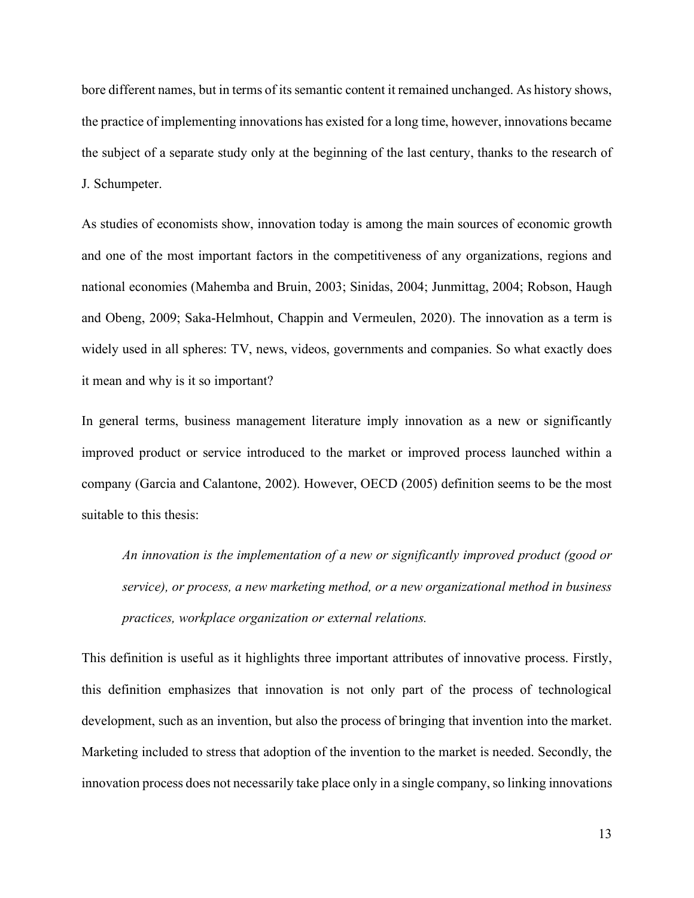bore different names, but in terms of its semantic content it remained unchanged. As history shows, the practice of implementing innovations has existed for a long time, however, innovations became the subject of a separate study only at the beginning of the last century, thanks to the research of J. Schumpeter.

As studies of economists show, innovation today is among the main sources of economic growth and one of the most important factors in the competitiveness of any organizations, regions and national economies (Mahemba and Bruin, 2003; Sinidas, 2004; Junmittag, 2004; Robson, Haugh and Obeng, 2009; Saka-Helmhout, Chappin and Vermeulen, 2020). The innovation as a term is widely used in all spheres: TV, news, videos, governments and companies. So what exactly does it mean and why is it so important?

In general terms, business management literature imply innovation as a new or significantly improved product or service introduced to the market or improved process launched within a company (Garcia and Calantone, 2002). However, OECD (2005) definition seems to be the most suitable to this thesis:

*An innovation is the implementation of a new or significantly improved product (good or service), or process, a new marketing method, or a new organizational method in business practices, workplace organization or external relations.*

This definition is useful as it highlights three important attributes of innovative process. Firstly, this definition emphasizes that innovation is not only part of the process of technological development, such as an invention, but also the process of bringing that invention into the market. Marketing included to stress that adoption of the invention to the market is needed. Secondly, the innovation process does not necessarily take place only in a single company, so linking innovations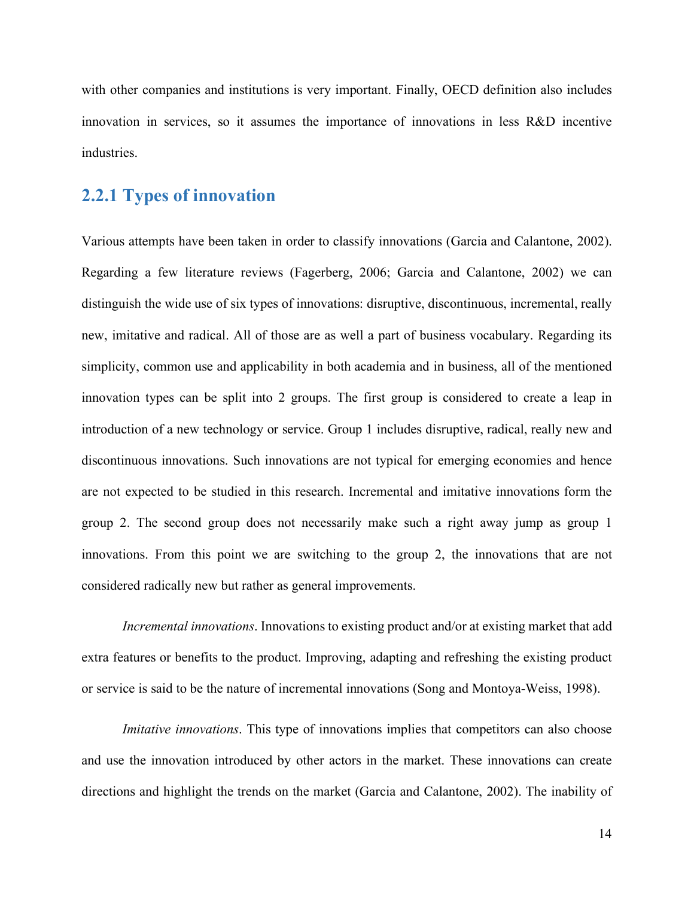with other companies and institutions is very important. Finally, OECD definition also includes innovation in services, so it assumes the importance of innovations in less R&D incentive industries.

## <span id="page-13-0"></span>**2.2.1 Types of innovation**

Various attempts have been taken in order to classify innovations (Garcia and Calantone, 2002). Regarding a few literature reviews (Fagerberg, 2006; Garcia and Calantone, 2002) we can distinguish the wide use of six types of innovations: disruptive, discontinuous, incremental, really new, imitative and radical. All of those are as well a part of business vocabulary. Regarding its simplicity, common use and applicability in both academia and in business, all of the mentioned innovation types can be split into 2 groups. The first group is considered to create a leap in introduction of a new technology or service. Group 1 includes disruptive, radical, really new and discontinuous innovations. Such innovations are not typical for emerging economies and hence are not expected to be studied in this research. Incremental and imitative innovations form the group 2. The second group does not necessarily make such a right away jump as group 1 innovations. From this point we are switching to the group 2, the innovations that are not considered radically new but rather as general improvements.

*Incremental innovations*. Innovations to existing product and/or at existing market that add extra features or benefits to the product. Improving, adapting and refreshing the existing product or service is said to be the nature of incremental innovations (Song and Montoya-Weiss, 1998).

*Imitative innovations*. This type of innovations implies that competitors can also choose and use the innovation introduced by other actors in the market. These innovations can create directions and highlight the trends on the market (Garcia and Calantone, 2002). The inability of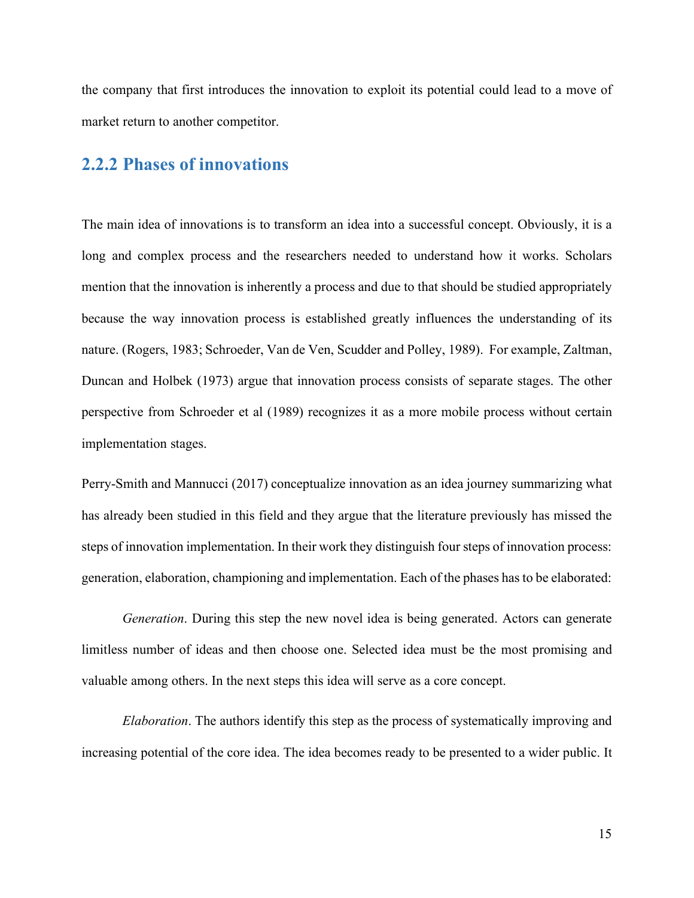the company that first introduces the innovation to exploit its potential could lead to a move of market return to another competitor.

### <span id="page-14-0"></span>**2.2.2 Phases of innovations**

The main idea of innovations is to transform an idea into a successful concept. Obviously, it is a long and complex process and the researchers needed to understand how it works. Scholars mention that the innovation is inherently a process and due to that should be studied appropriately because the way innovation process is established greatly influences the understanding of its nature. (Rogers, 1983; Schroeder, Van de Ven, Scudder and Polley, 1989). For example, Zaltman, Duncan and Holbek (1973) argue that innovation process consists of separate stages. The other perspective from Schroeder et al (1989) recognizes it as a more mobile process without certain implementation stages.

Perry-Smith and Mannucci (2017) conceptualize innovation as an idea journey summarizing what has already been studied in this field and they argue that the literature previously has missed the steps of innovation implementation. In their work they distinguish four steps of innovation process: generation, elaboration, championing and implementation. Each of the phases has to be elaborated:

*Generation*. During this step the new novel idea is being generated. Actors can generate limitless number of ideas and then choose one. Selected idea must be the most promising and valuable among others. In the next steps this idea will serve as a core concept.

*Elaboration*. The authors identify this step as the process of systematically improving and increasing potential of the core idea. The idea becomes ready to be presented to a wider public. It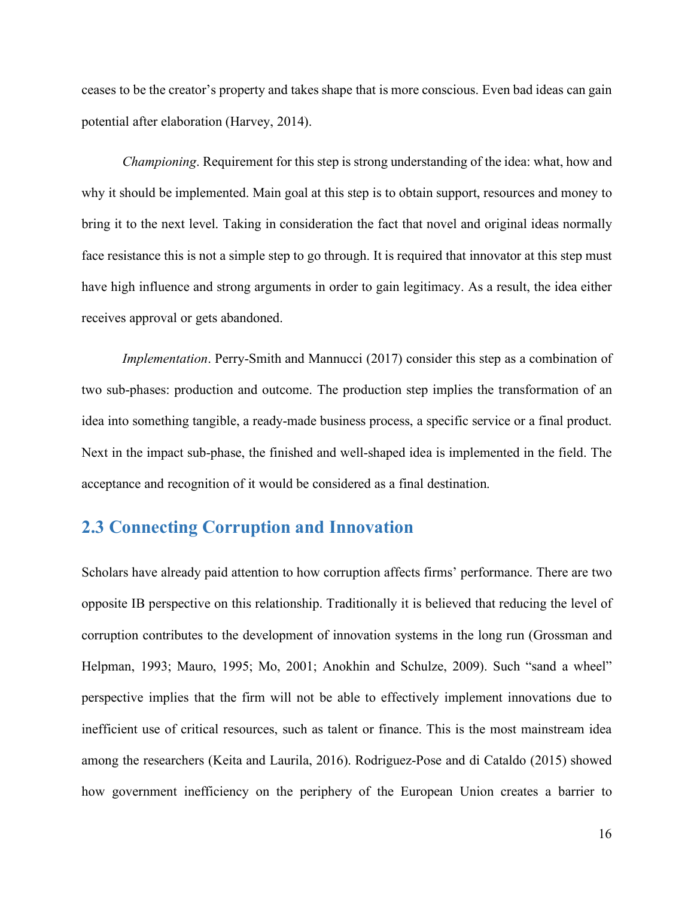ceases to be the creator's property and takes shape that is more conscious. Even bad ideas can gain potential after elaboration (Harvey, 2014).

*Championing*. Requirement for this step is strong understanding of the idea: what, how and why it should be implemented. Main goal at this step is to obtain support, resources and money to bring it to the next level. Taking in consideration the fact that novel and original ideas normally face resistance this is not a simple step to go through. It is required that innovator at this step must have high influence and strong arguments in order to gain legitimacy. As a result, the idea either receives approval or gets abandoned.

*Implementation*. Perry-Smith and Mannucci (2017) consider this step as a combination of two sub-phases: production and outcome. The production step implies the transformation of an idea into something tangible, a ready-made business process, a specific service or a final product. Next in the impact sub-phase, the finished and well-shaped idea is implemented in the field. The acceptance and recognition of it would be considered as a final destination.

## <span id="page-15-0"></span>**2.3 Connecting Corruption and Innovation**

Scholars have already paid attention to how corruption affects firms' performance. There are two opposite IB perspective on this relationship. Traditionally it is believed that reducing the level of corruption contributes to the development of innovation systems in the long run (Grossman and Helpman, 1993; Mauro, 1995; Mo, 2001; Anokhin and Schulze, 2009). Such "sand a wheel" perspective implies that the firm will not be able to effectively implement innovations due to inefficient use of critical resources, such as talent or finance. This is the most mainstream idea among the researchers (Keita and Laurila, 2016). Rodriguez-Pose and di Cataldo (2015) showed how government inefficiency on the periphery of the European Union creates a barrier to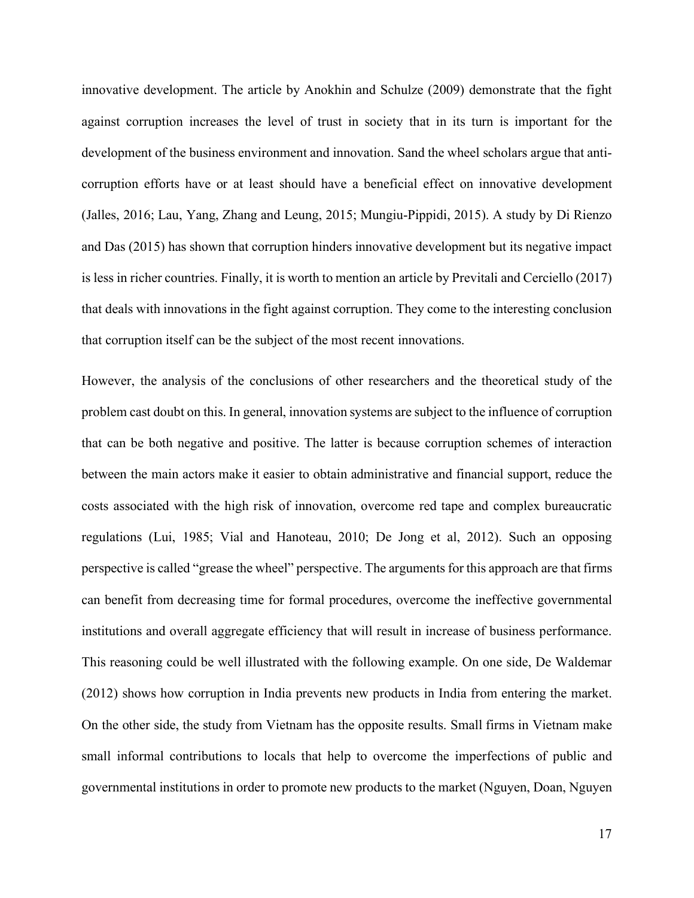innovative development. The article by Anokhin and Schulze (2009) demonstrate that the fight against corruption increases the level of trust in society that in its turn is important for the development of the business environment and innovation. Sand the wheel scholars argue that anticorruption efforts have or at least should have a beneficial effect on innovative development (Jalles, 2016; Lau, Yang, Zhang and Leung, 2015; Mungiu-Pippidi, 2015). A study by Di Rienzo and Das (2015) has shown that corruption hinders innovative development but its negative impact is less in richer countries. Finally, it is worth to mention an article by Previtali and Cerciello (2017) that deals with innovations in the fight against corruption. They come to the interesting conclusion that corruption itself can be the subject of the most recent innovations.

However, the analysis of the conclusions of other researchers and the theoretical study of the problem cast doubt on this. In general, innovation systems are subject to the influence of corruption that can be both negative and positive. The latter is because corruption schemes of interaction between the main actors make it easier to obtain administrative and financial support, reduce the costs associated with the high risk of innovation, overcome red tape and complex bureaucratic regulations (Lui, 1985; Vial and Hanoteau, 2010; De Jong et al, 2012). Such an opposing perspective is called "grease the wheel" perspective. The arguments for this approach are that firms can benefit from decreasing time for formal procedures, overcome the ineffective governmental institutions and overall aggregate efficiency that will result in increase of business performance. This reasoning could be well illustrated with the following example. On one side, De Waldemar (2012) shows how corruption in India prevents new products in India from entering the market. On the other side, the study from Vietnam has the opposite results. Small firms in Vietnam make small informal contributions to locals that help to overcome the imperfections of public and governmental institutions in order to promote new products to the market (Nguyen, Doan, Nguyen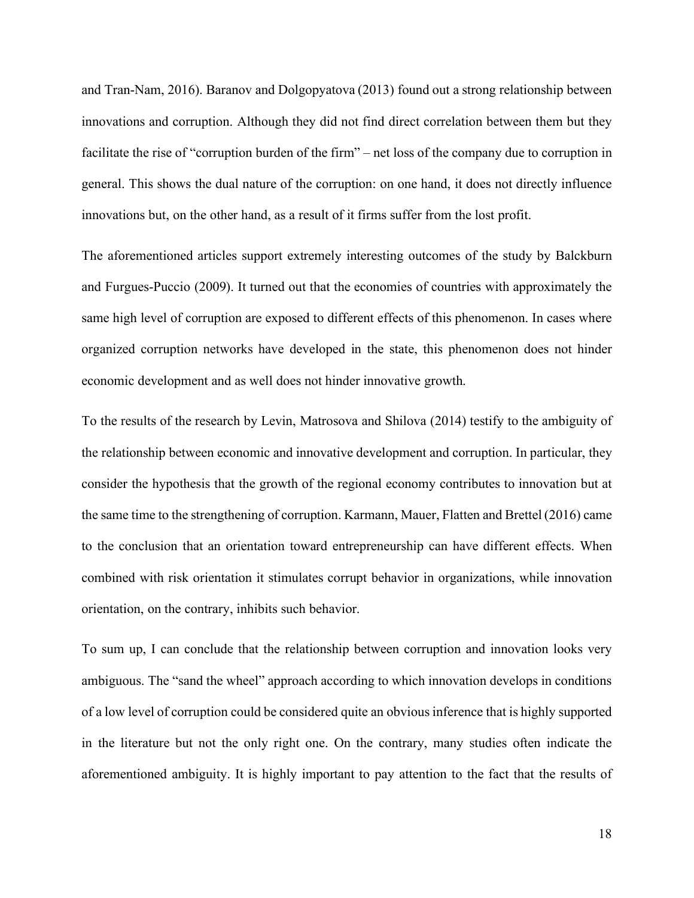and Tran-Nam, 2016). Baranov and Dolgopyatova (2013) found out a strong relationship between innovations and corruption. Although they did not find direct correlation between them but they facilitate the rise of "corruption burden of the firm" – net loss of the company due to corruption in general. This shows the dual nature of the corruption: on one hand, it does not directly influence innovations but, on the other hand, as a result of it firms suffer from the lost profit.

The aforementioned articles support extremely interesting outcomes of the study by Balckburn and Furgues-Puccio (2009). It turned out that the economies of countries with approximately the same high level of corruption are exposed to different effects of this phenomenon. In cases where organized corruption networks have developed in the state, this phenomenon does not hinder economic development and as well does not hinder innovative growth.

To the results of the research by Levin, Matrosova and Shilova (2014) testify to the ambiguity of the relationship between economic and innovative development and corruption. In particular, they consider the hypothesis that the growth of the regional economy contributes to innovation but at the same time to the strengthening of corruption. Karmann, Mauer, Flatten and Brettel (2016) came to the conclusion that an orientation toward entrepreneurship can have different effects. When combined with risk orientation it stimulates corrupt behavior in organizations, while innovation orientation, on the contrary, inhibits such behavior.

To sum up, I can conclude that the relationship between corruption and innovation looks very ambiguous. The "sand the wheel" approach according to which innovation develops in conditions of a low level of corruption could be considered quite an obvious inference that is highly supported in the literature but not the only right one. On the contrary, many studies often indicate the aforementioned ambiguity. It is highly important to pay attention to the fact that the results of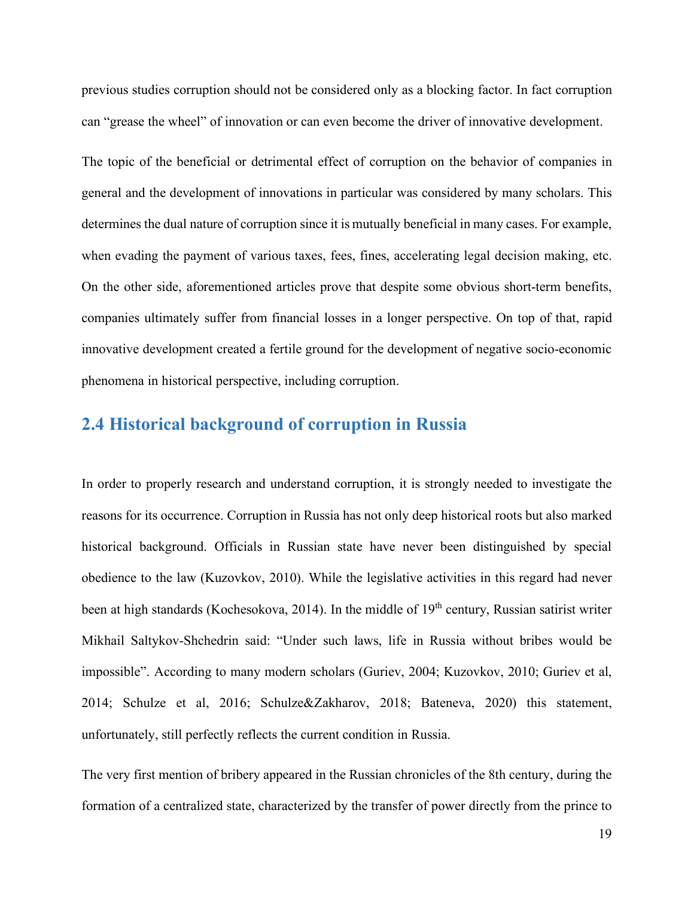previous studies corruption should not be considered only as a blocking factor. In fact corruption can "grease the wheel" of innovation or can even become the driver of innovative development.

The topic of the beneficial or detrimental effect of corruption on the behavior of companies in general and the development of innovations in particular was considered by many scholars. This determines the dual nature of corruption since it is mutually beneficial in many cases. For example, when evading the payment of various taxes, fees, fines, accelerating legal decision making, etc. On the other side, aforementioned articles prove that despite some obvious short-term benefits, companies ultimately suffer from financial losses in a longer perspective. On top of that, rapid innovative development created a fertile ground for the development of negative socio-economic phenomena in historical perspective, including corruption.

## <span id="page-18-0"></span>**2.4 Historical background of corruption in Russia**

In order to properly research and understand corruption, it is strongly needed to investigate the reasons for its occurrence. Corruption in Russia has not only deep historical roots but also marked historical background. Officials in Russian state have never been distinguished by special obedience to the law (Kuzovkov, 2010). While the legislative activities in this regard had never been at high standards (Kochesokova, 2014). In the middle of 19<sup>th</sup> century, Russian satirist writer Mikhail Saltykov-Shchedrin said: "Under such laws, life in Russia without bribes would be impossible". According to many modern scholars (Guriev, 2004; Kuzovkov, 2010; Guriev et al, 2014; Schulze et al, 2016; Schulze&Zakharov, 2018; Bateneva, 2020) this statement, unfortunately, still perfectly reflects the current condition in Russia.

The very first mention of bribery appeared in the Russian chronicles of the 8th century, during the formation of a centralized state, characterized by the transfer of power directly from the prince to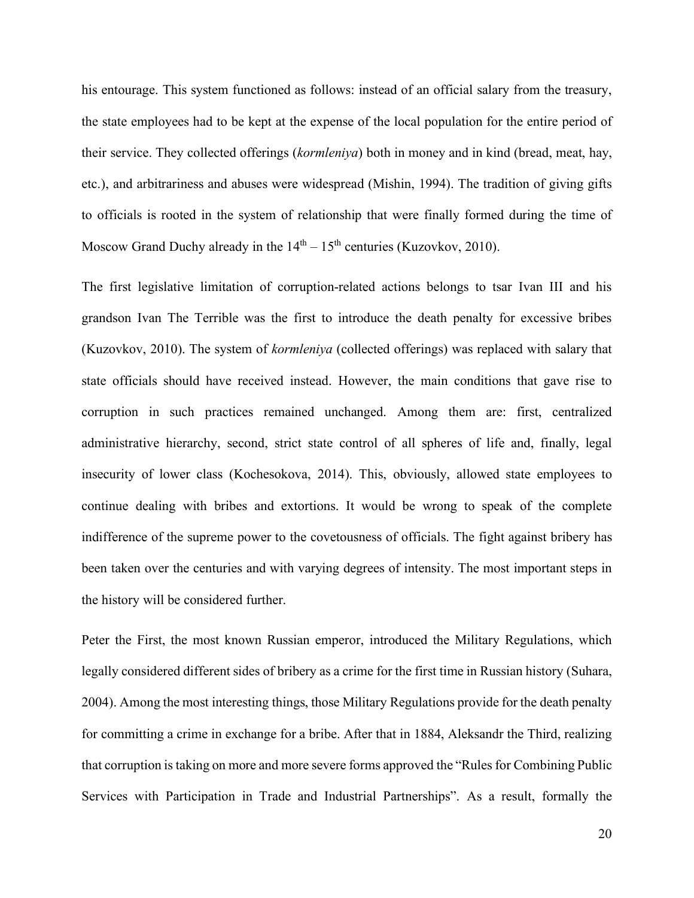his entourage. This system functioned as follows: instead of an official salary from the treasury, the state employees had to be kept at the expense of the local population for the entire period of their service. They collected offerings (*kormleniya*) both in money and in kind (bread, meat, hay, etc.), and arbitrariness and abuses were widespread (Mishin, 1994). The tradition of giving gifts to officials is rooted in the system of relationship that were finally formed during the time of Moscow Grand Duchy already in the  $14<sup>th</sup> - 15<sup>th</sup>$  centuries (Kuzovkov, 2010).

The first legislative limitation of corruption-related actions belongs to tsar Ivan III and his grandson Ivan The Terrible was the first to introduce the death penalty for excessive bribes (Kuzovkov, 2010). The system of *kormleniya* (collected offerings) was replaced with salary that state officials should have received instead. However, the main conditions that gave rise to corruption in such practices remained unchanged. Among them are: first, centralized administrative hierarchy, second, strict state control of all spheres of life and, finally, legal insecurity of lower class (Kochesokova, 2014). This, obviously, allowed state employees to continue dealing with bribes and extortions. It would be wrong to speak of the complete indifference of the supreme power to the covetousness of officials. The fight against bribery has been taken over the centuries and with varying degrees of intensity. The most important steps in the history will be considered further.

Peter the First, the most known Russian emperor, introduced the Military Regulations, which legally considered different sides of bribery as a crime for the first time in Russian history (Suhara, 2004). Among the most interesting things, those Military Regulations provide for the death penalty for committing a crime in exchange for a bribe. After that in 1884, Aleksandr the Third, realizing that corruption is taking on more and more severe forms approved the "Rules for Combining Public Services with Participation in Trade and Industrial Partnerships". As a result, formally the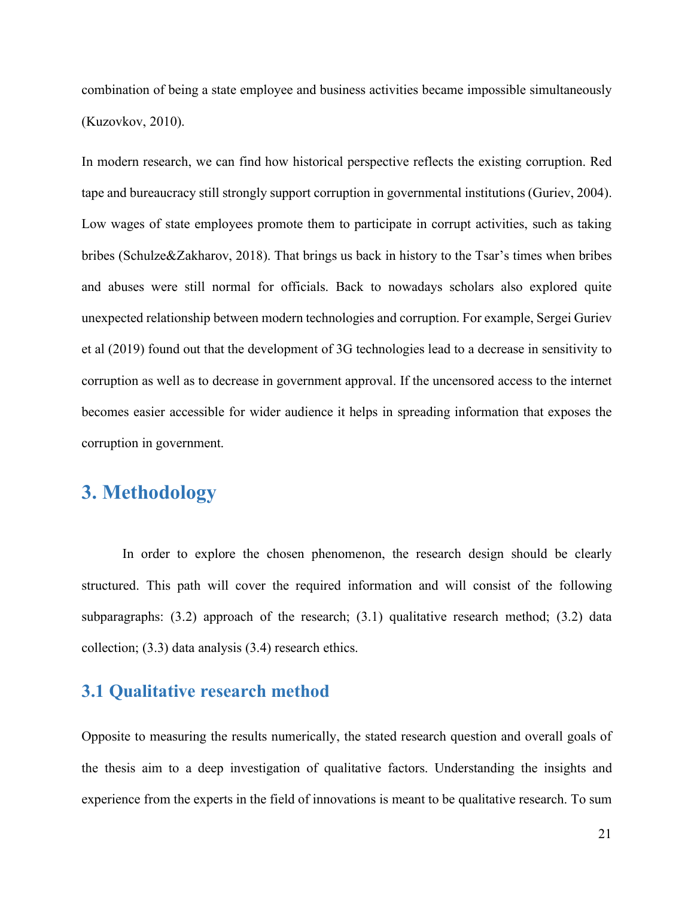combination of being a state employee and business activities became impossible simultaneously (Kuzovkov, 2010).

In modern research, we can find how historical perspective reflects the existing corruption. Red tape and bureaucracy still strongly support corruption in governmental institutions (Guriev, 2004). Low wages of state employees promote them to participate in corrupt activities, such as taking bribes (Schulze&Zakharov, 2018). That brings us back in history to the Tsar's times when bribes and abuses were still normal for officials. Back to nowadays scholars also explored quite unexpected relationship between modern technologies and corruption. For example, Sergei Guriev et al (2019) found out that the development of 3G technologies lead to a decrease in sensitivity to corruption as well as to decrease in government approval. If the uncensored access to the internet becomes easier accessible for wider audience it helps in spreading information that exposes the corruption in government.

## <span id="page-20-0"></span>**3. Methodology**

In order to explore the chosen phenomenon, the research design should be clearly structured. This path will cover the required information and will consist of the following subparagraphs: (3.2) approach of the research; (3.1) qualitative research method; (3.2) data collection; (3.3) data analysis (3.4) research ethics.

### <span id="page-20-1"></span>**3.1 Qualitative research method**

Opposite to measuring the results numerically, the stated research question and overall goals of the thesis aim to a deep investigation of qualitative factors. Understanding the insights and experience from the experts in the field of innovations is meant to be qualitative research. To sum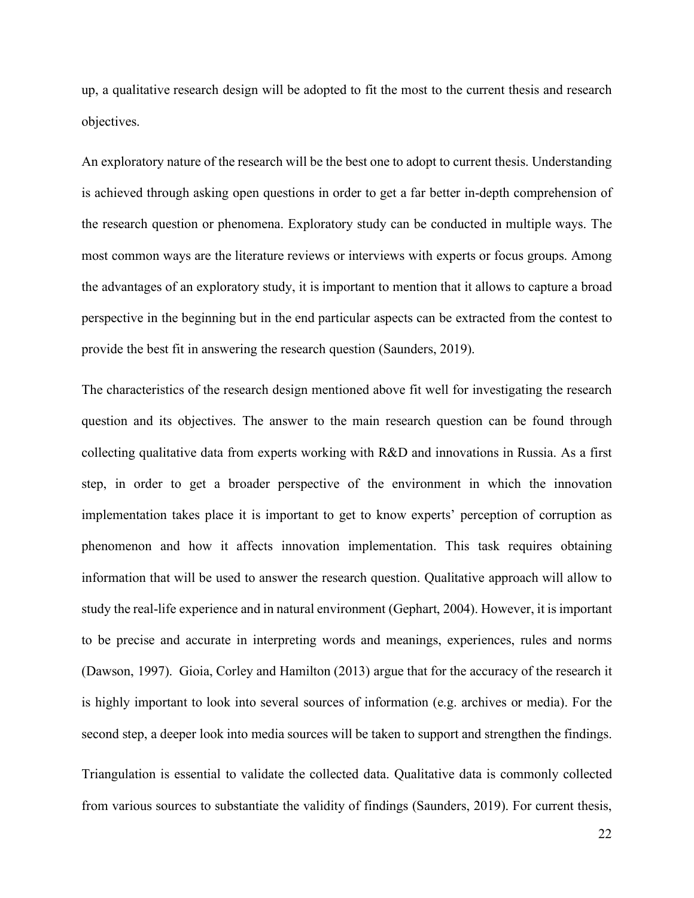up, a qualitative research design will be adopted to fit the most to the current thesis and research objectives.

An exploratory nature of the research will be the best one to adopt to current thesis. Understanding is achieved through asking open questions in order to get a far better in-depth comprehension of the research question or phenomena. Exploratory study can be conducted in multiple ways. The most common ways are the literature reviews or interviews with experts or focus groups. Among the advantages of an exploratory study, it is important to mention that it allows to capture a broad perspective in the beginning but in the end particular aspects can be extracted from the contest to provide the best fit in answering the research question (Saunders, 2019).

The characteristics of the research design mentioned above fit well for investigating the research question and its objectives. The answer to the main research question can be found through collecting qualitative data from experts working with R&D and innovations in Russia. As a first step, in order to get a broader perspective of the environment in which the innovation implementation takes place it is important to get to know experts' perception of corruption as phenomenon and how it affects innovation implementation. This task requires obtaining information that will be used to answer the research question. Qualitative approach will allow to study the real-life experience and in natural environment (Gephart, 2004). However, it is important to be precise and accurate in interpreting words and meanings, experiences, rules and norms (Dawson, 1997). Gioia, Corley and Hamilton (2013) argue that for the accuracy of the research it is highly important to look into several sources of information (e.g. archives or media). For the second step, a deeper look into media sources will be taken to support and strengthen the findings.

Triangulation is essential to validate the collected data. Qualitative data is commonly collected from various sources to substantiate the validity of findings (Saunders, 2019). For current thesis,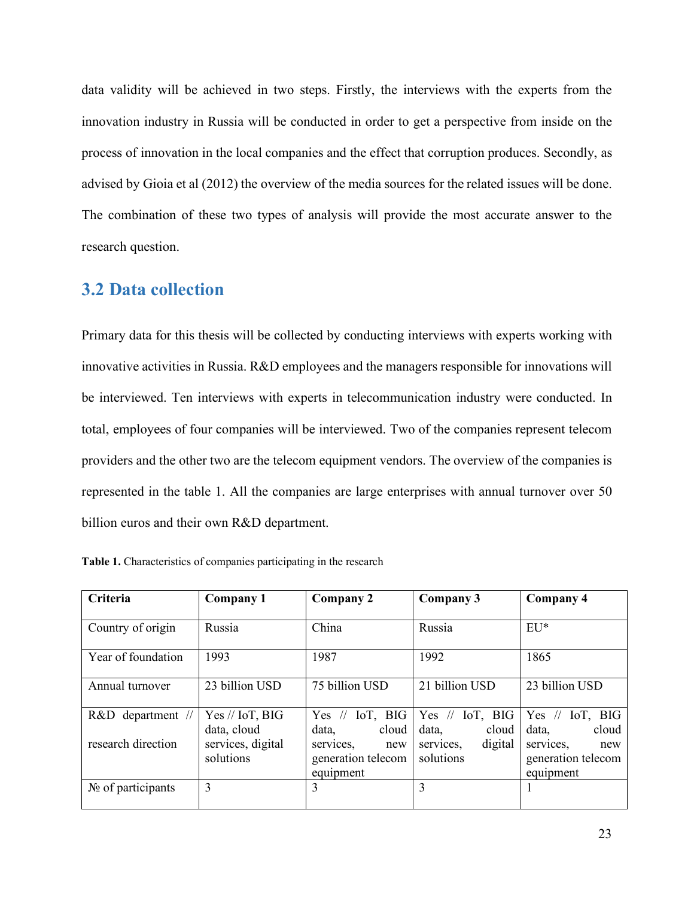data validity will be achieved in two steps. Firstly, the interviews with the experts from the innovation industry in Russia will be conducted in order to get a perspective from inside on the process of innovation in the local companies and the effect that corruption produces. Secondly, as advised by Gioia et al (2012) the overview of the media sources for the related issues will be done. The combination of these two types of analysis will provide the most accurate answer to the research question.

### <span id="page-22-0"></span>**3.2 Data collection**

Primary data for this thesis will be collected by conducting interviews with experts working with innovative activities in Russia. R&D employees and the managers responsible for innovations will be interviewed. Ten interviews with experts in telecommunication industry were conducted. In total, employees of four companies will be interviewed. Two of the companies represent telecom providers and the other two are the telecom equipment vendors. The overview of the companies is represented in the table 1. All the companies are large enterprises with annual turnover over 50 billion euros and their own R&D department.

| Criteria           | <b>Company 1</b>                 | Company 2                                           | Company 3                           | Company 4                                           |  |  |
|--------------------|----------------------------------|-----------------------------------------------------|-------------------------------------|-----------------------------------------------------|--|--|
| Country of origin  | Russia                           | China                                               | Russia                              | $EU^*$                                              |  |  |
| Year of foundation | 1993                             | 1987                                                | 1992                                | 1865                                                |  |  |
| Annual turnover    | 23 billion USD                   | 75 billion USD                                      | 21 billion USD                      | 23 billion USD                                      |  |  |
| R&D department //  | $Yes //$ IoT, BIG<br>data, cloud | Yes $//$ IoT, BIG<br>data,<br>cloud                 | Yes $//$ IoT, BIG<br>cloud<br>data, | Yes $//$ IoT, BIG<br>cloud<br>data,                 |  |  |
| research direction | services, digital<br>solutions   | services,<br>new<br>generation telecom<br>equipment | digital<br>services,<br>solutions   | services,<br>new<br>generation telecom<br>equipment |  |  |
| No of participants | 3                                | 3                                                   | 3                                   |                                                     |  |  |

**Table 1.** Characteristics of companies participating in the research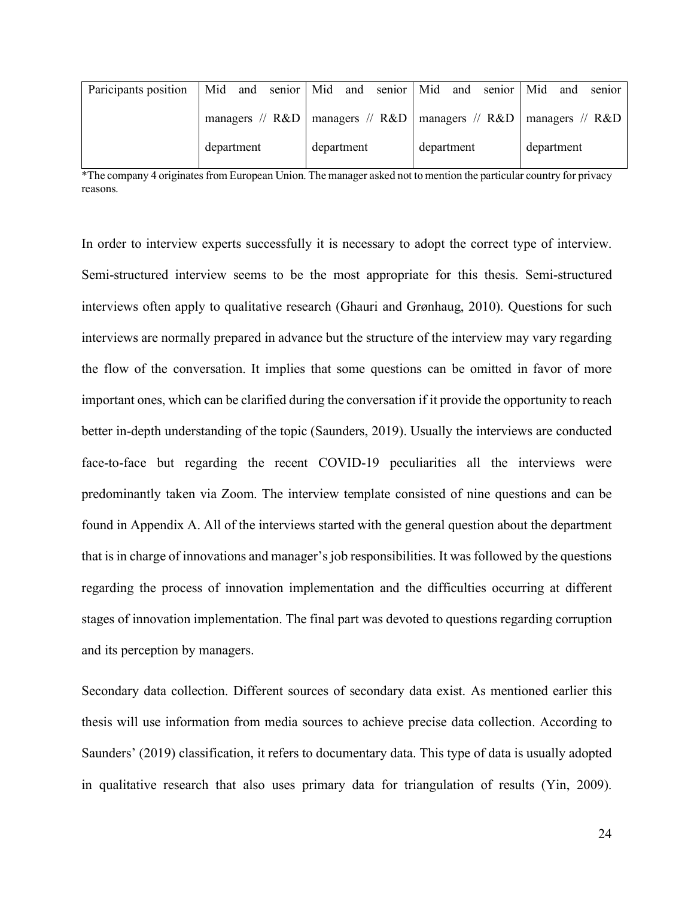| Paricipants position |            |                                                                               |            | Mid and senior Mid and senior Mid and senior Mid |  |            |  |  | and        | sentor |
|----------------------|------------|-------------------------------------------------------------------------------|------------|--------------------------------------------------|--|------------|--|--|------------|--------|
|                      |            | managers // $R&D$   managers // $R&D$   managers // $R&D$   managers // $R&D$ |            |                                                  |  |            |  |  |            |        |
|                      | department |                                                                               | department |                                                  |  | department |  |  | department |        |

\*The company 4 originates from European Union. The manager asked not to mention the particular country for privacy reasons.

In order to interview experts successfully it is necessary to adopt the correct type of interview. Semi-structured interview seems to be the most appropriate for this thesis. Semi-structured interviews often apply to qualitative research (Ghauri and Grønhaug, 2010). Questions for such interviews are normally prepared in advance but the structure of the interview may vary regarding the flow of the conversation. It implies that some questions can be omitted in favor of more important ones, which can be clarified during the conversation if it provide the opportunity to reach better in-depth understanding of the topic (Saunders, 2019). Usually the interviews are conducted face-to-face but regarding the recent COVID-19 peculiarities all the interviews were predominantly taken via Zoom. The interview template consisted of nine questions and can be found in Appendix A. All of the interviews started with the general question about the department that is in charge of innovations and manager's job responsibilities. It was followed by the questions regarding the process of innovation implementation and the difficulties occurring at different stages of innovation implementation. The final part was devoted to questions regarding corruption and its perception by managers.

Secondary data collection. Different sources of secondary data exist. As mentioned earlier this thesis will use information from media sources to achieve precise data collection. According to Saunders' (2019) classification, it refers to documentary data. This type of data is usually adopted in qualitative research that also uses primary data for triangulation of results (Yin, 2009).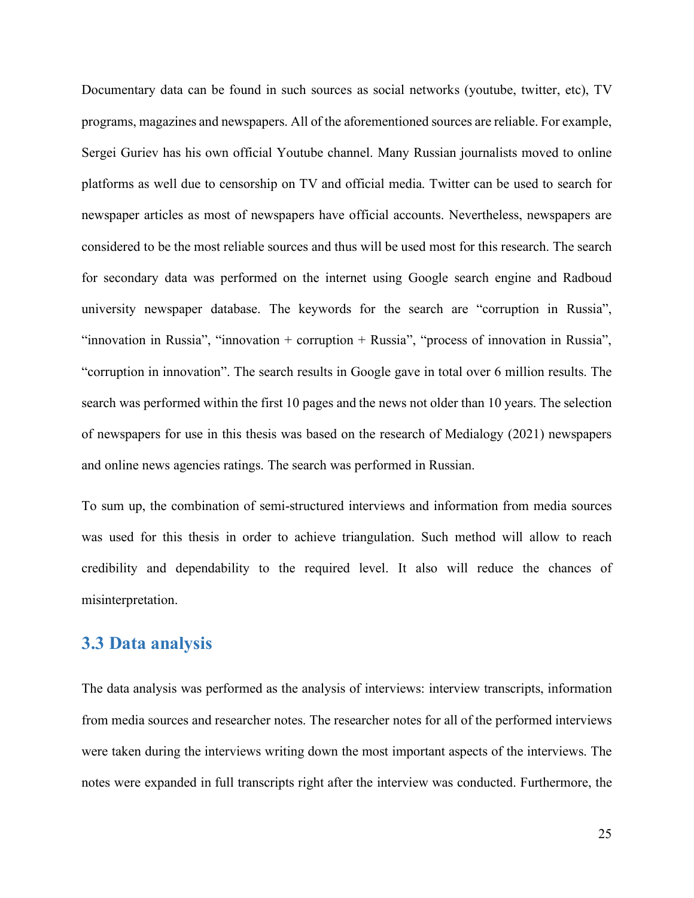Documentary data can be found in such sources as social networks (youtube, twitter, etc), TV programs, magazines and newspapers. All of the aforementioned sources are reliable. For example, Sergei Guriev has his own official Youtube channel. Many Russian journalists moved to online platforms as well due to censorship on TV and official media. Twitter can be used to search for newspaper articles as most of newspapers have official accounts. Nevertheless, newspapers are considered to be the most reliable sources and thus will be used most for this research. The search for secondary data was performed on the internet using Google search engine and Radboud university newspaper database. The keywords for the search are "corruption in Russia", "innovation in Russia", "innovation + corruption + Russia", "process of innovation in Russia", "corruption in innovation". The search results in Google gave in total over 6 million results. The search was performed within the first 10 pages and the news not older than 10 years. The selection of newspapers for use in this thesis was based on the research of Medialogy (2021) newspapers and online news agencies ratings. The search was performed in Russian.

To sum up, the combination of semi-structured interviews and information from media sources was used for this thesis in order to achieve triangulation. Such method will allow to reach credibility and dependability to the required level. It also will reduce the chances of misinterpretation.

### <span id="page-24-0"></span>**3.3 Data analysis**

The data analysis was performed as the analysis of interviews: interview transcripts, information from media sources and researcher notes. The researcher notes for all of the performed interviews were taken during the interviews writing down the most important aspects of the interviews. The notes were expanded in full transcripts right after the interview was conducted. Furthermore, the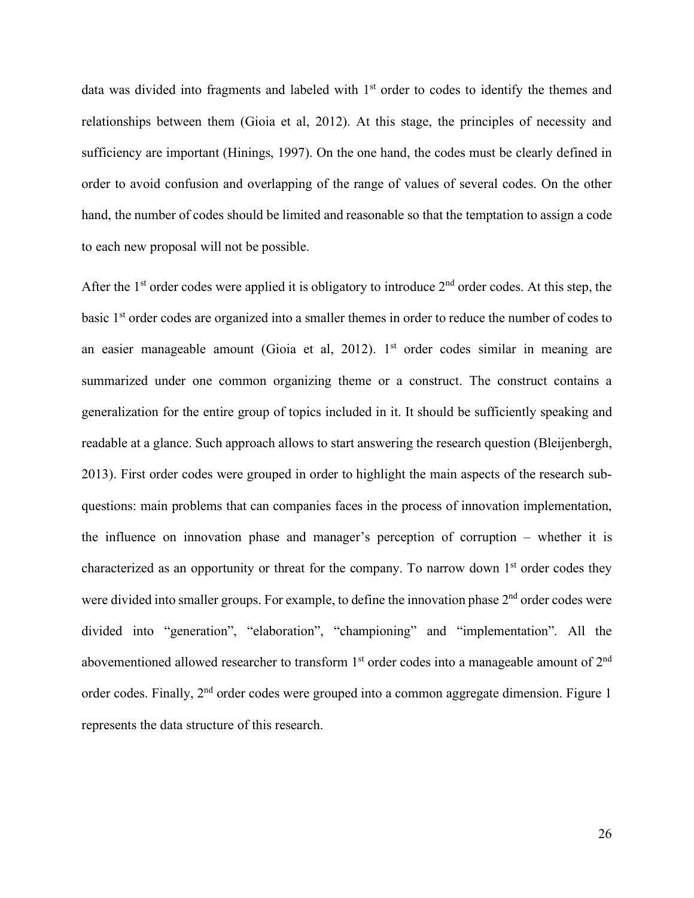data was divided into fragments and labeled with 1<sup>st</sup> order to codes to identify the themes and relationships between them (Gioia et al, 2012). At this stage, the principles of necessity and sufficiency are important (Hinings, 1997). On the one hand, the codes must be clearly defined in order to avoid confusion and overlapping of the range of values of several codes. On the other hand, the number of codes should be limited and reasonable so that the temptation to assign a code to each new proposal will not be possible.

After the  $1<sup>st</sup>$  order codes were applied it is obligatory to introduce  $2<sup>nd</sup>$  order codes. At this step, the basic 1<sup>st</sup> order codes are organized into a smaller themes in order to reduce the number of codes to an easier manageable amount (Gioia et al, 2012). 1<sup>st</sup> order codes similar in meaning are summarized under one common organizing theme or a construct. The construct contains a generalization for the entire group of topics included in it. It should be sufficiently speaking and readable at a glance. Such approach allows to start answering the research question (Bleijenbergh, 2013). First order codes were grouped in order to highlight the main aspects of the research subquestions: main problems that can companies faces in the process of innovation implementation, the influence on innovation phase and manager's perception of corruption – whether it is characterized as an opportunity or threat for the company. To narrow down  $1<sup>st</sup>$  order codes they were divided into smaller groups. For example, to define the innovation phase  $2<sup>nd</sup>$  order codes were divided into "generation", "elaboration", "championing" and "implementation". All the abovementioned allowed researcher to transform  $1<sup>st</sup>$  order codes into a manageable amount of  $2<sup>nd</sup>$ order codes. Finally, 2<sup>nd</sup> order codes were grouped into a common aggregate dimension. Figure 1 represents the data structure of this research.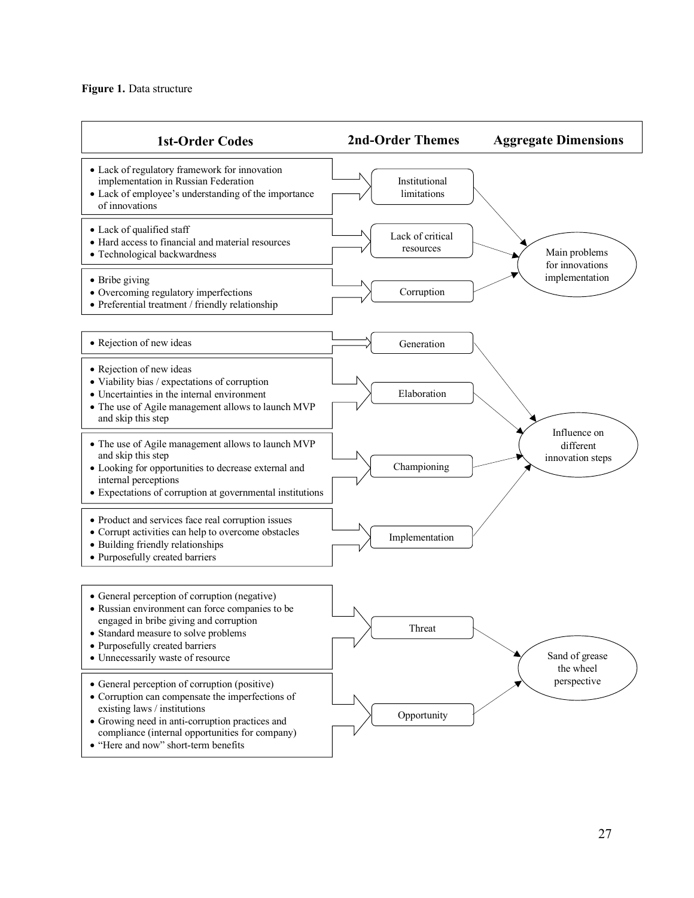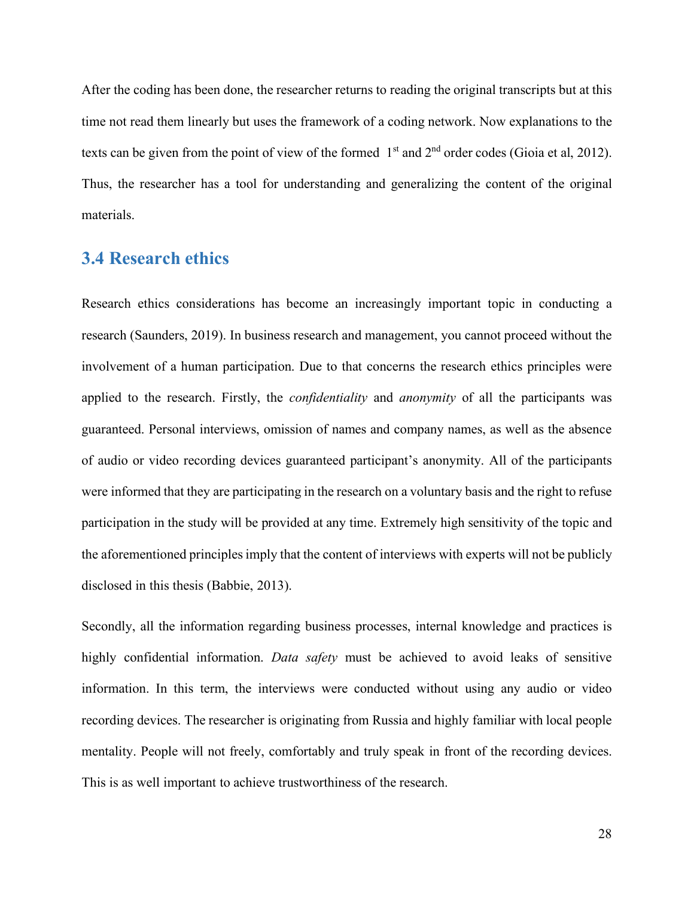After the coding has been done, the researcher returns to reading the original transcripts but at this time not read them linearly but uses the framework of a coding network. Now explanations to the texts can be given from the point of view of the formed 1<sup>st</sup> and 2<sup>nd</sup> order codes (Gioia et al, 2012). Thus, the researcher has a tool for understanding and generalizing the content of the original materials.

## <span id="page-27-0"></span>**3.4 Research ethics**

Research ethics considerations has become an increasingly important topic in conducting a research (Saunders, 2019). In business research and management, you cannot proceed without the involvement of a human participation. Due to that concerns the research ethics principles were applied to the research. Firstly, the *confidentiality* and *anonymity* of all the participants was guaranteed. Personal interviews, omission of names and company names, as well as the absence of audio or video recording devices guaranteed participant's anonymity. All of the participants were informed that they are participating in the research on a voluntary basis and the right to refuse participation in the study will be provided at any time. Extremely high sensitivity of the topic and the aforementioned principles imply that the content of interviews with experts will not be publicly disclosed in this thesis (Babbie, 2013).

Secondly, all the information regarding business processes, internal knowledge and practices is highly confidential information. *Data safety* must be achieved to avoid leaks of sensitive information. In this term, the interviews were conducted without using any audio or video recording devices. The researcher is originating from Russia and highly familiar with local people mentality. People will not freely, comfortably and truly speak in front of the recording devices. This is as well important to achieve trustworthiness of the research.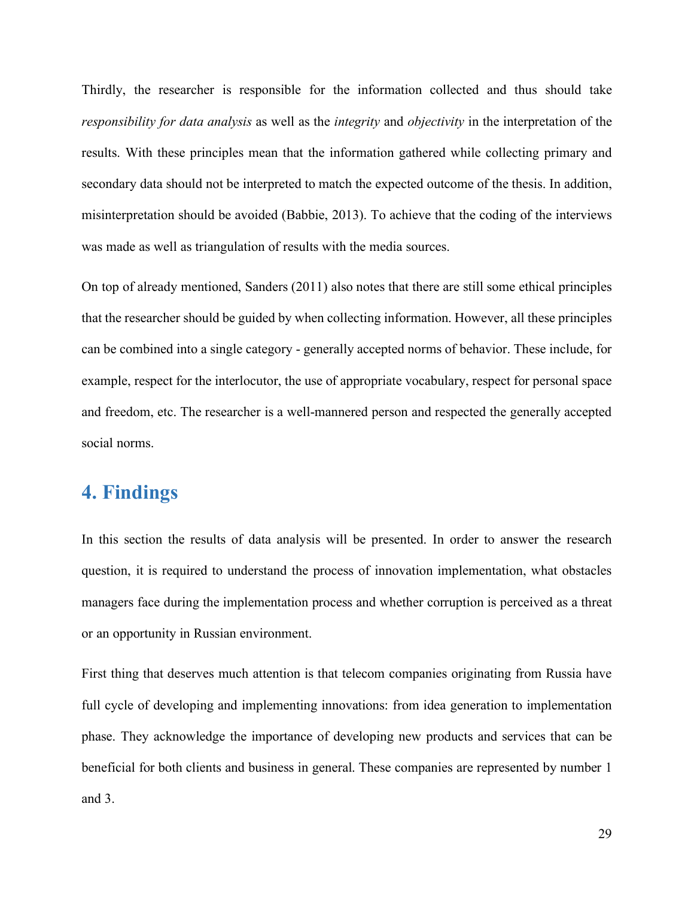Thirdly, the researcher is responsible for the information collected and thus should take *responsibility for data analysis* as well as the *integrity* and *objectivity* in the interpretation of the results. With these principles mean that the information gathered while collecting primary and secondary data should not be interpreted to match the expected outcome of the thesis. In addition, misinterpretation should be avoided (Babbie, 2013). To achieve that the coding of the interviews was made as well as triangulation of results with the media sources.

On top of already mentioned, Sanders (2011) also notes that there are still some ethical principles that the researcher should be guided by when collecting information. However, all these principles can be combined into a single category - generally accepted norms of behavior. These include, for example, respect for the interlocutor, the use of appropriate vocabulary, respect for personal space and freedom, etc. The researcher is a well-mannered person and respected the generally accepted social norms.

## <span id="page-28-0"></span>**4. Findings**

In this section the results of data analysis will be presented. In order to answer the research question, it is required to understand the process of innovation implementation, what obstacles managers face during the implementation process and whether corruption is perceived as a threat or an opportunity in Russian environment.

First thing that deserves much attention is that telecom companies originating from Russia have full cycle of developing and implementing innovations: from idea generation to implementation phase. They acknowledge the importance of developing new products and services that can be beneficial for both clients and business in general. These companies are represented by number 1 and 3.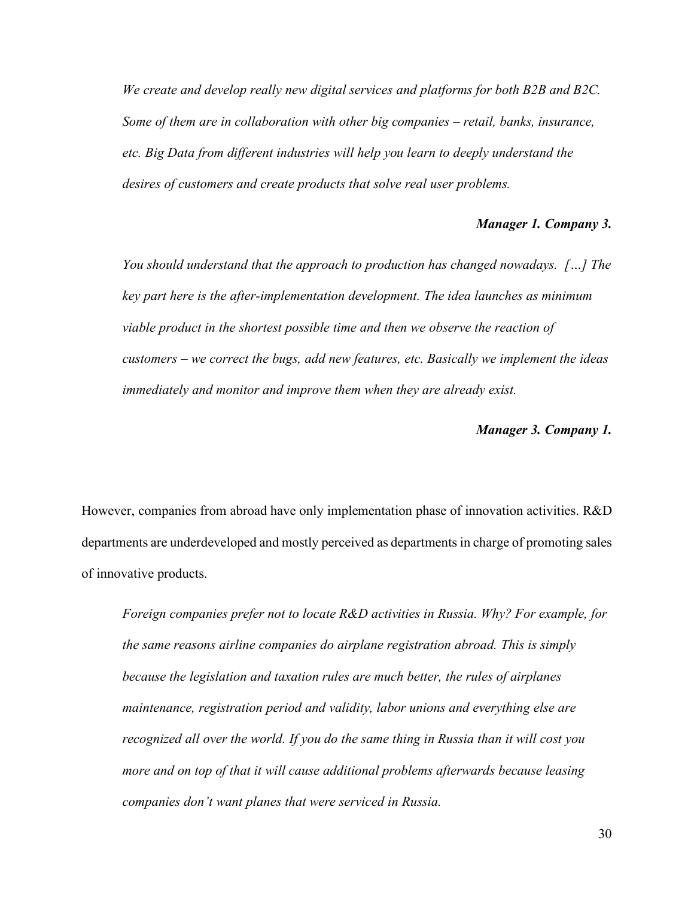*We create and develop really new digital services and platforms for both B2B and B2C. Some of them are in collaboration with other big companies – retail, banks, insurance, etc. Big Data from different industries will help you learn to deeply understand the desires of customers and create products that solve real user problems.*

#### *Manager 1. Company 3.*

*You should understand that the approach to production has changed nowadays. […] The key part here is the after-implementation development. The idea launches as minimum viable product in the shortest possible time and then we observe the reaction of customers – we correct the bugs, add new features, etc. Basically we implement the ideas immediately and monitor and improve them when they are already exist.*

#### *Manager 3. Company 1.*

However, companies from abroad have only implementation phase of innovation activities. R&D departments are underdeveloped and mostly perceived as departments in charge of promoting sales of innovative products.

*Foreign companies prefer not to locate R&D activities in Russia. Why? For example, for the same reasons airline companies do airplane registration abroad. This is simply because the legislation and taxation rules are much better, the rules of airplanes maintenance, registration period and validity, labor unions and everything else are recognized all over the world. If you do the same thing in Russia than it will cost you more and on top of that it will cause additional problems afterwards because leasing companies don't want planes that were serviced in Russia.*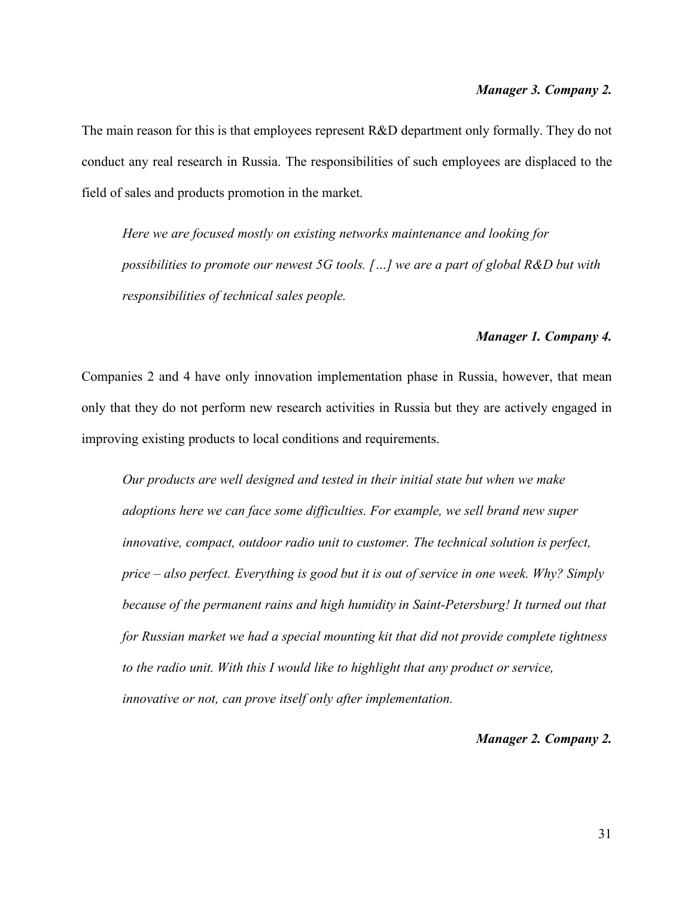The main reason for this is that employees represent R&D department only formally. They do not conduct any real research in Russia. The responsibilities of such employees are displaced to the field of sales and products promotion in the market.

*Here we are focused mostly on existing networks maintenance and looking for possibilities to promote our newest 5G tools. […] we are a part of global R&D but with responsibilities of technical sales people.*

#### *Manager 1. Company 4.*

Companies 2 and 4 have only innovation implementation phase in Russia, however, that mean only that they do not perform new research activities in Russia but they are actively engaged in improving existing products to local conditions and requirements.

*Our products are well designed and tested in their initial state but when we make adoptions here we can face some difficulties. For example, we sell brand new super innovative, compact, outdoor radio unit to customer. The technical solution is perfect, price – also perfect. Everything is good but it is out of service in one week. Why? Simply because of the permanent rains and high humidity in Saint-Petersburg! It turned out that for Russian market we had a special mounting kit that did not provide complete tightness*  to the radio unit. With this I would like to highlight that any product or service, *innovative or not, can prove itself only after implementation.*

#### *Manager 2. Company 2.*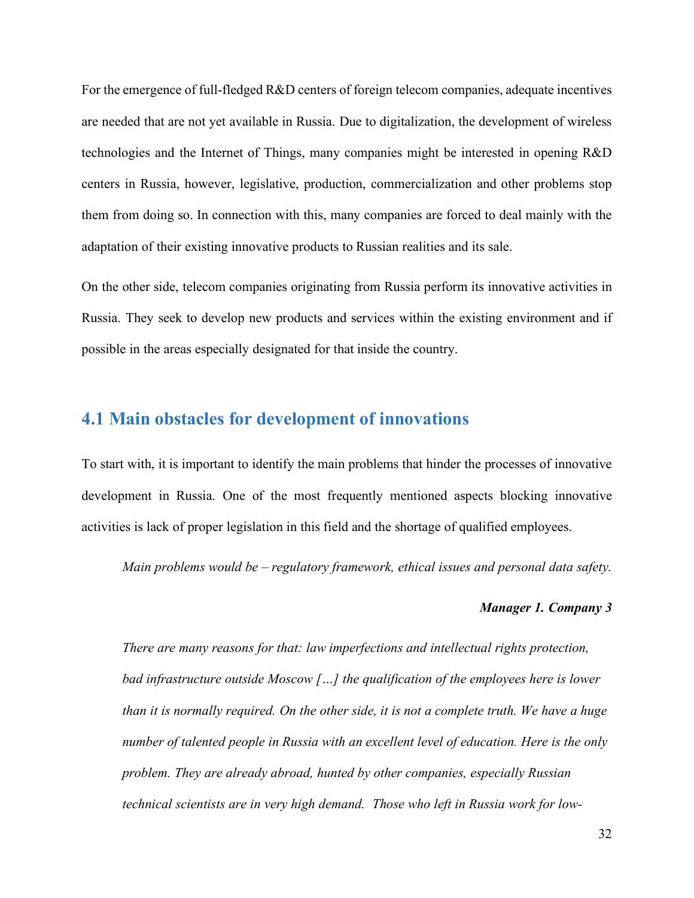For the emergence of full-fledged R&D centers of foreign telecom companies, adequate incentives are needed that are not yet available in Russia. Due to digitalization, the development of wireless technologies and the Internet of Things, many companies might be interested in opening R&D centers in Russia, however, legislative, production, commercialization and other problems stop them from doing so. In connection with this, many companies are forced to deal mainly with the adaptation of their existing innovative products to Russian realities and its sale.

On the other side, telecom companies originating from Russia perform its innovative activities in Russia. They seek to develop new products and services within the existing environment and if possible in the areas especially designated for that inside the country.

## <span id="page-31-0"></span>**4.1 Main obstacles for development of innovations**

To start with, it is important to identify the main problems that hinder the processes of innovative development in Russia. One of the most frequently mentioned aspects blocking innovative activities is lack of proper legislation in this field and the shortage of qualified employees.

*Main problems would be – regulatory framework, ethical issues and personal data safety.*

#### *Manager 1. Company 3*

*There are many reasons for that: law imperfections and intellectual rights protection, bad infrastructure outside Moscow […] the qualification of the employees here is lower than it is normally required. On the other side, it is not a complete truth. We have a huge number of talented people in Russia with an excellent level of education. Here is the only problem. They are already abroad, hunted by other companies, especially Russian technical scientists are in very high demand. Those who left in Russia work for low-*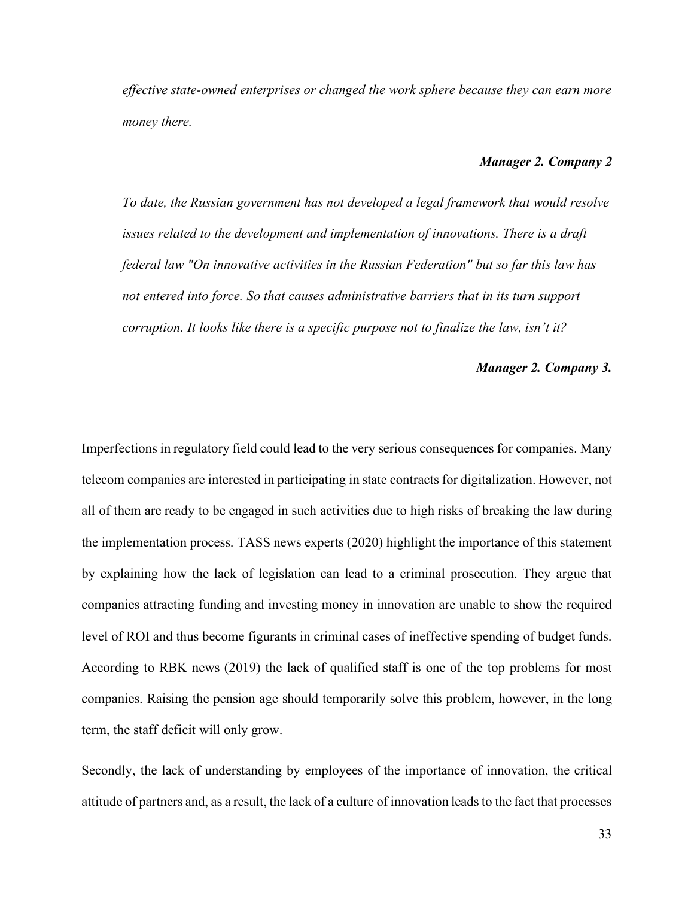*effective state-owned enterprises or changed the work sphere because they can earn more money there.*

#### *Manager 2. Company 2*

*To date, the Russian government has not developed a legal framework that would resolve issues related to the development and implementation of innovations. There is a draft federal law "On innovative activities in the Russian Federation" but so far this law has not entered into force. So that causes administrative barriers that in its turn support corruption. It looks like there is a specific purpose not to finalize the law, isn't it?*

#### *Manager 2. Company 3.*

Imperfections in regulatory field could lead to the very serious consequences for companies. Many telecom companies are interested in participating in state contracts for digitalization. However, not all of them are ready to be engaged in such activities due to high risks of breaking the law during the implementation process. TASS news experts (2020) highlight the importance of this statement by explaining how the lack of legislation can lead to a criminal prosecution. They argue that companies attracting funding and investing money in innovation are unable to show the required level of ROI and thus become figurants in criminal cases of ineffective spending of budget funds. According to RBK news (2019) the lack of qualified staff is one of the top problems for most companies. Raising the pension age should temporarily solve this problem, however, in the long term, the staff deficit will only grow.

Secondly, the lack of understanding by employees of the importance of innovation, the critical attitude of partners and, as a result, the lack of a culture of innovation leads to the fact that processes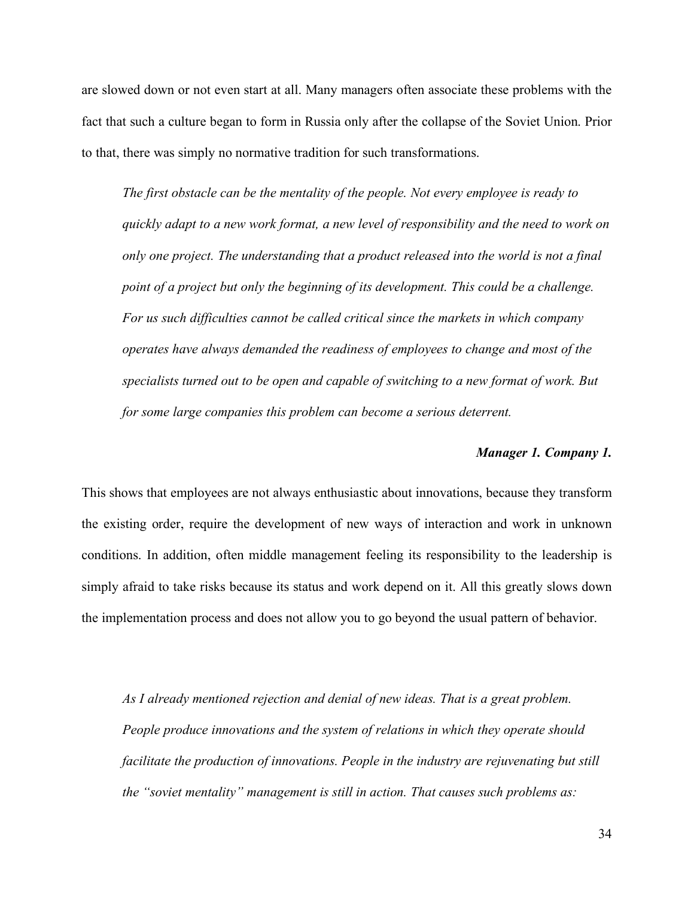are slowed down or not even start at all. Many managers often associate these problems with the fact that such a culture began to form in Russia only after the collapse of the Soviet Union. Prior to that, there was simply no normative tradition for such transformations.

*The first obstacle can be the mentality of the people. Not every employee is ready to quickly adapt to a new work format, a new level of responsibility and the need to work on only one project. The understanding that a product released into the world is not a final point of a project but only the beginning of its development. This could be a challenge. For us such difficulties cannot be called critical since the markets in which company operates have always demanded the readiness of employees to change and most of the specialists turned out to be open and capable of switching to a new format of work. But for some large companies this problem can become a serious deterrent.*

#### *Manager 1. Company 1.*

This shows that employees are not always enthusiastic about innovations, because they transform the existing order, require the development of new ways of interaction and work in unknown conditions. In addition, often middle management feeling its responsibility to the leadership is simply afraid to take risks because its status and work depend on it. All this greatly slows down the implementation process and does not allow you to go beyond the usual pattern of behavior.

*As I already mentioned rejection and denial of new ideas. That is a great problem. People produce innovations and the system of relations in which they operate should facilitate the production of innovations. People in the industry are rejuvenating but still the "soviet mentality" management is still in action. That causes such problems as:*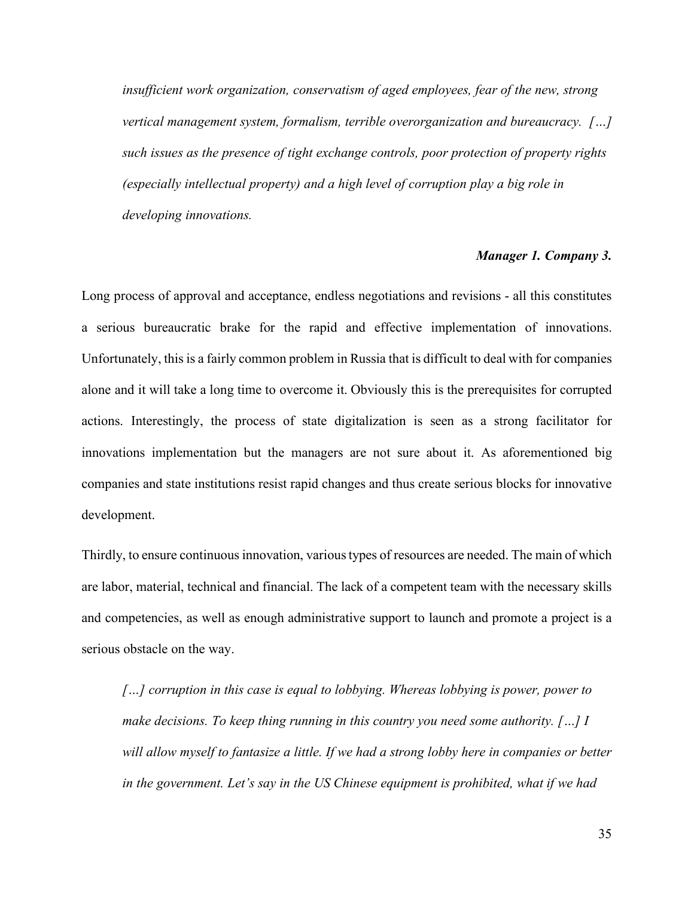*insufficient work organization, conservatism of aged employees, fear of the new, strong vertical management system, formalism, terrible overorganization and bureaucracy. […] such issues as the presence of tight exchange controls, poor protection of property rights (especially intellectual property) and a high level of corruption play a big role in developing innovations.*

#### *Manager 1. Company 3.*

Long process of approval and acceptance, endless negotiations and revisions - all this constitutes a serious bureaucratic brake for the rapid and effective implementation of innovations. Unfortunately, this is a fairly common problem in Russia that is difficult to deal with for companies alone and it will take a long time to overcome it. Obviously this is the prerequisites for corrupted actions. Interestingly, the process of state digitalization is seen as a strong facilitator for innovations implementation but the managers are not sure about it. As aforementioned big companies and state institutions resist rapid changes and thus create serious blocks for innovative development.

Thirdly, to ensure continuous innovation, various types of resources are needed. The main of which are labor, material, technical and financial. The lack of a competent team with the necessary skills and competencies, as well as enough administrative support to launch and promote a project is a serious obstacle on the way.

*[…] corruption in this case is equal to lobbying. Whereas lobbying is power, power to make decisions. To keep thing running in this country you need some authority. […] I will allow myself to fantasize a little. If we had a strong lobby here in companies or better in the government. Let's say in the US Chinese equipment is prohibited, what if we had*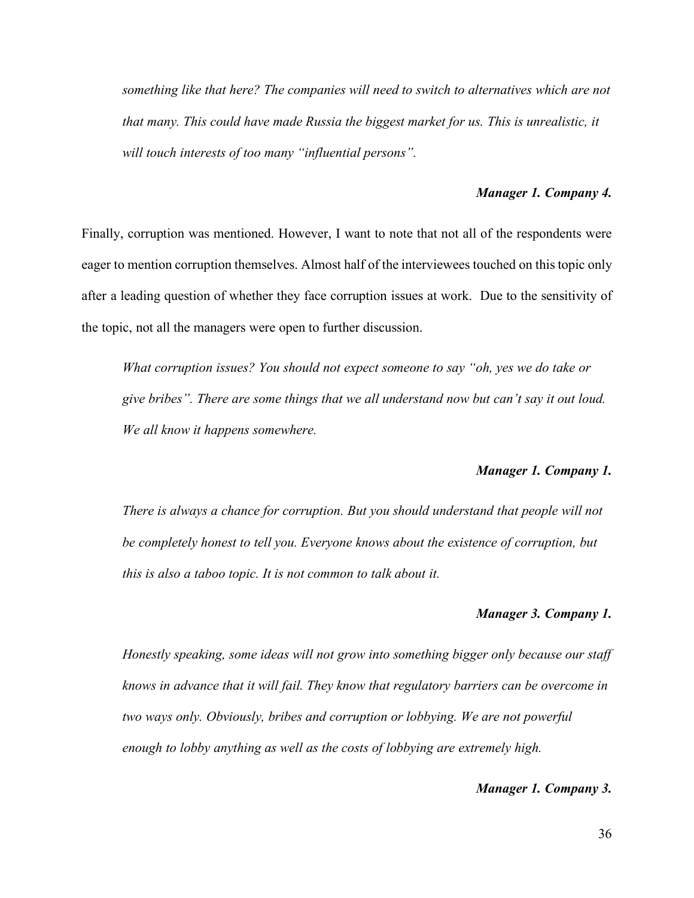*something like that here? The companies will need to switch to alternatives which are not that many. This could have made Russia the biggest market for us. This is unrealistic, it will touch interests of too many "influential persons".*

#### *Manager 1. Company 4.*

Finally, corruption was mentioned. However, I want to note that not all of the respondents were eager to mention corruption themselves. Almost half of the interviewees touched on this topic only after a leading question of whether they face corruption issues at work. Due to the sensitivity of the topic, not all the managers were open to further discussion.

*What corruption issues? You should not expect someone to say "oh, yes we do take or give bribes". There are some things that we all understand now but can't say it out loud. We all know it happens somewhere.*

#### *Manager 1. Company 1.*

*There is always a chance for corruption. But you should understand that people will not be completely honest to tell you. Everyone knows about the existence of corruption, but this is also a taboo topic. It is not common to talk about it.*

#### *Manager 3. Company 1.*

*Honestly speaking, some ideas will not grow into something bigger only because our staff knows in advance that it will fail. They know that regulatory barriers can be overcome in two ways only. Obviously, bribes and corruption or lobbying. We are not powerful enough to lobby anything as well as the costs of lobbying are extremely high.* 

#### *Manager 1. Company 3.*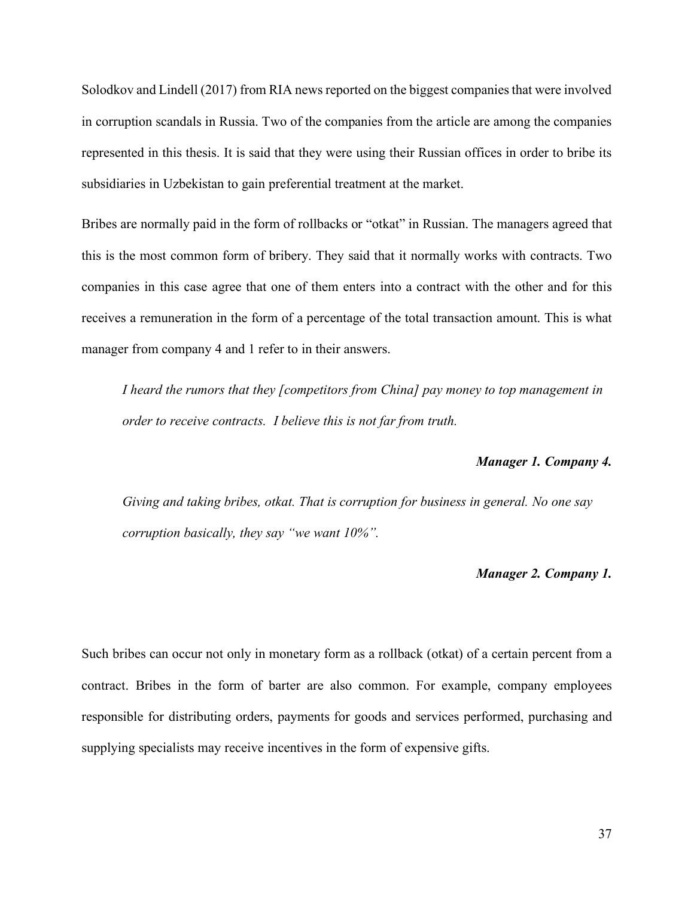Solodkov and Lindell (2017) from RIA news reported on the biggest companies that were involved in corruption scandals in Russia. Two of the companies from the article are among the companies represented in this thesis. It is said that they were using their Russian offices in order to bribe its subsidiaries in Uzbekistan to gain preferential treatment at the market.

Bribes are normally paid in the form of rollbacks or "otkat" in Russian. The managers agreed that this is the most common form of bribery. They said that it normally works with contracts. Two companies in this case agree that one of them enters into a contract with the other and for this receives a remuneration in the form of a percentage of the total transaction amount. This is what manager from company 4 and 1 refer to in their answers.

*I heard the rumors that they [competitors from China] pay money to top management in order to receive contracts. I believe this is not far from truth.*

#### *Manager 1. Company 4.*

*Giving and taking bribes, otkat. That is corruption for business in general. No one say corruption basically, they say "we want 10%".*

#### *Manager 2. Company 1.*

Such bribes can occur not only in monetary form as a rollback (otkat) of a certain percent from a contract. Bribes in the form of barter are also common. For example, company employees responsible for distributing orders, payments for goods and services performed, purchasing and supplying specialists may receive incentives in the form of expensive gifts.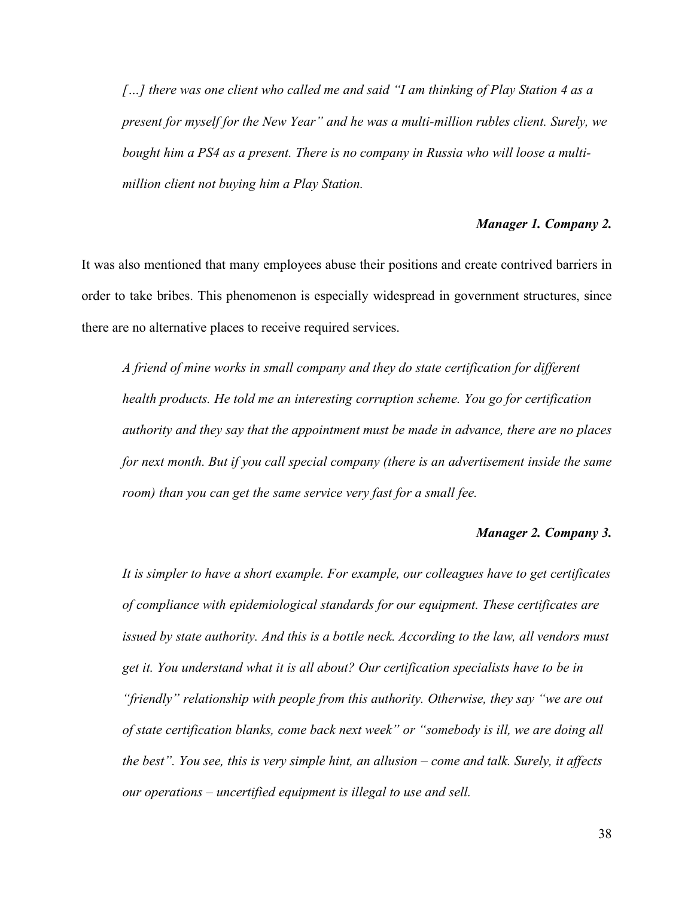*[…] there was one client who called me and said "I am thinking of Play Station 4 as a present for myself for the New Year" and he was a multi-million rubles client. Surely, we bought him a PS4 as a present. There is no company in Russia who will loose a multimillion client not buying him a Play Station.*

#### *Manager 1. Company 2.*

It was also mentioned that many employees abuse their positions and create contrived barriers in order to take bribes. This phenomenon is especially widespread in government structures, since there are no alternative places to receive required services.

*A friend of mine works in small company and they do state certification for different health products. He told me an interesting corruption scheme. You go for certification authority and they say that the appointment must be made in advance, there are no places for next month. But if you call special company (there is an advertisement inside the same room) than you can get the same service very fast for a small fee.*

#### *Manager 2. Company 3.*

*It is simpler to have a short example. For example, our colleagues have to get certificates of compliance with epidemiological standards for our equipment. These certificates are issued by state authority. And this is a bottle neck. According to the law, all vendors must get it. You understand what it is all about? Our certification specialists have to be in "friendly" relationship with people from this authority. Otherwise, they say "we are out of state certification blanks, come back next week" or "somebody is ill, we are doing all the best". You see, this is very simple hint, an allusion – come and talk. Surely, it affects our operations – uncertified equipment is illegal to use and sell.*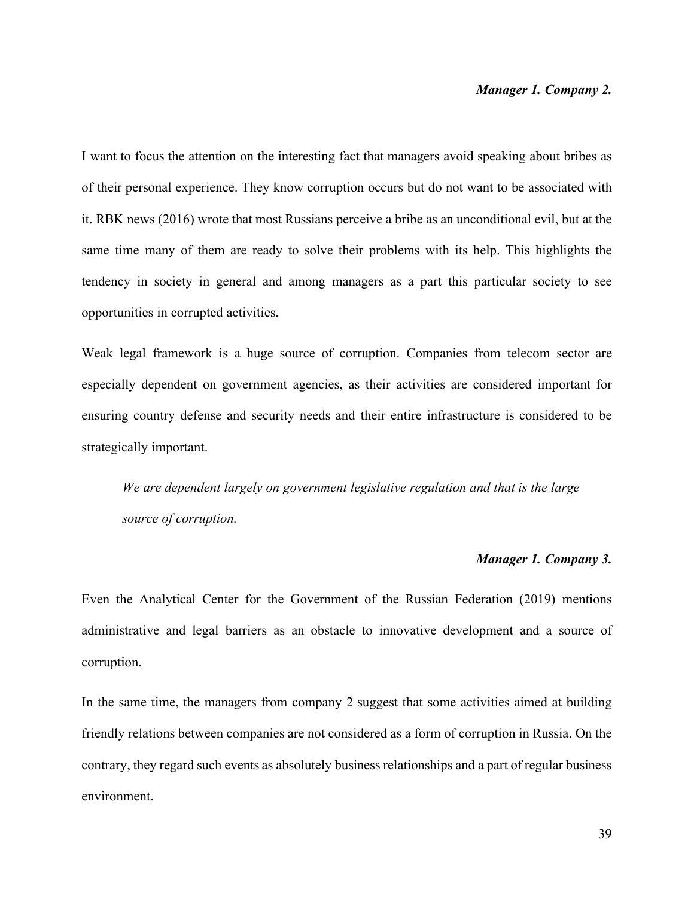#### *Manager 1. Company 2.*

I want to focus the attention on the interesting fact that managers avoid speaking about bribes as of their personal experience. They know corruption occurs but do not want to be associated with it. RBK news (2016) wrote that most Russians perceive a bribe as an unconditional evil, but at the same time many of them are ready to solve their problems with its help. This highlights the tendency in society in general and among managers as a part this particular society to see opportunities in corrupted activities.

Weak legal framework is a huge source of corruption. Companies from telecom sector are especially dependent on government agencies, as their activities are considered important for ensuring country defense and security needs and their entire infrastructure is considered to be strategically important.

*We are dependent largely on government legislative regulation and that is the large source of corruption.*

#### *Manager 1. Company 3.*

Even the Analytical Center for the Government of the Russian Federation (2019) mentions administrative and legal barriers as an obstacle to innovative development and a source of corruption.

In the same time, the managers from company 2 suggest that some activities aimed at building friendly relations between companies are not considered as a form of corruption in Russia. On the contrary, they regard such events as absolutely business relationships and a part of regular business environment.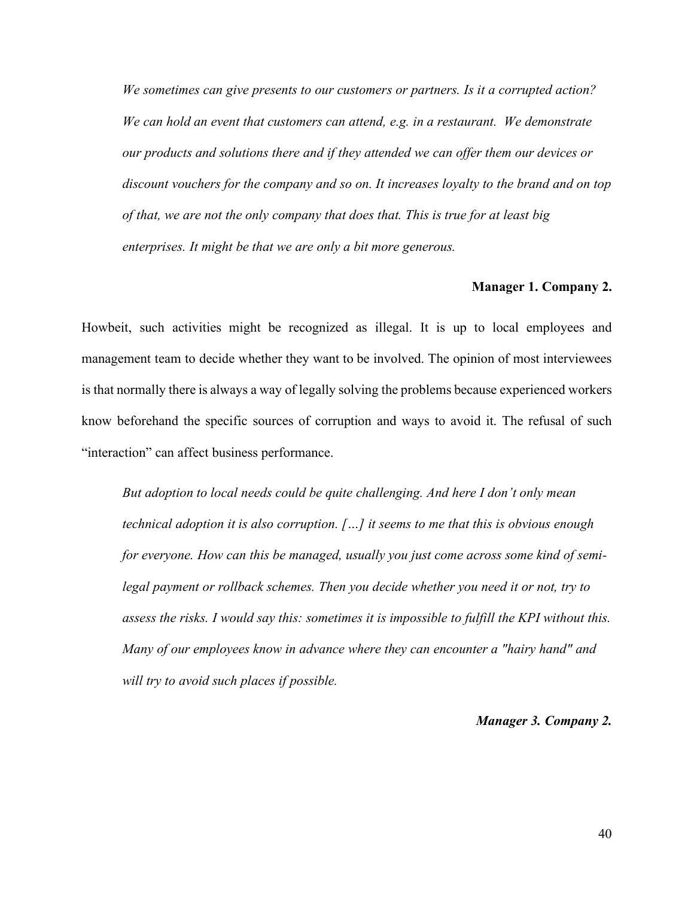*We sometimes can give presents to our customers or partners. Is it a corrupted action? We can hold an event that customers can attend, e.g. in a restaurant. We demonstrate our products and solutions there and if they attended we can offer them our devices or discount vouchers for the company and so on. It increases loyalty to the brand and on top of that, we are not the only company that does that. This is true for at least big enterprises. It might be that we are only a bit more generous.*

#### **Manager 1. Company 2.**

Howbeit, such activities might be recognized as illegal. It is up to local employees and management team to decide whether they want to be involved. The opinion of most interviewees is that normally there is always a way of legally solving the problems because experienced workers know beforehand the specific sources of corruption and ways to avoid it. The refusal of such "interaction" can affect business performance.

*But adoption to local needs could be quite challenging. And here I don't only mean technical adoption it is also corruption. […] it seems to me that this is obvious enough for everyone. How can this be managed, usually you just come across some kind of semilegal payment or rollback schemes. Then you decide whether you need it or not, try to assess the risks. I would say this: sometimes it is impossible to fulfill the KPI without this. Many of our employees know in advance where they can encounter a "hairy hand" and will try to avoid such places if possible.*

#### *Manager 3. Company 2.*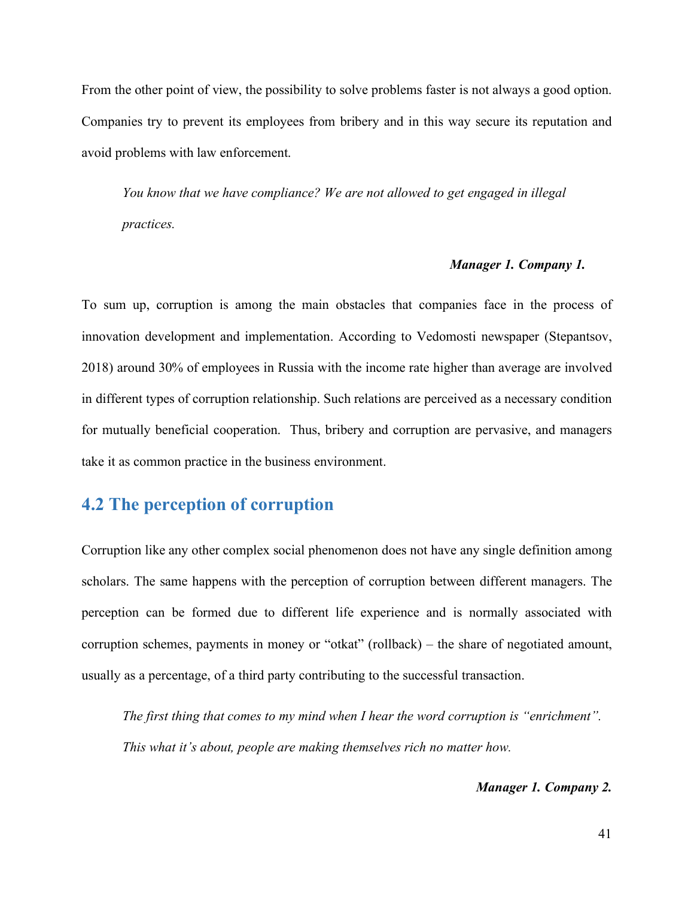From the other point of view, the possibility to solve problems faster is not always a good option. Companies try to prevent its employees from bribery and in this way secure its reputation and avoid problems with law enforcement.

*You know that we have compliance? We are not allowed to get engaged in illegal practices.*

#### *Manager 1. Company 1.*

To sum up, corruption is among the main obstacles that companies face in the process of innovation development and implementation. According to Vedomosti newspaper (Stepantsov, 2018) around 30% of employees in Russia with the income rate higher than average are involved in different types of corruption relationship. Such relations are perceived as a necessary condition for mutually beneficial cooperation. Thus, bribery and corruption are pervasive, and managers take it as common practice in the business environment.

### <span id="page-40-0"></span>**4.2 The perception of corruption**

Corruption like any other complex social phenomenon does not have any single definition among scholars. The same happens with the perception of corruption between different managers. The perception can be formed due to different life experience and is normally associated with corruption schemes, payments in money or "otkat" (rollback) – the share of negotiated amount, usually as a percentage, of a third party contributing to the successful transaction.

*The first thing that comes to my mind when I hear the word corruption is "enrichment". This what it's about, people are making themselves rich no matter how.*

#### *Manager 1. Company 2.*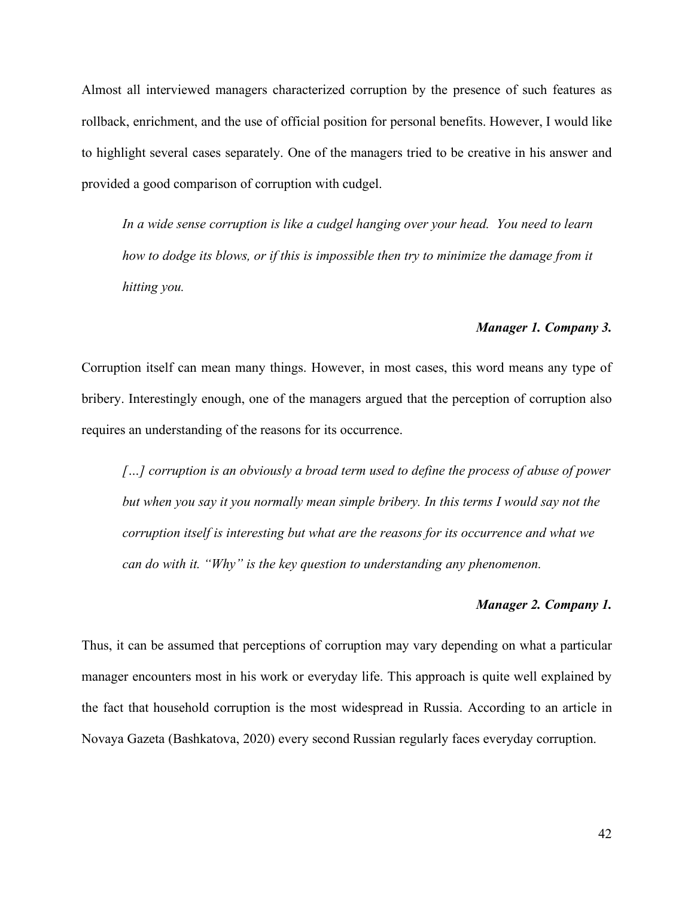Almost all interviewed managers characterized corruption by the presence of such features as rollback, enrichment, and the use of official position for personal benefits. However, I would like to highlight several cases separately. One of the managers tried to be creative in his answer and provided a good comparison of corruption with cudgel.

*In a wide sense corruption is like a cudgel hanging over your head. You need to learn how to dodge its blows, or if this is impossible then try to minimize the damage from it hitting you.*

#### *Manager 1. Company 3.*

Corruption itself can mean many things. However, in most cases, this word means any type of bribery. Interestingly enough, one of the managers argued that the perception of corruption also requires an understanding of the reasons for its occurrence.

*[…] corruption is an obviously a broad term used to define the process of abuse of power but when you say it you normally mean simple bribery. In this terms I would say not the corruption itself is interesting but what are the reasons for its occurrence and what we can do with it. "Why" is the key question to understanding any phenomenon.* 

#### *Manager 2. Company 1.*

Thus, it can be assumed that perceptions of corruption may vary depending on what a particular manager encounters most in his work or everyday life. This approach is quite well explained by the fact that household corruption is the most widespread in Russia. According to an article in Novaya Gazeta (Bashkatova, 2020) every second Russian regularly faces everyday corruption.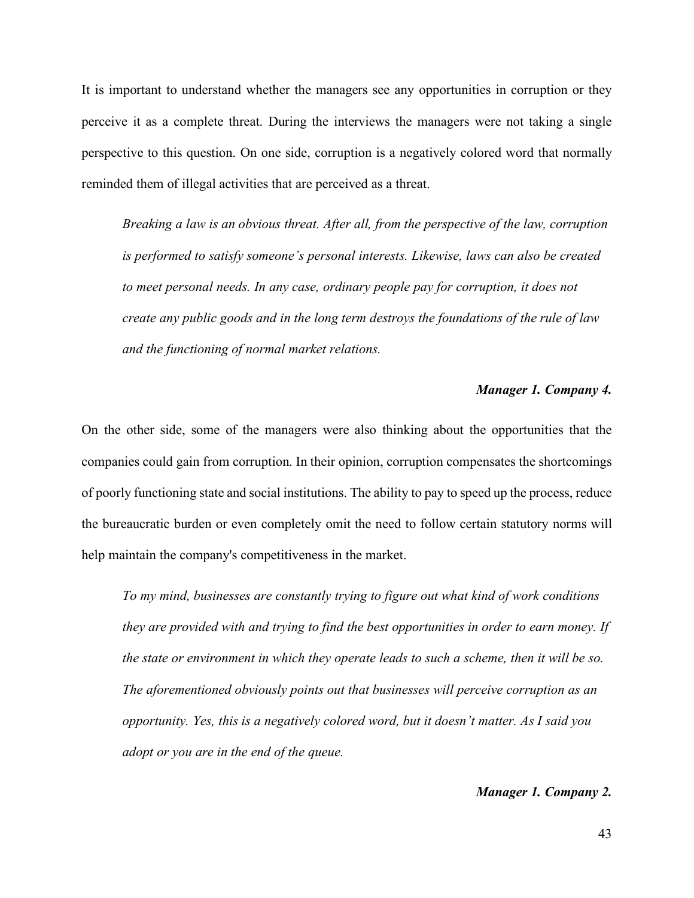It is important to understand whether the managers see any opportunities in corruption or they perceive it as a complete threat. During the interviews the managers were not taking a single perspective to this question. On one side, corruption is a negatively colored word that normally reminded them of illegal activities that are perceived as a threat.

*Breaking a law is an obvious threat. After all, from the perspective of the law, corruption is performed to satisfy someone's personal interests. Likewise, laws can also be created*  to meet personal needs. In any case, ordinary people pay for corruption, it does not *create any public goods and in the long term destroys the foundations of the rule of law and the functioning of normal market relations.*

#### *Manager 1. Company 4.*

On the other side, some of the managers were also thinking about the opportunities that the companies could gain from corruption. In their opinion, corruption compensates the shortcomings of poorly functioning state and social institutions. The ability to pay to speed up the process, reduce the bureaucratic burden or even completely omit the need to follow certain statutory norms will help maintain the company's competitiveness in the market.

*To my mind, businesses are constantly trying to figure out what kind of work conditions they are provided with and trying to find the best opportunities in order to earn money. If the state or environment in which they operate leads to such a scheme, then it will be so. The aforementioned obviously points out that businesses will perceive corruption as an opportunity. Yes, this is a negatively colored word, but it doesn't matter. As I said you adopt or you are in the end of the queue.* 

#### *Manager 1. Company 2.*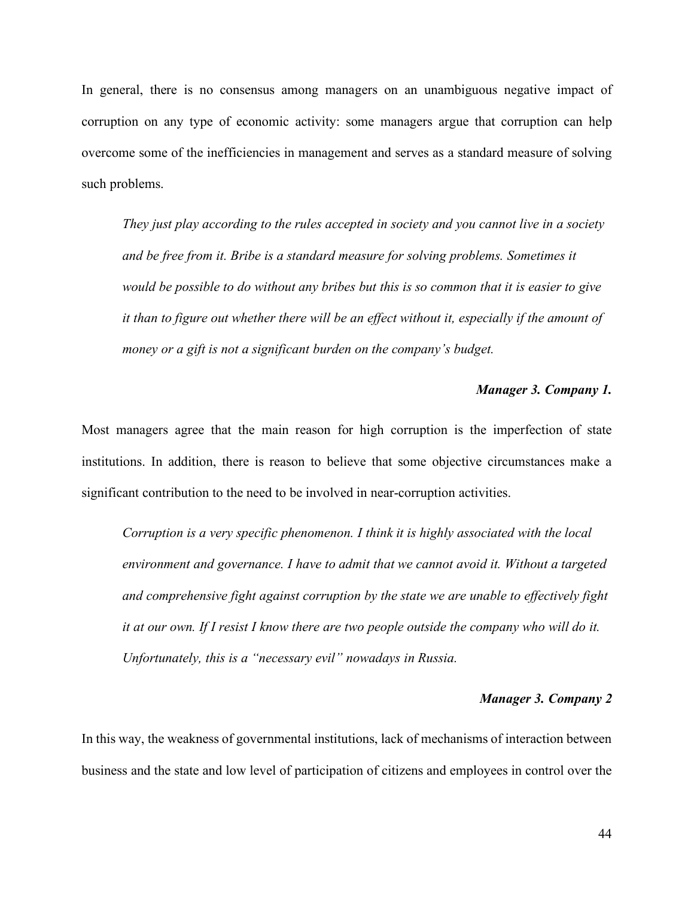In general, there is no consensus among managers on an unambiguous negative impact of corruption on any type of economic activity: some managers argue that corruption can help overcome some of the inefficiencies in management and serves as a standard measure of solving such problems.

*They just play according to the rules accepted in society and you cannot live in a society and be free from it. Bribe is a standard measure for solving problems. Sometimes it would be possible to do without any bribes but this is so common that it is easier to give*  it than to figure out whether there will be an effect without it, especially if the amount of *money or a gift is not a significant burden on the company's budget.*

#### *Manager 3. Company 1.*

Most managers agree that the main reason for high corruption is the imperfection of state institutions. In addition, there is reason to believe that some objective circumstances make a significant contribution to the need to be involved in near-corruption activities.

*Corruption is a very specific phenomenon. I think it is highly associated with the local environment and governance. I have to admit that we cannot avoid it. Without a targeted and comprehensive fight against corruption by the state we are unable to effectively fight it at our own. If I resist I know there are two people outside the company who will do it. Unfortunately, this is a "necessary evil" nowadays in Russia.* 

#### *Manager 3. Company 2*

In this way, the weakness of governmental institutions, lack of mechanisms of interaction between business and the state and low level of participation of citizens and employees in control over the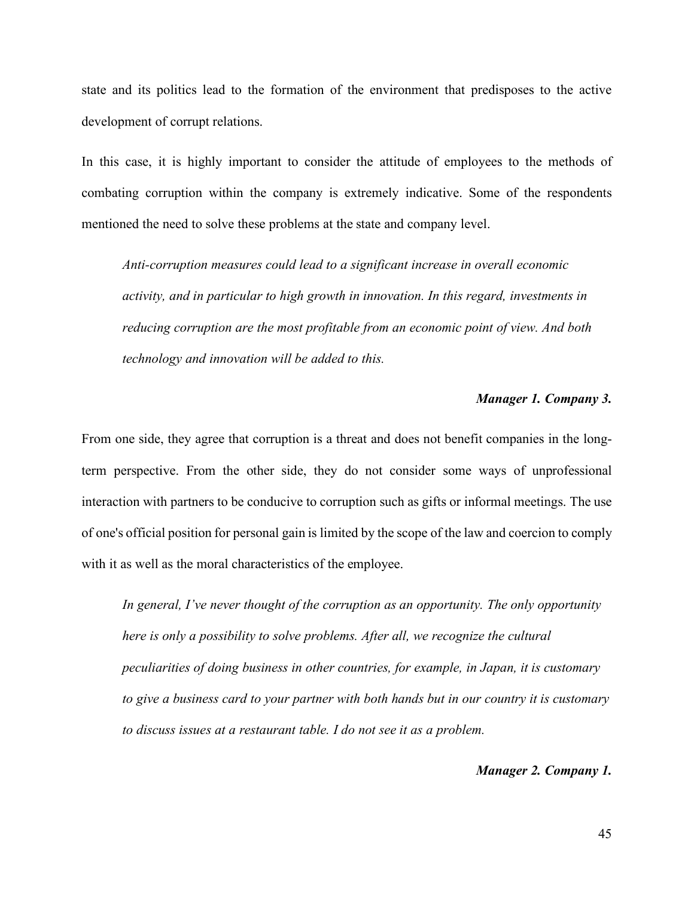state and its politics lead to the formation of the environment that predisposes to the active development of corrupt relations.

In this case, it is highly important to consider the attitude of employees to the methods of combating corruption within the company is extremely indicative. Some of the respondents mentioned the need to solve these problems at the state and company level.

*Anti-corruption measures could lead to a significant increase in overall economic activity, and in particular to high growth in innovation. In this regard, investments in reducing corruption are the most profitable from an economic point of view. And both technology and innovation will be added to this.*

#### *Manager 1. Company 3.*

From one side, they agree that corruption is a threat and does not benefit companies in the longterm perspective. From the other side, they do not consider some ways of unprofessional interaction with partners to be conducive to corruption such as gifts or informal meetings. The use of one's official position for personal gain is limited by the scope of the law and coercion to comply with it as well as the moral characteristics of the employee.

*In general, I've never thought of the corruption as an opportunity. The only opportunity here is only a possibility to solve problems. After all, we recognize the cultural peculiarities of doing business in other countries, for example, in Japan, it is customary to give a business card to your partner with both hands but in our country it is customary to discuss issues at a restaurant table. I do not see it as a problem.*

#### *Manager 2. Company 1.*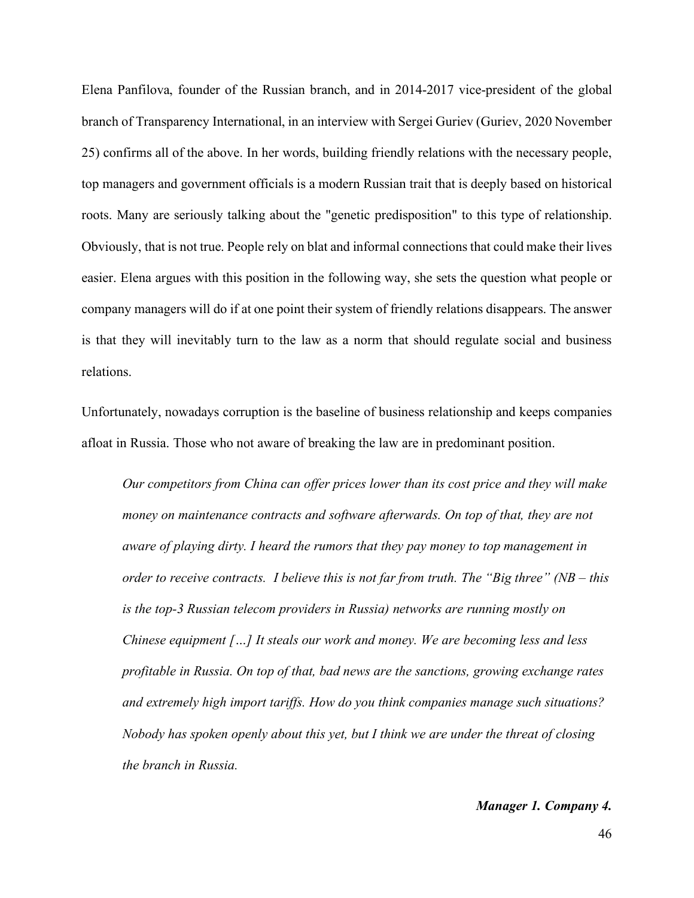Elena Panfilova, founder of the Russian branch, and in 2014-2017 vice-president of the global branch of Transparency International, in an interview with Sergei Guriev (Guriev, 2020 November 25) confirms all of the above. In her words, building friendly relations with the necessary people, top managers and government officials is a modern Russian trait that is deeply based on historical roots. Many are seriously talking about the "genetic predisposition" to this type of relationship. Obviously, that is not true. People rely on blat and informal connections that could make their lives easier. Elena argues with this position in the following way, she sets the question what people or company managers will do if at one point their system of friendly relations disappears. The answer is that they will inevitably turn to the law as a norm that should regulate social and business relations.

Unfortunately, nowadays corruption is the baseline of business relationship and keeps companies afloat in Russia. Those who not aware of breaking the law are in predominant position.

*Our competitors from China can offer prices lower than its cost price and they will make money on maintenance contracts and software afterwards. On top of that, they are not aware of playing dirty. I heard the rumors that they pay money to top management in order to receive contracts. I believe this is not far from truth. The "Big three" (NB – this is the top-3 Russian telecom providers in Russia) networks are running mostly on Chinese equipment […] It steals our work and money. We are becoming less and less profitable in Russia. On top of that, bad news are the sanctions, growing exchange rates and extremely high import tariffs. How do you think companies manage such situations? Nobody has spoken openly about this yet, but I think we are under the threat of closing the branch in Russia.*

#### *Manager 1. Company 4.*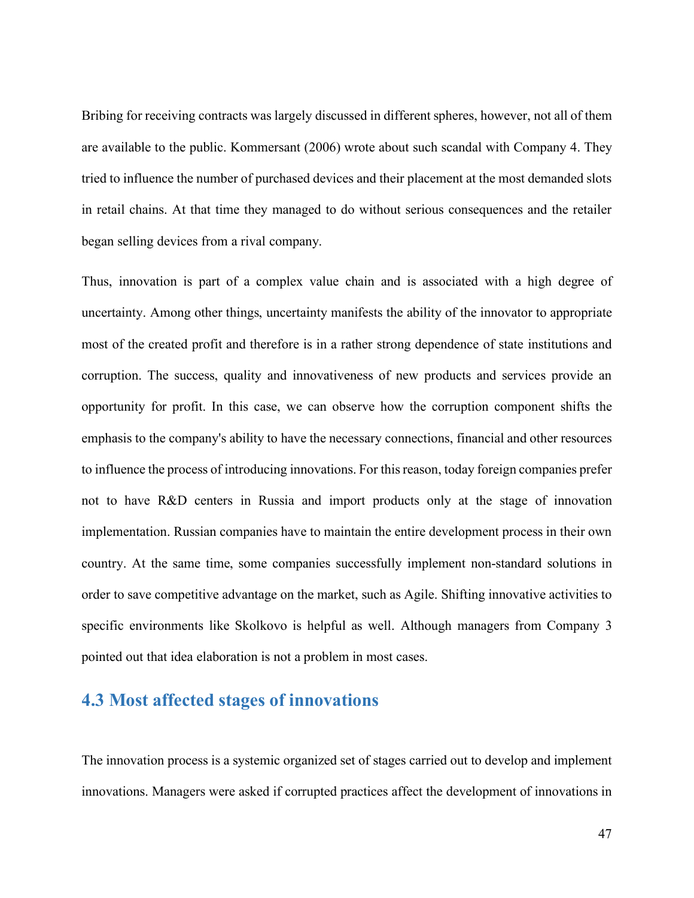Bribing for receiving contracts was largely discussed in different spheres, however, not all of them are available to the public. Kommersant (2006) wrote about such scandal with Company 4. They tried to influence the number of purchased devices and their placement at the most demanded slots in retail chains. At that time they managed to do without serious consequences and the retailer began selling devices from a rival company.

Thus, innovation is part of a complex value chain and is associated with a high degree of uncertainty. Among other things, uncertainty manifests the ability of the innovator to appropriate most of the created profit and therefore is in a rather strong dependence of state institutions and corruption. The success, quality and innovativeness of new products and services provide an opportunity for profit. In this case, we can observe how the corruption component shifts the emphasis to the company's ability to have the necessary connections, financial and other resources to influence the process of introducing innovations. For this reason, today foreign companies prefer not to have R&D centers in Russia and import products only at the stage of innovation implementation. Russian companies have to maintain the entire development process in their own country. At the same time, some companies successfully implement non-standard solutions in order to save competitive advantage on the market, such as Agile. Shifting innovative activities to specific environments like Skolkovo is helpful as well. Although managers from Company 3 pointed out that idea elaboration is not a problem in most cases.

## <span id="page-46-0"></span>**4.3 Most affected stages of innovations**

The innovation process is a systemic organized set of stages carried out to develop and implement innovations. Managers were asked if corrupted practices affect the development of innovations in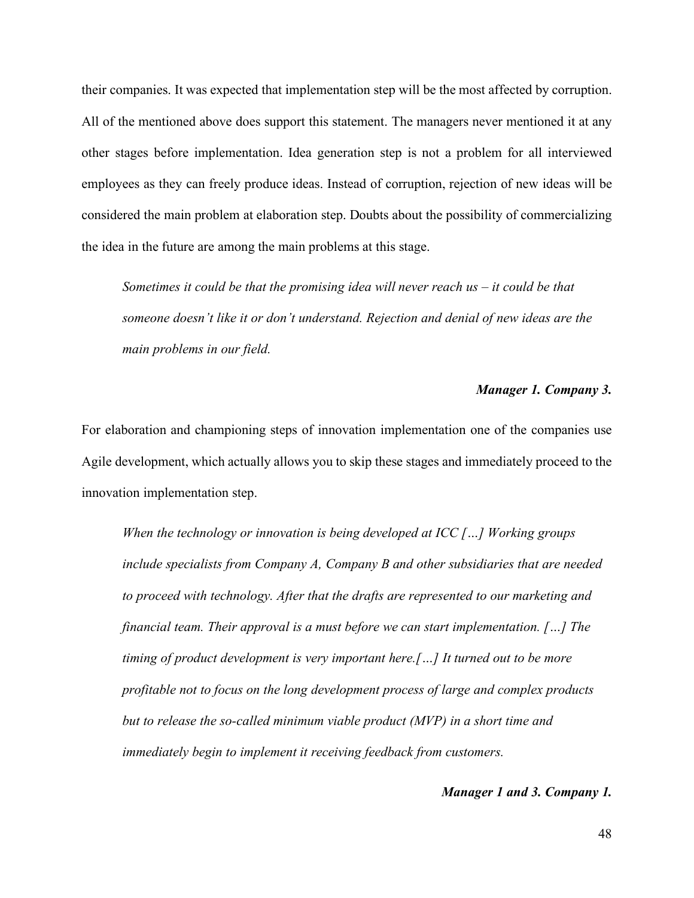their companies. It was expected that implementation step will be the most affected by corruption. All of the mentioned above does support this statement. The managers never mentioned it at any other stages before implementation. Idea generation step is not a problem for all interviewed employees as they can freely produce ideas. Instead of corruption, rejection of new ideas will be considered the main problem at elaboration step. Doubts about the possibility of commercializing the idea in the future are among the main problems at this stage.

*Sometimes it could be that the promising idea will never reach us – it could be that someone doesn't like it or don't understand. Rejection and denial of new ideas are the main problems in our field.*

#### *Manager 1. Company 3.*

For elaboration and championing steps of innovation implementation one of the companies use Agile development, which actually allows you to skip these stages and immediately proceed to the innovation implementation step.

*When the technology or innovation is being developed at ICC […] Working groups include specialists from Company A, Company B and other subsidiaries that are needed to proceed with technology. After that the drafts are represented to our marketing and financial team. Their approval is a must before we can start implementation. […] The timing of product development is very important here.[…] It turned out to be more profitable not to focus on the long development process of large and complex products but to release the so-called minimum viable product (MVP) in a short time and immediately begin to implement it receiving feedback from customers.*

#### *Manager 1 and 3. Company 1.*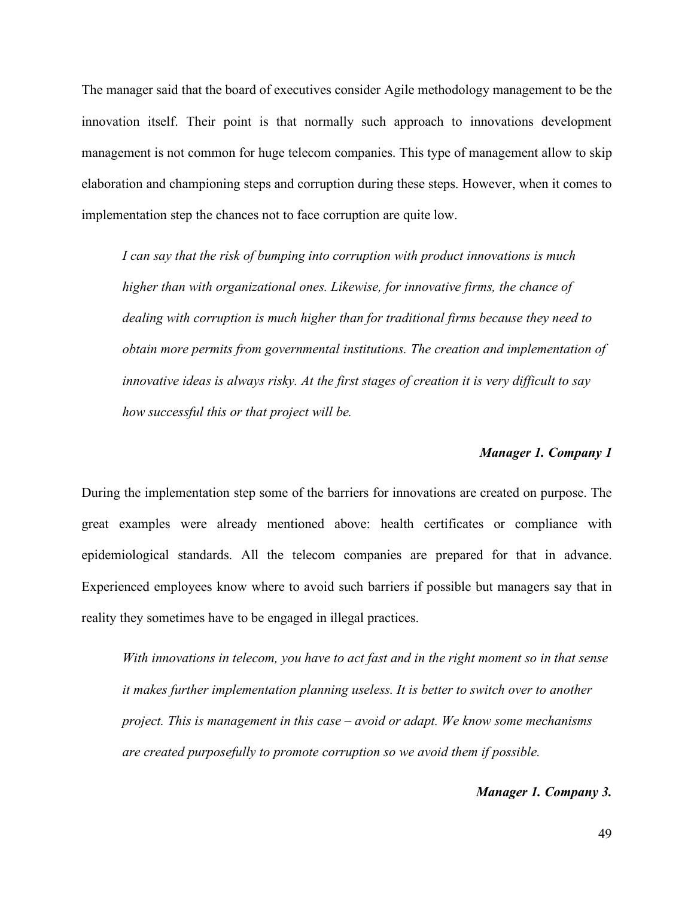The manager said that the board of executives consider Agile methodology management to be the innovation itself. Their point is that normally such approach to innovations development management is not common for huge telecom companies. This type of management allow to skip elaboration and championing steps and corruption during these steps. However, when it comes to implementation step the chances not to face corruption are quite low.

*I can say that the risk of bumping into corruption with product innovations is much higher than with organizational ones. Likewise, for innovative firms, the chance of dealing with corruption is much higher than for traditional firms because they need to obtain more permits from governmental institutions. The creation and implementation of innovative ideas is always risky. At the first stages of creation it is very difficult to say how successful this or that project will be.*

#### *Manager 1. Company 1*

During the implementation step some of the barriers for innovations are created on purpose. The great examples were already mentioned above: health certificates or compliance with epidemiological standards. All the telecom companies are prepared for that in advance. Experienced employees know where to avoid such barriers if possible but managers say that in reality they sometimes have to be engaged in illegal practices.

*With innovations in telecom, you have to act fast and in the right moment so in that sense it makes further implementation planning useless. It is better to switch over to another project. This is management in this case – avoid or adapt. We know some mechanisms are created purposefully to promote corruption so we avoid them if possible.* 

#### *Manager 1. Company 3.*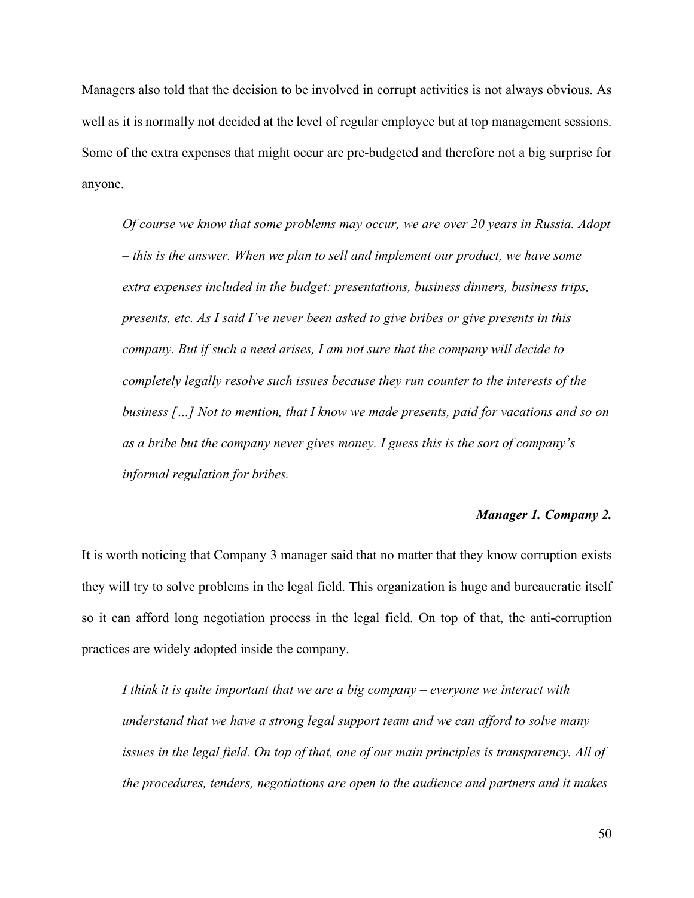Managers also told that the decision to be involved in corrupt activities is not always obvious. As well as it is normally not decided at the level of regular employee but at top management sessions. Some of the extra expenses that might occur are pre-budgeted and therefore not a big surprise for anyone.

*Of course we know that some problems may occur, we are over 20 years in Russia. Adopt – this is the answer. When we plan to sell and implement our product, we have some extra expenses included in the budget: presentations, business dinners, business trips, presents, etc. As I said I've never been asked to give bribes or give presents in this company. But if such a need arises, I am not sure that the company will decide to completely legally resolve such issues because they run counter to the interests of the business […] Not to mention, that I know we made presents, paid for vacations and so on as a bribe but the company never gives money. I guess this is the sort of company's informal regulation for bribes.*

#### *Manager 1. Company 2.*

It is worth noticing that Company 3 manager said that no matter that they know corruption exists they will try to solve problems in the legal field. This organization is huge and bureaucratic itself so it can afford long negotiation process in the legal field. On top of that, the anti-corruption practices are widely adopted inside the company.

*I think it is quite important that we are a big company – everyone we interact with understand that we have a strong legal support team and we can afford to solve many issues in the legal field. On top of that, one of our main principles is transparency. All of the procedures, tenders, negotiations are open to the audience and partners and it makes*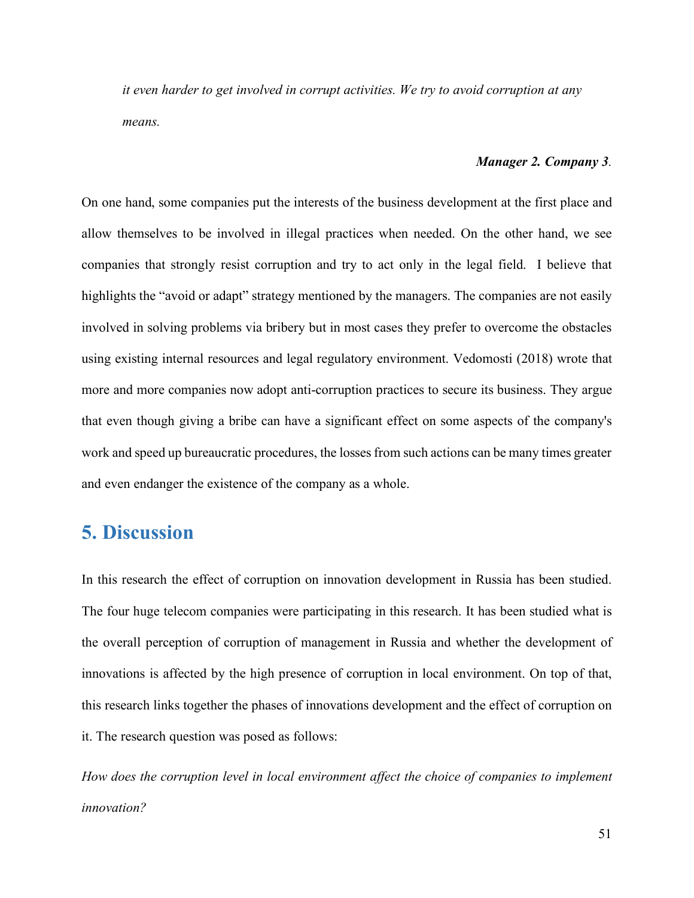*it even harder to get involved in corrupt activities. We try to avoid corruption at any means.*

#### *Manager 2. Company 3.*

On one hand, some companies put the interests of the business development at the first place and allow themselves to be involved in illegal practices when needed. On the other hand, we see companies that strongly resist corruption and try to act only in the legal field. I believe that highlights the "avoid or adapt" strategy mentioned by the managers. The companies are not easily involved in solving problems via bribery but in most cases they prefer to overcome the obstacles using existing internal resources and legal regulatory environment. Vedomosti (2018) wrote that more and more companies now adopt anti-corruption practices to secure its business. They argue that even though giving a bribe can have a significant effect on some aspects of the company's work and speed up bureaucratic procedures, the losses from such actions can be many times greater and even endanger the existence of the company as a whole.

# <span id="page-50-0"></span>**5. Discussion**

In this research the effect of corruption on innovation development in Russia has been studied. The four huge telecom companies were participating in this research. It has been studied what is the overall perception of corruption of management in Russia and whether the development of innovations is affected by the high presence of corruption in local environment. On top of that, this research links together the phases of innovations development and the effect of corruption on it. The research question was posed as follows:

*How does the corruption level in local environment affect the choice of companies to implement innovation?*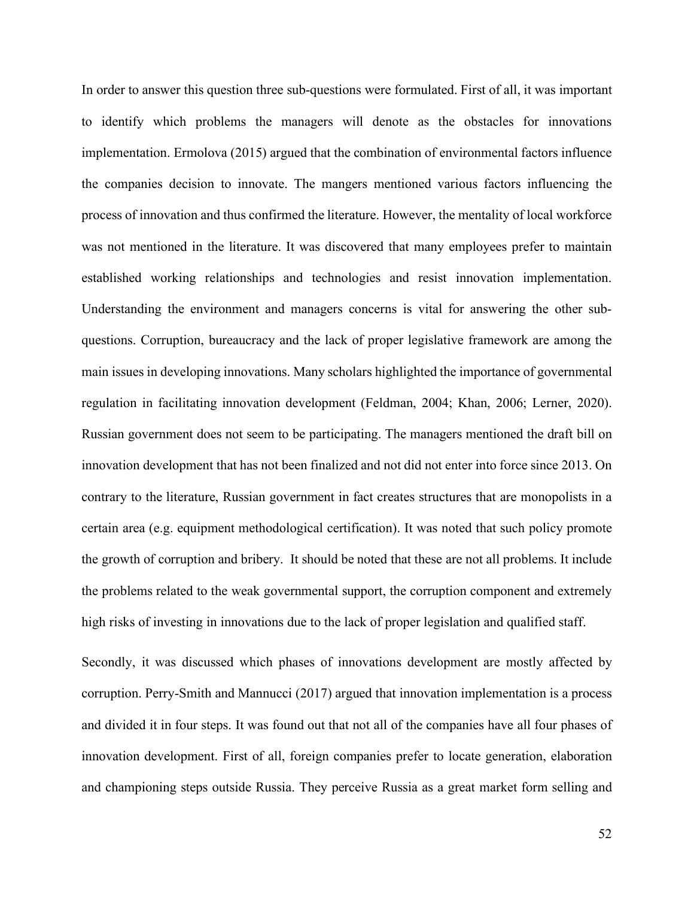In order to answer this question three sub-questions were formulated. First of all, it was important to identify which problems the managers will denote as the obstacles for innovations implementation. Ermolova (2015) argued that the combination of environmental factors influence the companies decision to innovate. The mangers mentioned various factors influencing the process of innovation and thus confirmed the literature. However, the mentality of local workforce was not mentioned in the literature. It was discovered that many employees prefer to maintain established working relationships and technologies and resist innovation implementation. Understanding the environment and managers concerns is vital for answering the other subquestions. Corruption, bureaucracy and the lack of proper legislative framework are among the main issues in developing innovations. Many scholars highlighted the importance of governmental regulation in facilitating innovation development (Feldman, 2004; Khan, 2006; Lerner, 2020). Russian government does not seem to be participating. The managers mentioned the draft bill on innovation development that has not been finalized and not did not enter into force since 2013. On contrary to the literature, Russian government in fact creates structures that are monopolists in a certain area (e.g. equipment methodological certification). It was noted that such policy promote the growth of corruption and bribery. It should be noted that these are not all problems. It include the problems related to the weak governmental support, the corruption component and extremely high risks of investing in innovations due to the lack of proper legislation and qualified staff.

Secondly, it was discussed which phases of innovations development are mostly affected by corruption. Perry-Smith and Mannucci (2017) argued that innovation implementation is a process and divided it in four steps. It was found out that not all of the companies have all four phases of innovation development. First of all, foreign companies prefer to locate generation, elaboration and championing steps outside Russia. They perceive Russia as a great market form selling and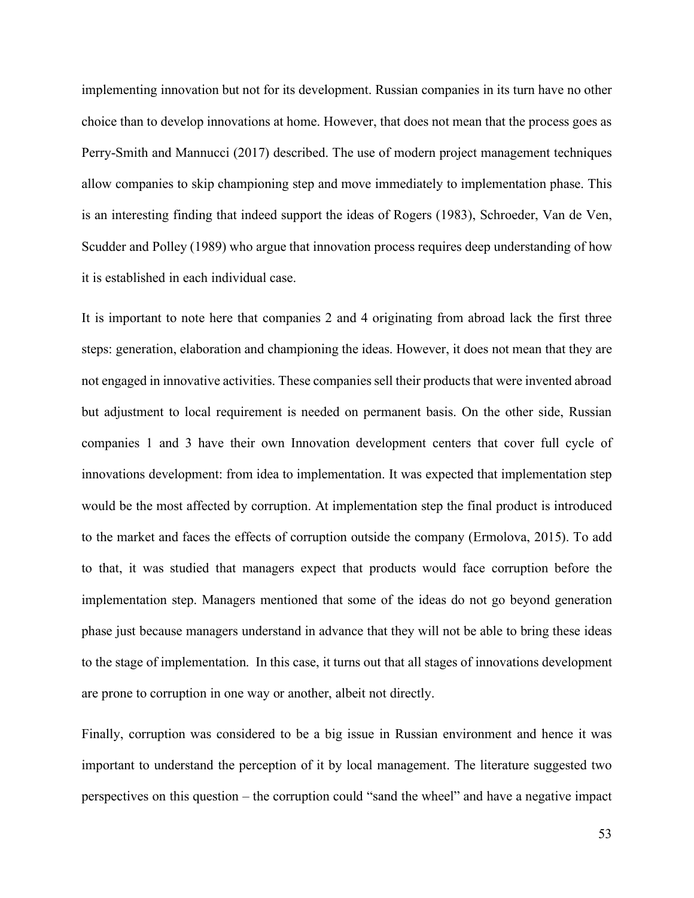implementing innovation but not for its development. Russian companies in its turn have no other choice than to develop innovations at home. However, that does not mean that the process goes as Perry-Smith and Mannucci (2017) described. The use of modern project management techniques allow companies to skip championing step and move immediately to implementation phase. This is an interesting finding that indeed support the ideas of Rogers (1983), Schroeder, Van de Ven, Scudder and Polley (1989) who argue that innovation process requires deep understanding of how it is established in each individual case.

It is important to note here that companies 2 and 4 originating from abroad lack the first three steps: generation, elaboration and championing the ideas. However, it does not mean that they are not engaged in innovative activities. These companies sell their products that were invented abroad but adjustment to local requirement is needed on permanent basis. On the other side, Russian companies 1 and 3 have their own Innovation development centers that cover full cycle of innovations development: from idea to implementation. It was expected that implementation step would be the most affected by corruption. At implementation step the final product is introduced to the market and faces the effects of corruption outside the company (Ermolova, 2015). To add to that, it was studied that managers expect that products would face corruption before the implementation step. Managers mentioned that some of the ideas do not go beyond generation phase just because managers understand in advance that they will not be able to bring these ideas to the stage of implementation. In this case, it turns out that all stages of innovations development are prone to corruption in one way or another, albeit not directly.

Finally, corruption was considered to be a big issue in Russian environment and hence it was important to understand the perception of it by local management. The literature suggested two perspectives on this question – the corruption could "sand the wheel" and have a negative impact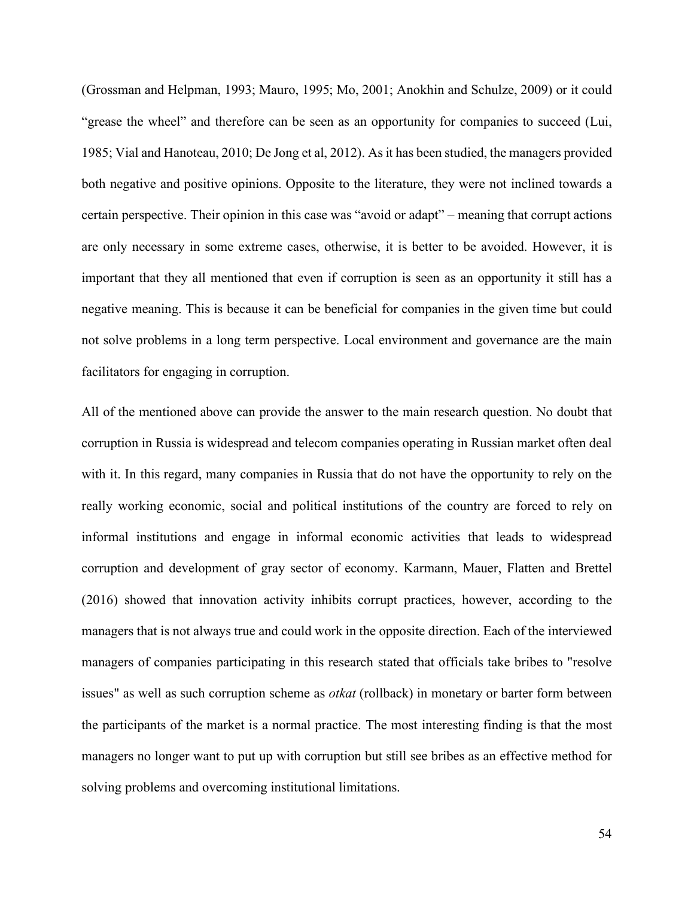(Grossman and Helpman, 1993; Mauro, 1995; Mo, 2001; Anokhin and Schulze, 2009) or it could "grease the wheel" and therefore can be seen as an opportunity for companies to succeed (Lui, 1985; Vial and Hanoteau, 2010; De Jong et al, 2012). As it has been studied, the managers provided both negative and positive opinions. Opposite to the literature, they were not inclined towards a certain perspective. Their opinion in this case was "avoid or adapt" – meaning that corrupt actions are only necessary in some extreme cases, otherwise, it is better to be avoided. However, it is important that they all mentioned that even if corruption is seen as an opportunity it still has a negative meaning. This is because it can be beneficial for companies in the given time but could not solve problems in a long term perspective. Local environment and governance are the main facilitators for engaging in corruption.

All of the mentioned above can provide the answer to the main research question. No doubt that corruption in Russia is widespread and telecom companies operating in Russian market often deal with it. In this regard, many companies in Russia that do not have the opportunity to rely on the really working economic, social and political institutions of the country are forced to rely on informal institutions and engage in informal economic activities that leads to widespread corruption and development of gray sector of economy. Karmann, Mauer, Flatten and Brettel (2016) showed that innovation activity inhibits corrupt practices, however, according to the managers that is not always true and could work in the opposite direction. Each of the interviewed managers of companies participating in this research stated that officials take bribes to "resolve issues" as well as such corruption scheme as *otkat* (rollback) in monetary or barter form between the participants of the market is a normal practice. The most interesting finding is that the most managers no longer want to put up with corruption but still see bribes as an effective method for solving problems and overcoming institutional limitations.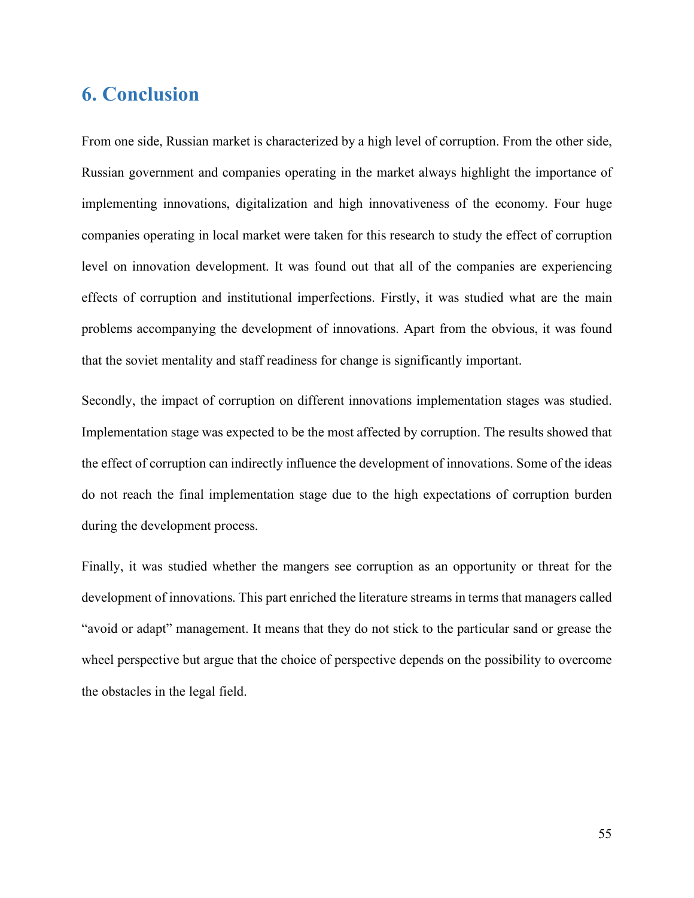# <span id="page-54-0"></span>**6. Conclusion**

From one side, Russian market is characterized by a high level of corruption. From the other side, Russian government and companies operating in the market always highlight the importance of implementing innovations, digitalization and high innovativeness of the economy. Four huge companies operating in local market were taken for this research to study the effect of corruption level on innovation development. It was found out that all of the companies are experiencing effects of corruption and institutional imperfections. Firstly, it was studied what are the main problems accompanying the development of innovations. Apart from the obvious, it was found that the soviet mentality and staff readiness for change is significantly important.

Secondly, the impact of corruption on different innovations implementation stages was studied. Implementation stage was expected to be the most affected by corruption. The results showed that the effect of corruption can indirectly influence the development of innovations. Some of the ideas do not reach the final implementation stage due to the high expectations of corruption burden during the development process.

<span id="page-54-1"></span>Finally, it was studied whether the mangers see corruption as an opportunity or threat for the development of innovations. This part enriched the literature streams in terms that managers called "avoid or adapt" management. It means that they do not stick to the particular sand or grease the wheel perspective but argue that the choice of perspective depends on the possibility to overcome the obstacles in the legal field.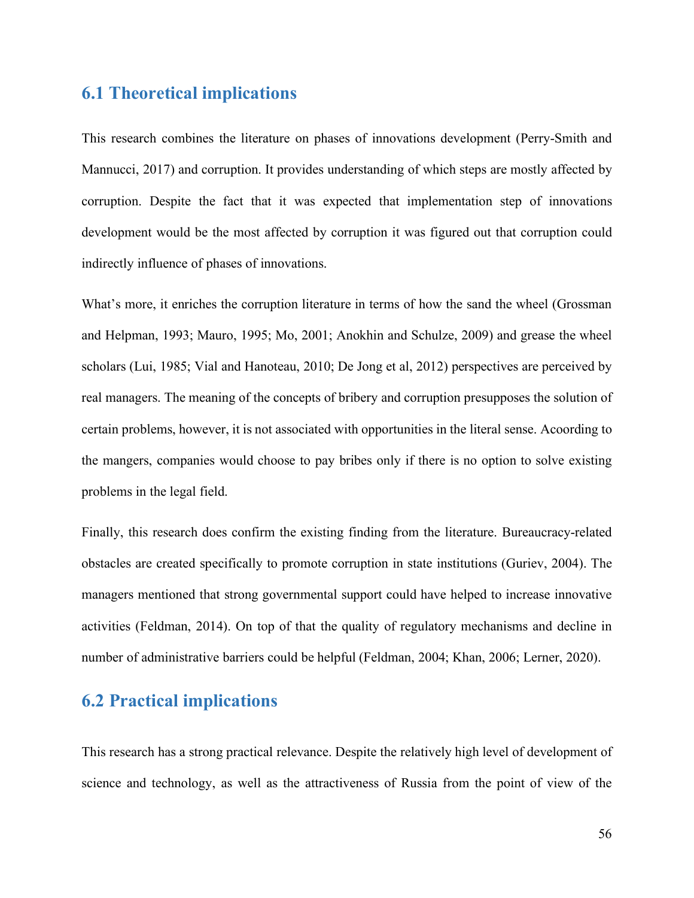## **6.1 Theoretical implications**

This research combines the literature on phases of innovations development (Perry-Smith and Mannucci, 2017) and corruption. It provides understanding of which steps are mostly affected by corruption. Despite the fact that it was expected that implementation step of innovations development would be the most affected by corruption it was figured out that corruption could indirectly influence of phases of innovations.

What's more, it enriches the corruption literature in terms of how the sand the wheel (Grossman and Helpman, 1993; Mauro, 1995; Mo, 2001; Anokhin and Schulze, 2009) and grease the wheel scholars (Lui, 1985; Vial and Hanoteau, 2010; De Jong et al, 2012) perspectives are perceived by real managers. The meaning of the concepts of bribery and corruption presupposes the solution of certain problems, however, it is not associated with opportunities in the literal sense. Acoording to the mangers, companies would choose to pay bribes only if there is no option to solve existing problems in the legal field.

Finally, this research does confirm the existing finding from the literature. Bureaucracy-related obstacles are created specifically to promote corruption in state institutions (Guriev, 2004). The managers mentioned that strong governmental support could have helped to increase innovative activities (Feldman, 2014). On top of that the quality of regulatory mechanisms and decline in number of administrative barriers could be helpful (Feldman, 2004; Khan, 2006; Lerner, 2020).

## <span id="page-55-0"></span>**6.2 Practical implications**

This research has a strong practical relevance. Despite the relatively high level of development of science and technology, as well as the attractiveness of Russia from the point of view of the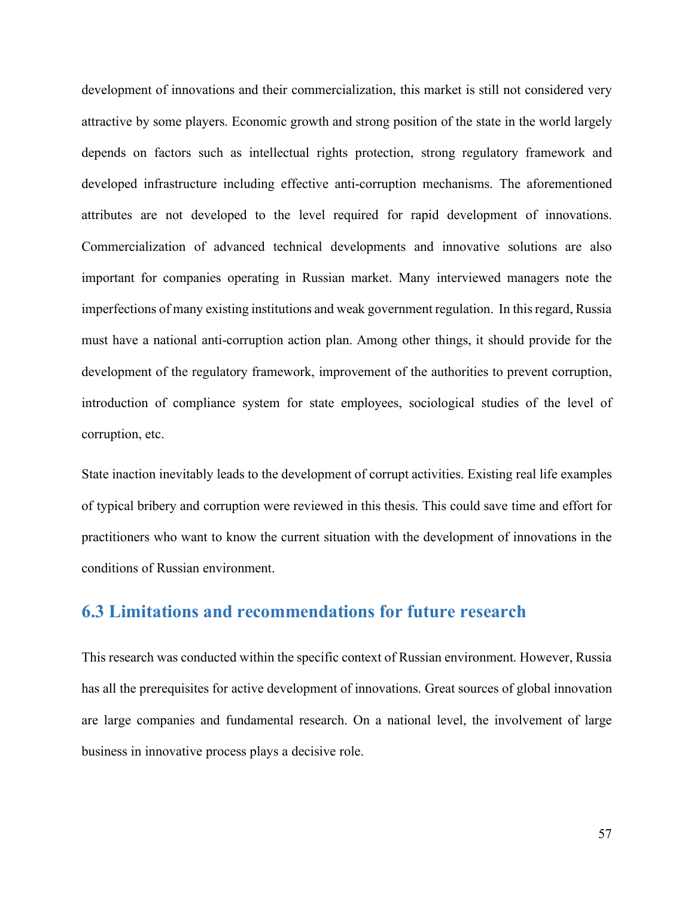development of innovations and their commercialization, this market is still not considered very attractive by some players. Economic growth and strong position of the state in the world largely depends on factors such as intellectual rights protection, strong regulatory framework and developed infrastructure including effective anti-corruption mechanisms. The aforementioned attributes are not developed to the level required for rapid development of innovations. Commercialization of advanced technical developments and innovative solutions are also important for companies operating in Russian market. Many interviewed managers note the imperfections of many existing institutions and weak government regulation. In this regard, Russia must have a national anti-corruption action plan. Among other things, it should provide for the development of the regulatory framework, improvement of the authorities to prevent corruption, introduction of compliance system for state employees, sociological studies of the level of corruption, etc.

State inaction inevitably leads to the development of corrupt activities. Existing real life examples of typical bribery and corruption were reviewed in this thesis. This could save time and effort for practitioners who want to know the current situation with the development of innovations in the conditions of Russian environment.

### <span id="page-56-0"></span>**6.3 Limitations and recommendations for future research**

This research was conducted within the specific context of Russian environment. However, Russia has all the prerequisites for active development of innovations. Great sources of global innovation are large companies and fundamental research. On a national level, the involvement of large business in innovative process plays a decisive role.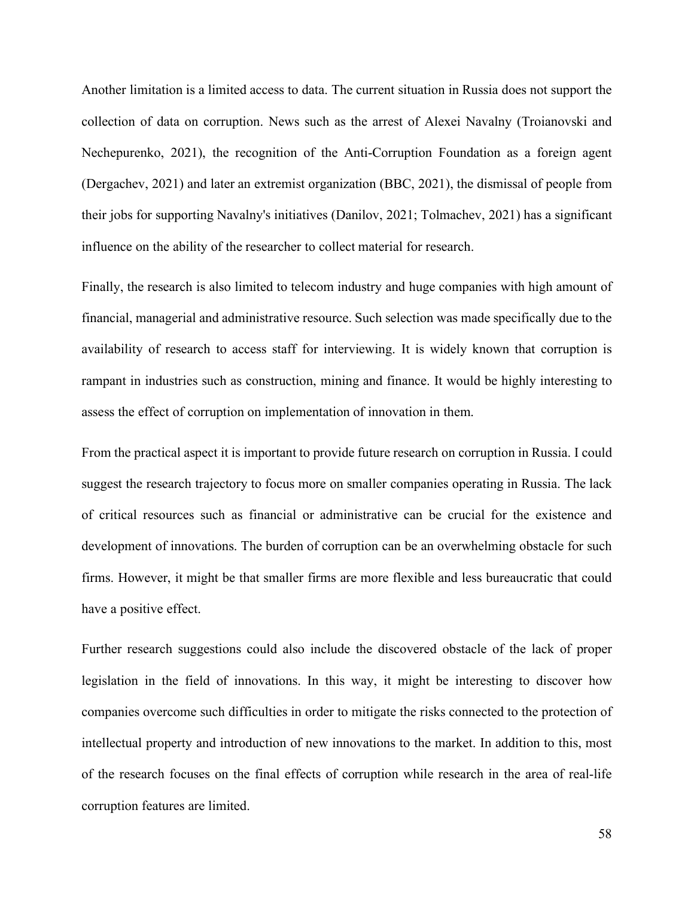Another limitation is a limited access to data. The current situation in Russia does not support the collection of data on corruption. News such as the arrest of Alexei Navalny (Troianovski and Nechepurenko, 2021), the recognition of the Anti-Corruption Foundation as a foreign agent (Dergachev, 2021) and later an extremist organization (BBC, 2021), the dismissal of people from their jobs for supporting Navalny's initiatives (Danilov, 2021; Tolmachev, 2021) has a significant influence on the ability of the researcher to collect material for research.

Finally, the research is also limited to telecom industry and huge companies with high amount of financial, managerial and administrative resource. Such selection was made specifically due to the availability of research to access staff for interviewing. It is widely known that corruption is rampant in industries such as construction, mining and finance. It would be highly interesting to assess the effect of corruption on implementation of innovation in them.

From the practical aspect it is important to provide future research on corruption in Russia. I could suggest the research trajectory to focus more on smaller companies operating in Russia. The lack of critical resources such as financial or administrative can be crucial for the existence and development of innovations. The burden of corruption can be an overwhelming obstacle for such firms. However, it might be that smaller firms are more flexible and less bureaucratic that could have a positive effect.

Further research suggestions could also include the discovered obstacle of the lack of proper legislation in the field of innovations. In this way, it might be interesting to discover how companies overcome such difficulties in order to mitigate the risks connected to the protection of intellectual property and introduction of new innovations to the market. In addition to this, most of the research focuses on the final effects of corruption while research in the area of real-life corruption features are limited.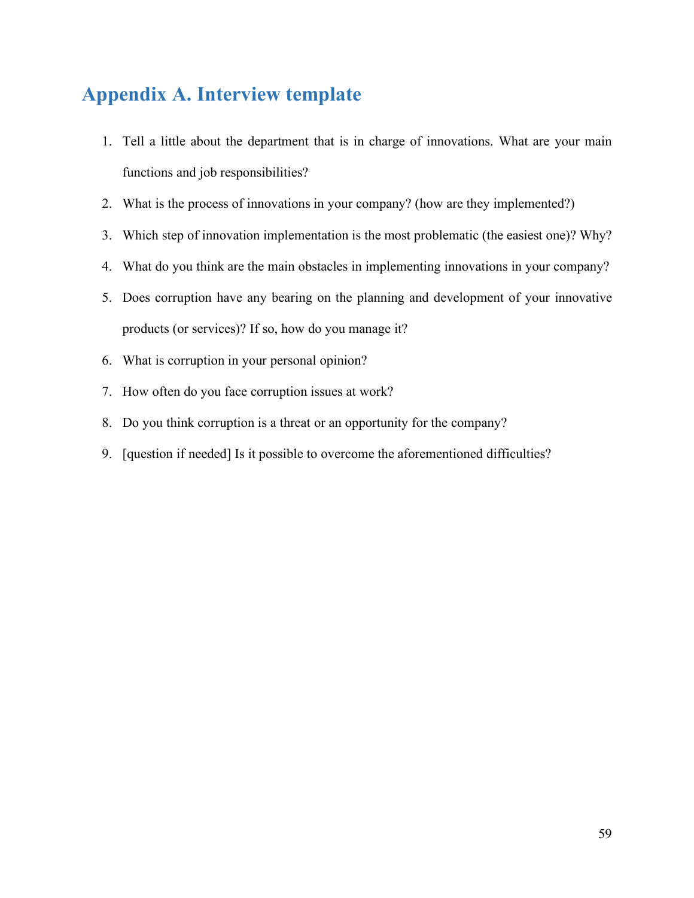# <span id="page-58-0"></span>**Appendix A. Interview template**

- 1. Tell a little about the department that is in charge of innovations. What are your main functions and job responsibilities?
- 2. What is the process of innovations in your company? (how are they implemented?)
- 3. Which step of innovation implementation is the most problematic (the easiest one)? Why?
- 4. What do you think are the main obstacles in implementing innovations in your company?
- 5. Does corruption have any bearing on the planning and development of your innovative products (or services)? If so, how do you manage it?
- 6. What is corruption in your personal opinion?
- 7. How often do you face corruption issues at work?
- 8. Do you think corruption is a threat or an opportunity for the company?
- 9. [question if needed] Is it possible to overcome the aforementioned difficulties?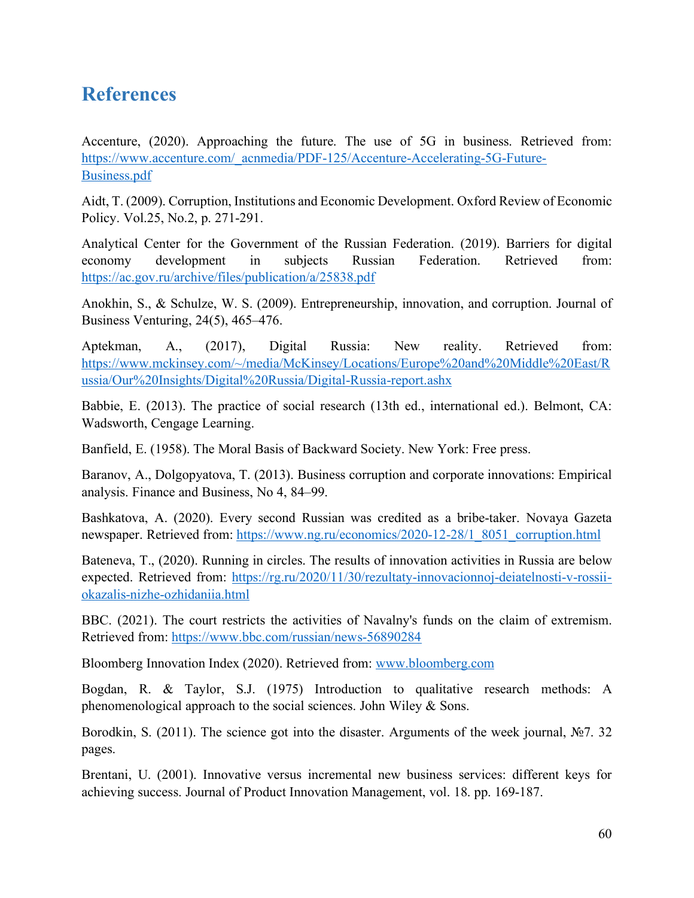# <span id="page-59-0"></span>**References**

Accenture, (2020). Approaching the future. The use of 5G in business. Retrieved from: [https://www.accenture.com/\\_acnmedia/PDF-125/Accenture-Accelerating-5G-Future-](https://www.accenture.com/_acnmedia/PDF-125/Accenture-Accelerating-5G-Future-Business.pdf)[Business.pdf](https://www.accenture.com/_acnmedia/PDF-125/Accenture-Accelerating-5G-Future-Business.pdf)

Aidt, T. (2009). Corruption, Institutions and Economic Development. Oxford Review of Economic Policy. Vol.25, No.2, p. 271-291.

Analytical Center for the Government of the Russian Federation. (2019). Barriers for digital economy development in subjects Russian Federation. Retrieved from: <https://ac.gov.ru/archive/files/publication/a/25838.pdf>

Anokhin, S., & Schulze, W. S. (2009). Entrepreneurship, innovation, and corruption. Journal of Business Venturing, 24(5), 465–476.

Aptekman, A., (2017), Digital Russia: New reality. Retrieved from: [https://www.mckinsey.com/~/media/McKinsey/Locations/Europe%20and%20Middle%20East/R](https://www.mckinsey.com/%7E/media/McKinsey/Locations/Europe%20and%20Middle%20East/Russia/Our%20Insights/Digital%20Russia/Digital-Russia-report.ashx) [ussia/Our%20Insights/Digital%20Russia/Digital-Russia-report.ashx](https://www.mckinsey.com/%7E/media/McKinsey/Locations/Europe%20and%20Middle%20East/Russia/Our%20Insights/Digital%20Russia/Digital-Russia-report.ashx)

Babbie, E. (2013). The practice of social research (13th ed., international ed.). Belmont, CA: Wadsworth, Cengage Learning.

Banfield, E. (1958). The Moral Basis of Backward Society. New York: Free press.

Baranov, A., Dolgopyatova, T. (2013). Business corruption and corporate innovations: Empirical analysis. Finance and Business, No 4, 84–99.

Bashkatova, A. (2020). Every second Russian was credited as a bribe-taker. Novaya Gazeta newspaper. Retrieved from: [https://www.ng.ru/economics/2020-12-28/1\\_8051\\_corruption.html](https://www.ng.ru/economics/2020-12-28/1_8051_corruption.html)

Bateneva, T., (2020). Running in circles. The results of innovation activities in Russia are below expected. Retrieved from: [https://rg.ru/2020/11/30/rezultaty-innovacionnoj-deiatelnosti-v-rossii](https://rg.ru/2020/11/30/rezultaty-innovacionnoj-deiatelnosti-v-rossii-okazalis-nizhe-ozhidaniia.html)[okazalis-nizhe-ozhidaniia.html](https://rg.ru/2020/11/30/rezultaty-innovacionnoj-deiatelnosti-v-rossii-okazalis-nizhe-ozhidaniia.html)

BBC. (2021). The court restricts the activities of Navalny's funds on the claim of extremism. Retrieved from:<https://www.bbc.com/russian/news-56890284>

Bloomberg Innovation Index (2020). Retrieved from: [www.bloomberg.com](http://www.bloomberg.com/)

Bogdan, R. & Taylor, S.J. (1975) Introduction to qualitative research methods: A phenomenological approach to the social sciences. John Wiley & Sons.

Borodkin, S. (2011). The science got into the disaster. Arguments of the week journal, №7. 32 pages.

Brentani, U. (2001). Innovative versus incremental new business services: different keys for achieving success. Journal of Product Innovation Management, vol. 18. pp. 169-187.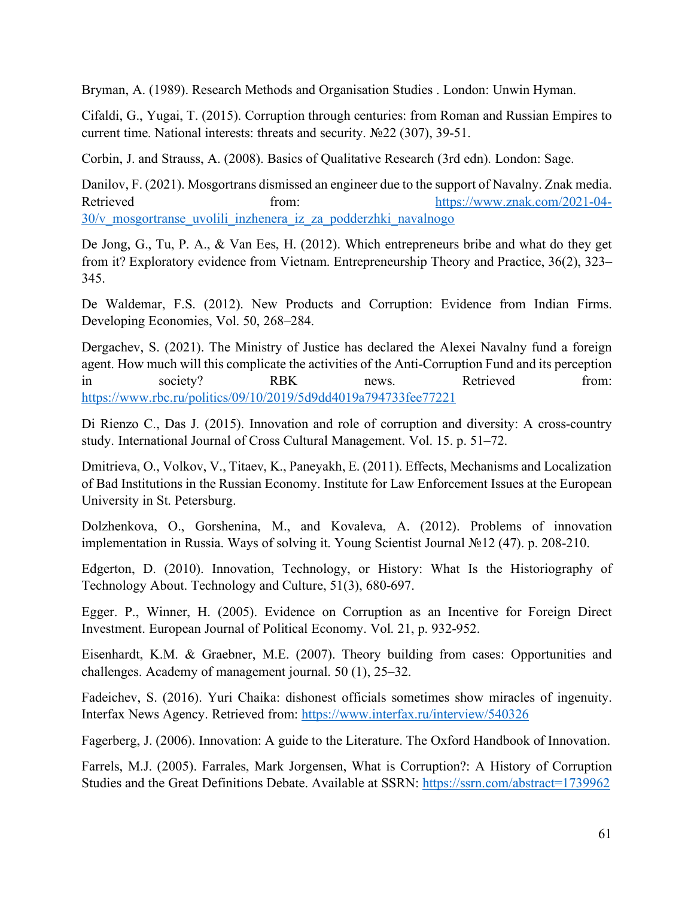Bryman, A. (1989). Research Methods and Organisation Studies . London: Unwin Hyman.

Cifaldi, G., Yugai, T. (2015). Corruption through centuries: from Roman and Russian Empires to current time. National interests: threats and security. №22 (307), 39-51.

Corbin, J. and Strauss, A. (2008). Basics of Qualitative Research (3rd edn). London: Sage.

Danilov, F. (2021). Mosgortrans dismissed an engineer due to the support of Navalny. Znak media. Retrieved from: [https://www.znak.com/2021-04-](https://www.znak.com/2021-04-30/v_mosgortranse_uvolili_inzhenera_iz_za_podderzhki_navalnogo) [30/v\\_mosgortranse\\_uvolili\\_inzhenera\\_iz\\_za\\_podderzhki\\_navalnogo](https://www.znak.com/2021-04-30/v_mosgortranse_uvolili_inzhenera_iz_za_podderzhki_navalnogo)

De Jong, G., Tu, P. A., & Van Ees, H. (2012). Which entrepreneurs bribe and what do they get from it? Exploratory evidence from Vietnam. Entrepreneurship Theory and Practice, 36(2), 323– 345.

De Waldemar, F.S. (2012). New Products and Corruption: Evidence from Indian Firms. Developing Economies, Vol. 50, 268–284.

Dergachev, S. (2021). The Ministry of Justice has declared the Alexei Navalny fund a foreign agent. How much will this complicate the activities of the Anti-Corruption Fund and its perception in society? RBK news. Retrieved from: <https://www.rbc.ru/politics/09/10/2019/5d9dd4019a794733fee77221>

Di Rienzo C., Das J. (2015). Innovation and role of corruption and diversity: A cross-country study. International Journal of Cross Cultural Management. Vol. 15. p. 51–72.

Dmitrieva, O., Volkov, V., Titaev, K., Paneyakh, E. (2011). Effects, Mechanisms and Localization of Bad Institutions in the Russian Economy. Institute for Law Enforcement Issues at the European University in St. Petersburg.

Dolzhenkova, O., Gorshenina, M., and Kovaleva, A. (2012). Problems of innovation implementation in Russia. Ways of solving it. Young Scientist Journal №12 (47). p. 208-210.

Edgerton, D. (2010). Innovation, Technology, or History: What Is the Historiography of Technology About. Technology and Culture, 51(3), 680-697.

Egger. P., Winner, H. (2005). Evidence on Corruption as an Incentive for Foreign Direct Investment. European Journal of Political Economy. Vol. 21, p. 932-952.

Eisenhardt, K.M. & Graebner, M.E. (2007). Theory building from cases: Opportunities and challenges. Academy of management journal. 50 (1), 25–32.

Fadeichev, S. (2016). Yuri Chaika: dishonest officials sometimes show miracles of ingenuity. Interfax News Agency. Retrieved from:<https://www.interfax.ru/interview/540326>

Fagerberg, J. (2006). Innovation: A guide to the Literature. The Oxford Handbook of Innovation.

Farrels, M.J. (2005). Farrales, Mark Jorgensen, What is Corruption?: A History of Corruption Studies and the Great Definitions Debate. Available at SSRN:<https://ssrn.com/abstract=1739962>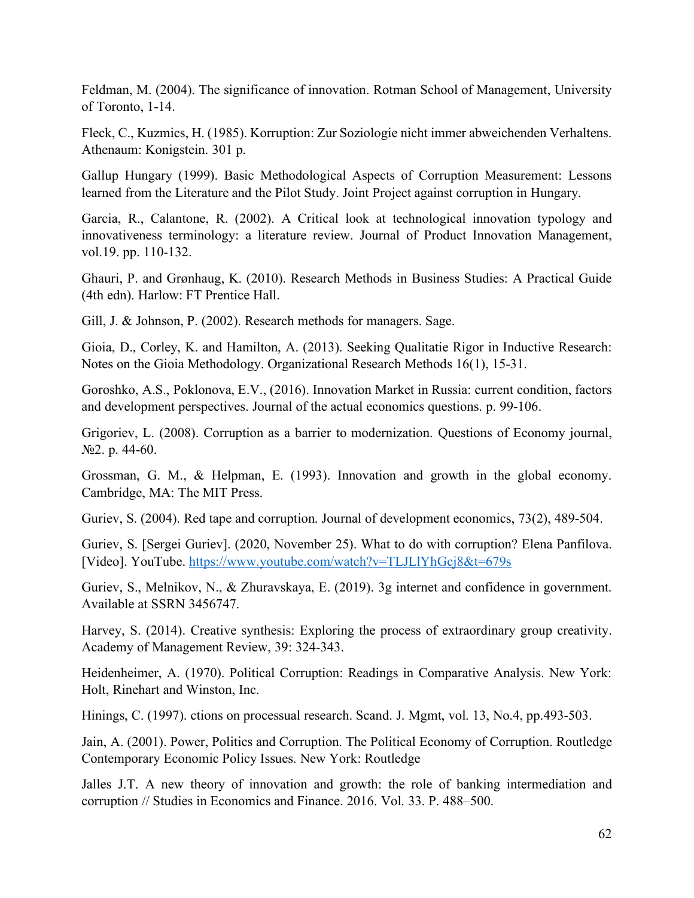Feldman, M. (2004). The significance of innovation. Rotman School of Management, University of Toronto, 1-14.

Fleck, C., Kuzmics, H. (1985). Korruption: Zur Soziologie nicht immer abweichenden Verhaltens. Athenaum: Konigstein. 301 p.

Gallup Hungary (1999). Basic Methodological Aspects of Corruption Measurement: Lessons learned from the Literature and the Pilot Study. Joint Project against corruption in Hungary.

Garcia, R., Calantone, R. (2002). A Critical look at technological innovation typology and innovativeness terminology: a literature review. Journal of Product Innovation Management, vol.19. pp. 110-132.

Ghauri, P. and Grønhaug, K. (2010). Research Methods in Business Studies: A Practical Guide (4th edn). Harlow: FT Prentice Hall.

Gill, J. & Johnson, P. (2002). Research methods for managers. Sage.

Gioia, D., Corley, K. and Hamilton, A. (2013). Seeking Qualitatie Rigor in Inductive Research: Notes on the Gioia Methodology. Organizational Research Methods 16(1), 15-31.

Goroshko, A.S., Poklonova, E.V., (2016). Innovation Market in Russia: current condition, factors and development perspectives. Journal of the actual economics questions. p. 99-106.

Grigoriev, L. (2008). Corruption as a barrier to modernization. Questions of Economy journal, №2. p. 44-60.

Grossman, G. M., & Helpman, E. (1993). Innovation and growth in the global economy. Cambridge, MA: The MIT Press.

Guriev, S. (2004). Red tape and corruption. Journal of development economics, 73(2), 489-504.

Guriev, S. [Sergei Guriev]. (2020, November 25). What to do with corruption? Elena Panfilova. [Video]. YouTube.<https://www.youtube.com/watch?v=TLJLlYhGcj8&t=679s>

Guriev, S., Melnikov, N., & Zhuravskaya, E. (2019). 3g internet and confidence in government. Available at SSRN 3456747.

Harvey, S. (2014). Creative synthesis: Exploring the process of extraordinary group creativity. Academy of Management Review, 39: 324-343.

Heidenheimer, A. (1970). Political Corruption: Readings in Comparative Analysis. New York: Holt, Rinehart and Winston, Inc.

Hinings, C. (1997). ctions on processual research. Scand. J. Mgmt, vol. 13, No.4, pp.493-503.

Jain, A. (2001). Power, Politics and Corruption. The Political Economy of Corruption. Routledge Contemporary Economic Policy Issues. New York: Routledge

Jalles J.T. A new theory of innovation and growth: the role of banking intermediation and corruption // Studies in Economics and Finance. 2016. Vol. 33. P. 488–500.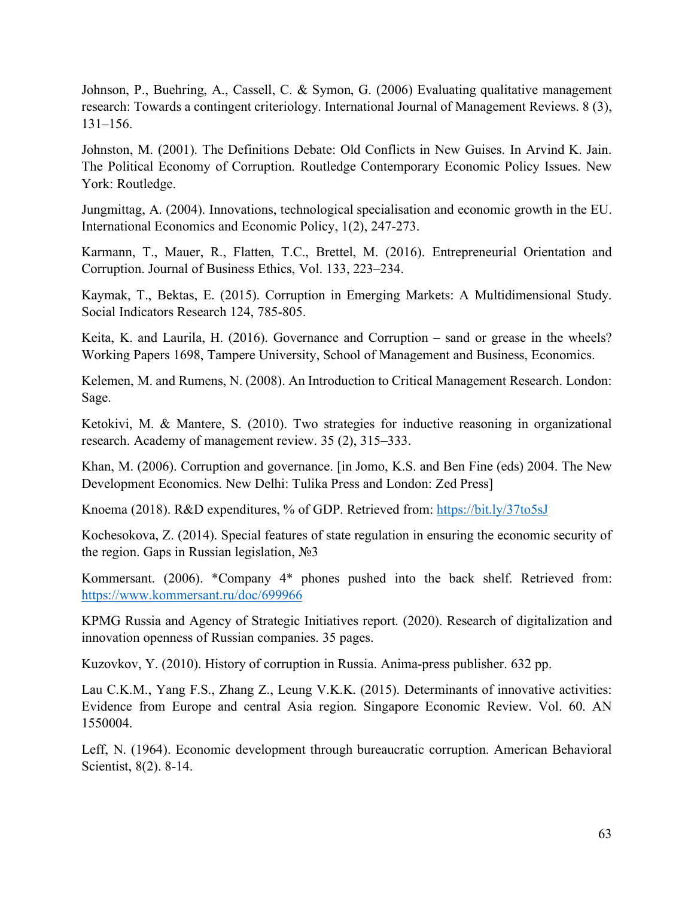Johnson, P., Buehring, A., Cassell, C. & Symon, G. (2006) Evaluating qualitative management research: Towards a contingent criteriology. International Journal of Management Reviews. 8 (3), 131–156.

Johnston, M. (2001). The Definitions Debate: Old Conflicts in New Guises. In Arvind K. Jain. The Political Economy of Corruption. Routledge Contemporary Economic Policy Issues. New York: Routledge.

Jungmittag, A. (2004). Innovations, technological specialisation and economic growth in the EU. International Economics and Economic Policy, 1(2), 247-273.

Karmann, T., Mauer, R., Flatten, T.C., Brettel, M. (2016). Entrepreneurial Orientation and Corruption. Journal of Business Ethics, Vol. 133, 223–234.

Kaymak, T., Bektas, E. (2015). Corruption in Emerging Markets: A Multidimensional Study. Social Indicators Research 124, 785-805.

Keita, K. and Laurila, H. (2016). Governance and Corruption – sand or grease in the wheels? Working Papers 1698, Tampere University, School of Management and Business, Economics.

Kelemen, M. and Rumens, N. (2008). An Introduction to Critical Management Research. London: Sage.

Ketokivi, M. & Mantere, S. (2010). Two strategies for inductive reasoning in organizational research. Academy of management review. 35 (2), 315–333.

Khan, M. (2006). Corruption and governance. [in Jomo, K.S. and Ben Fine (eds) 2004. The New Development Economics. New Delhi: Tulika Press and London: Zed Press]

Knoema (2018). R&D expenditures, % of GDP. Retrieved from:<https://bit.ly/37to5sJ>

Kochesokova, Z. (2014). Special features of state regulation in ensuring the economic security of the region. Gaps in Russian legislation, №3

Kommersant. (2006). \*Company 4\* phones pushed into the back shelf. Retrieved from: <https://www.kommersant.ru/doc/699966>

KPMG Russia and Agency of Strategic Initiatives report. (2020). Research of digitalization and innovation openness of Russian companies. 35 pages.

Kuzovkov, Y. (2010). History of corruption in Russia. Anima-press publisher. 632 pp.

Lau C.K.M., Yang F.S., Zhang Z., Leung V.K.K. (2015). Determinants of innovative activities: Evidence from Europe and central Asia region. Singapore Economic Review. Vol. 60. AN 1550004.

Leff, N. (1964). Economic development through bureaucratic corruption. American Behavioral Scientist, 8(2). 8-14.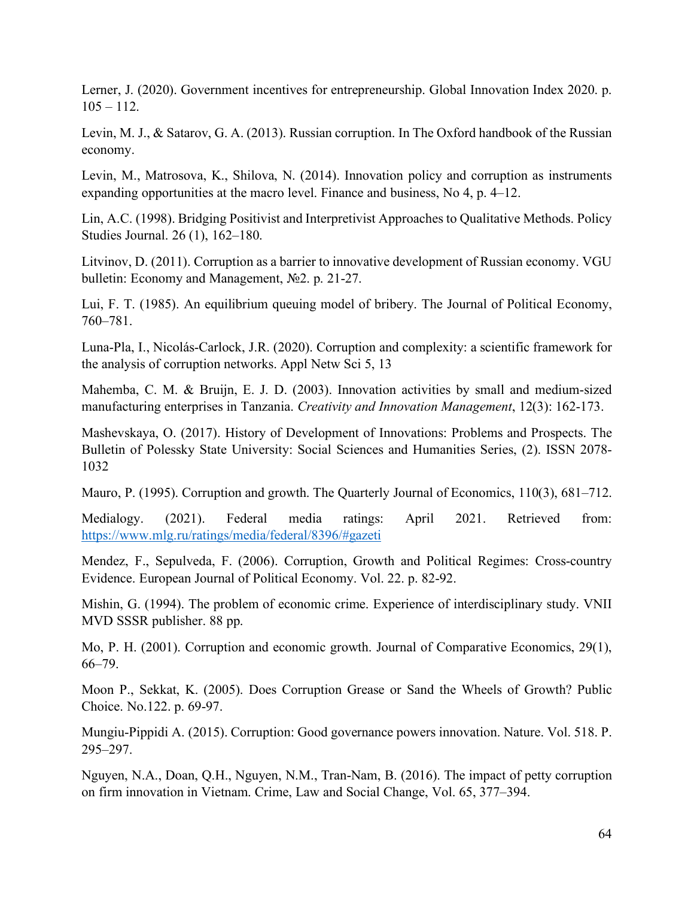Lerner, J. (2020). Government incentives for entrepreneurship. Global Innovation Index 2020. p.  $105 - 112.$ 

Levin, M. J., & Satarov, G. A. (2013). Russian corruption. In The Oxford handbook of the Russian economy.

Levin, M., Matrosova, K., Shilova, N. (2014). Innovation policy and corruption as instruments expanding opportunities at the macro level. Finance and business, No 4, p. 4–12.

Lin, A.C. (1998). Bridging Positivist and Interpretivist Approaches to Qualitative Methods. Policy Studies Journal. 26 (1), 162–180.

Litvinov, D. (2011). Corruption as a barrier to innovative development of Russian economy. VGU bulletin: Economy and Management, №2. p. 21-27.

Lui, F. T. (1985). An equilibrium queuing model of bribery. The Journal of Political Economy, 760–781.

Luna-Pla, I., Nicolás-Carlock, J.R. (2020). Corruption and complexity: a scientific framework for the analysis of corruption networks. Appl Netw Sci 5, 13

Mahemba, C. M. & Bruijn, E. J. D. (2003). Innovation activities by small and medium‐sized manufacturing enterprises in Tanzania. *Creativity and Innovation Management*, 12(3): 162-173.

Mashevskaya, O. (2017). History of Development of Innovations: Problems and Prospects. The Bulletin of Polessky State University: Social Sciences and Humanities Series, (2). ISSN 2078- 1032

Mauro, P. (1995). Corruption and growth. The Quarterly Journal of Economics, 110(3), 681–712.

Medialogy. (2021). Federal media ratings: April 2021. Retrieved from: <https://www.mlg.ru/ratings/media/federal/8396/#gazeti>

Mendez, F., Sepulveda, F. (2006). Corruption, Growth and Political Regimes: Cross-country Evidence. European Journal of Political Economy. Vol. 22. p. 82-92.

Mishin, G. (1994). The problem of economic crime. Experience of interdisciplinary study. VNII MVD SSSR publisher. 88 pp.

Mo, P. H. (2001). Corruption and economic growth. Journal of Comparative Economics, 29(1), 66–79.

Moon P., Sekkat, K. (2005). Does Corruption Grease or Sand the Wheels of Growth? Public Choice. No.122. p. 69-97.

Mungiu-Pippidi A. (2015). Corruption: Good governance powers innovation. Nature. Vol. 518. P. 295–297.

Nguyen, N.A., Doan, Q.H., Nguyen, N.M., Tran-Nam, B. (2016). The impact of petty corruption on firm innovation in Vietnam. Crime, Law and Social Change, Vol. 65, 377–394.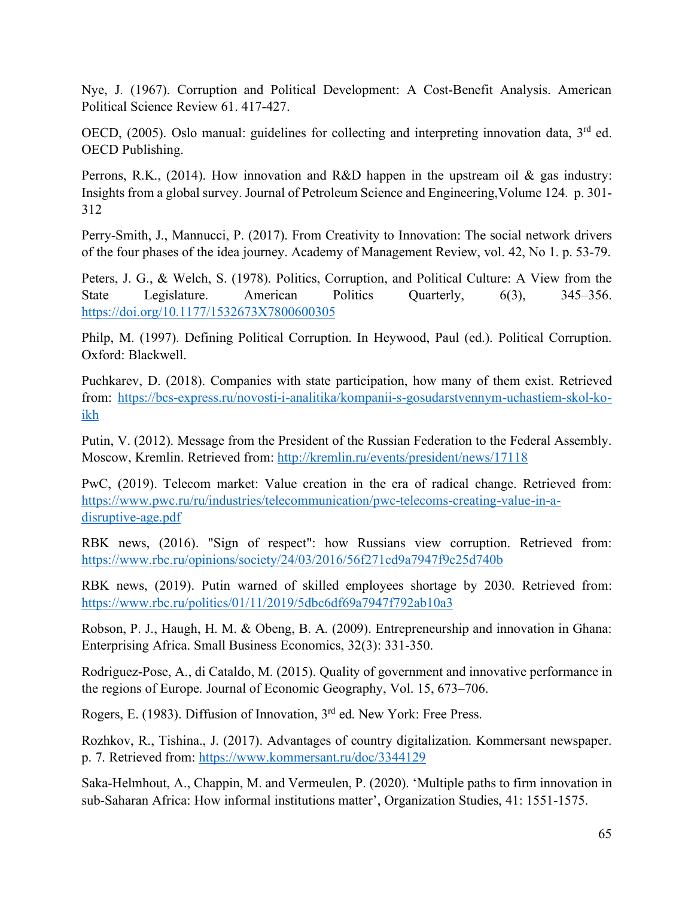Nye, J. (1967). Corruption and Political Development: A Cost-Benefit Analysis. American Political Science Review 61. 417-427.

OECD,  $(2005)$ . Oslo manual: guidelines for collecting and interpreting innovation data,  $3<sup>rd</sup>$  ed. OECD Publishing.

Perrons, R.K., (2014). How innovation and R&D happen in the upstream oil & gas industry: Insights from a global survey. Journal of Petroleum Science and Engineering,Volume 124. p. 301- 312

Perry-Smith, J., Mannucci, P. (2017). From Creativity to Innovation: The social network drivers of the four phases of the idea journey. Academy of Management Review, vol. 42, No 1. p. 53-79.

Peters, J. G., & Welch, S. (1978). Politics, Corruption, and Political Culture: A View from the State Legislature. American Politics Quarterly, 6(3), 345–356. <https://doi.org/10.1177/1532673X7800600305>

Philp, M. (1997). Defining Political Corruption. In Heywood, Paul (ed.). Political Corruption. Oxford: Blackwell.

Puchkarev, D. (2018). Companies with state participation, how many of them exist. Retrieved from: [https://bcs-express.ru/novosti-i-analitika/kompanii-s-gosudarstvennym-uchastiem-skol-ko](https://bcs-express.ru/novosti-i-analitika/kompanii-s-gosudarstvennym-uchastiem-skol-ko-ikh)[ikh](https://bcs-express.ru/novosti-i-analitika/kompanii-s-gosudarstvennym-uchastiem-skol-ko-ikh)

Putin, V. (2012). Message from the President of the Russian Federation to the Federal Assembly. Moscow, Kremlin. Retrieved from:<http://kremlin.ru/events/president/news/17118>

PwC, (2019). Telecom market: Value creation in the era of radical change. Retrieved from: [https://www.pwc.ru/ru/industries/telecommunication/pwc-telecoms-creating-value-in-a](https://www.pwc.ru/ru/industries/telecommunication/pwc-telecoms-creating-value-in-a-disruptive-age.pdf)[disruptive-age.pdf](https://www.pwc.ru/ru/industries/telecommunication/pwc-telecoms-creating-value-in-a-disruptive-age.pdf)

RBK news, (2016). "Sign of respect": how Russians view corruption. Retrieved from: <https://www.rbc.ru/opinions/society/24/03/2016/56f271cd9a7947f9c25d740b>

RBK news, (2019). Putin warned of skilled employees shortage by 2030. Retrieved from: <https://www.rbc.ru/politics/01/11/2019/5dbc6df69a7947f792ab10a3>

Robson, P. J., Haugh, H. M. & Obeng, B. A. (2009). Entrepreneurship and innovation in Ghana: Enterprising Africa. Small Business Economics, 32(3): 331-350.

Rodriguez-Pose, A., di Cataldo, M. (2015). Quality of government and innovative performance in the regions of Europe. Journal of Economic Geography, Vol. 15, 673–706.

Rogers, E. (1983). Diffusion of Innovation, 3rd ed. New York: Free Press.

Rozhkov, R., Tishina., J. (2017). Advantages of country digitalization. Kommersant newspaper. p. 7. Retrieved from:<https://www.kommersant.ru/doc/3344129>

Saka-Helmhout, A., Chappin, M. and Vermeulen, P. (2020). 'Multiple paths to firm innovation in sub-Saharan Africa: How informal institutions matter', Organization Studies, 41: 1551-1575.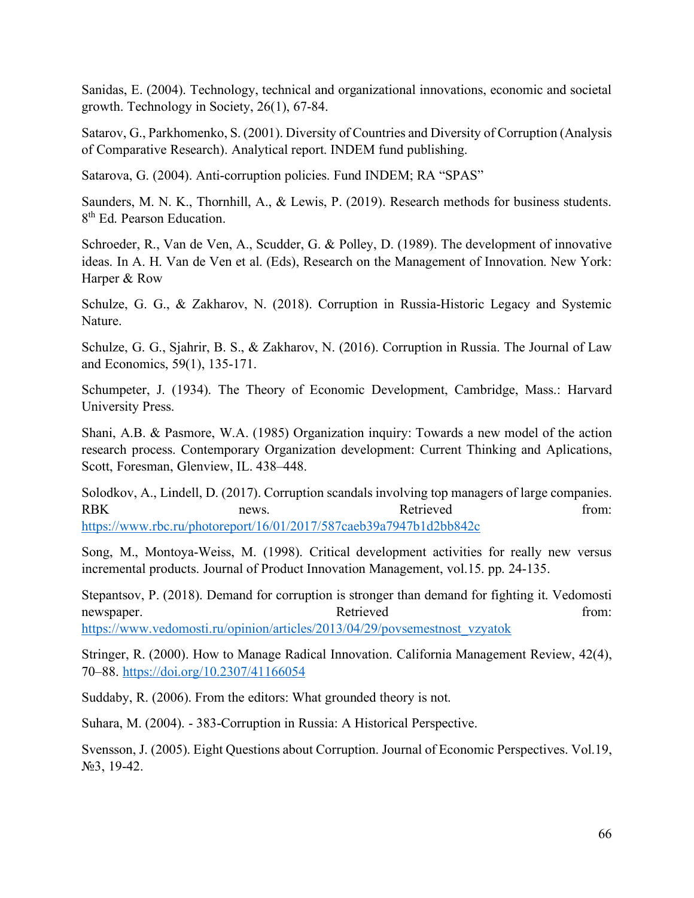Sanidas, E. (2004). Technology, technical and organizational innovations, economic and societal growth. Technology in Society, 26(1), 67-84.

Satarov, G., Parkhomenko, S. (2001). Diversity of Countries and Diversity of Corruption (Analysis of Comparative Research). Analytical report. INDEM fund publishing.

Satarova, G. (2004). Anti-corruption policies. Fund INDEM; RA "SPAS"

Saunders, M. N. K., Thornhill, A., & Lewis, P. (2019). Research methods for business students. 8<sup>th</sup> Ed. Pearson Education.

Schroeder, R., Van de Ven, A., Scudder, G. & Polley, D. (1989). The development of innovative ideas. In A. H. Van de Ven et al. (Eds), Research on the Management of Innovation. New York: Harper & Row

Schulze, G. G., & Zakharov, N. (2018). Corruption in Russia-Historic Legacy and Systemic Nature.

Schulze, G. G., Sjahrir, B. S., & Zakharov, N. (2016). Corruption in Russia. The Journal of Law and Economics, 59(1), 135-171.

Schumpeter, J. (1934). The Theory of Economic Development, Cambridge, Mass.: Harvard University Press.

Shani, A.B. & Pasmore, W.A. (1985) Organization inquiry: Towards a new model of the action research process. Contemporary Organization development: Current Thinking and Aplications, Scott, Foresman, Glenview, IL. 438–448.

Solodkov, A., Lindell, D. (2017). Corruption scandals involving top managers of large companies. RBK news. here results are reserved from: <https://www.rbc.ru/photoreport/16/01/2017/587caeb39a7947b1d2bb842c>

Song, M., Montoya-Weiss, M. (1998). Critical development activities for really new versus incremental products. Journal of Product Innovation Management, vol.15. pp. 24-135.

Stepantsov, P. (2018). Demand for corruption is stronger than demand for fighting it. Vedomosti newspaper. The results of the Retrieved contract from: [https://www.vedomosti.ru/opinion/articles/2013/04/29/povsemestnost\\_vzyatok](https://www.vedomosti.ru/opinion/articles/2013/04/29/povsemestnost_vzyatok)

Stringer, R. (2000). How to Manage Radical Innovation. California Management Review, 42(4),

70–88.<https://doi.org/10.2307/41166054>

Suddaby, R. (2006). From the editors: What grounded theory is not.

Suhara, M. (2004). - 383-Corruption in Russia: A Historical Perspective.

Svensson, J. (2005). Eight Questions about Corruption. Journal of Economic Perspectives. Vol.19, №3, 19-42.